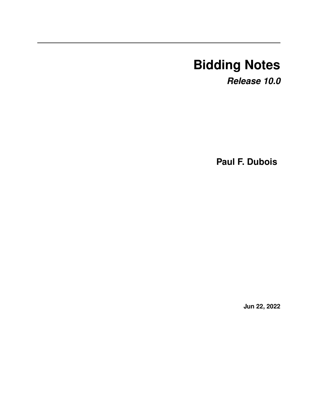# **Bidding Notes**

*Release 10.0*

**Paul F. Dubois**

**Jun 22, 2022**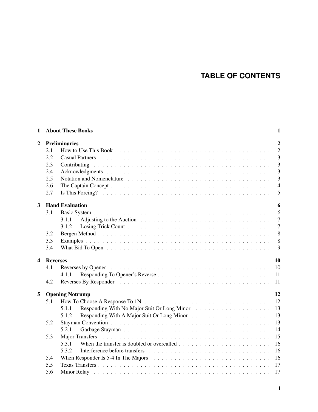## **TABLE OF CONTENTS**

| $\mathbf{1}$            |                                        | <b>About These Books</b>                                                                                                                    | $\mathbf{1}$   |  |  |  |  |  |  |  |
|-------------------------|----------------------------------------|---------------------------------------------------------------------------------------------------------------------------------------------|----------------|--|--|--|--|--|--|--|
| $\overline{2}$          | <b>Preliminaries</b><br>$\overline{2}$ |                                                                                                                                             |                |  |  |  |  |  |  |  |
|                         | 2.1                                    |                                                                                                                                             | $\overline{2}$ |  |  |  |  |  |  |  |
|                         | 2.2                                    |                                                                                                                                             | $\overline{3}$ |  |  |  |  |  |  |  |
|                         | 2.3                                    |                                                                                                                                             | $\overline{3}$ |  |  |  |  |  |  |  |
|                         | 2.4                                    |                                                                                                                                             | $\overline{3}$ |  |  |  |  |  |  |  |
|                         | 2.5                                    |                                                                                                                                             | 3              |  |  |  |  |  |  |  |
|                         | 2.6                                    |                                                                                                                                             | $\overline{4}$ |  |  |  |  |  |  |  |
|                         | 2.7                                    |                                                                                                                                             | 5              |  |  |  |  |  |  |  |
| $\overline{\mathbf{3}}$ |                                        | <b>Hand Evaluation</b>                                                                                                                      | 6              |  |  |  |  |  |  |  |
|                         | 3.1                                    |                                                                                                                                             | 6              |  |  |  |  |  |  |  |
|                         |                                        | 3.1.1                                                                                                                                       | $\overline{7}$ |  |  |  |  |  |  |  |
|                         |                                        | 3.1.2                                                                                                                                       | $\overline{7}$ |  |  |  |  |  |  |  |
|                         | 3.2                                    |                                                                                                                                             | 8              |  |  |  |  |  |  |  |
|                         | 3.3                                    |                                                                                                                                             | 8              |  |  |  |  |  |  |  |
|                         | 3.4                                    |                                                                                                                                             | 9              |  |  |  |  |  |  |  |
|                         |                                        |                                                                                                                                             |                |  |  |  |  |  |  |  |
| $\overline{\mathbf{4}}$ | <b>Reverses</b>                        |                                                                                                                                             | 10             |  |  |  |  |  |  |  |
|                         | 4.1                                    |                                                                                                                                             | <b>10</b>      |  |  |  |  |  |  |  |
|                         |                                        | 4.1.1                                                                                                                                       |                |  |  |  |  |  |  |  |
|                         | 4.2                                    |                                                                                                                                             |                |  |  |  |  |  |  |  |
| 5                       |                                        | <b>Opening Notrump</b>                                                                                                                      | 12             |  |  |  |  |  |  |  |
|                         | 5.1                                    |                                                                                                                                             |                |  |  |  |  |  |  |  |
|                         |                                        | 5.1.1                                                                                                                                       |                |  |  |  |  |  |  |  |
|                         |                                        | 5.1.2                                                                                                                                       | 13             |  |  |  |  |  |  |  |
|                         | 5.2                                    |                                                                                                                                             | 13             |  |  |  |  |  |  |  |
|                         |                                        | 5.2.1                                                                                                                                       | 14             |  |  |  |  |  |  |  |
|                         | 5.3                                    | <b>Major Transfers</b>                                                                                                                      | 15             |  |  |  |  |  |  |  |
|                         |                                        | 5.3.1                                                                                                                                       | 16             |  |  |  |  |  |  |  |
|                         |                                        | 5.3.2                                                                                                                                       | <sup>16</sup>  |  |  |  |  |  |  |  |
|                         | 5.4                                    | When Responder Is 5-4 In The Majors $\dots \dots \dots \dots \dots \dots \dots \dots \dots \dots \dots \dots \dots \dots \dots \dots \dots$ |                |  |  |  |  |  |  |  |
|                         | 5.5                                    |                                                                                                                                             |                |  |  |  |  |  |  |  |
|                         | 5.6                                    |                                                                                                                                             | 17             |  |  |  |  |  |  |  |
|                         |                                        |                                                                                                                                             |                |  |  |  |  |  |  |  |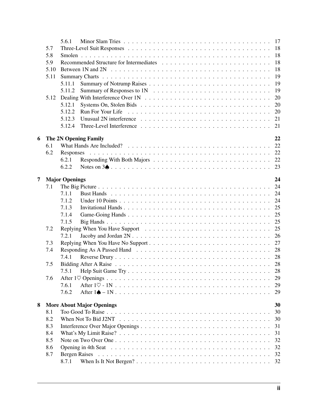|                |      | 5.6.1                            | 17 |
|----------------|------|----------------------------------|----|
|                | 5.7  |                                  |    |
|                | 5.8  |                                  | 18 |
|                | 5.9  |                                  | 18 |
|                | 5.10 |                                  | 18 |
|                | 5.11 |                                  | 19 |
|                |      | 5.11.1                           | 19 |
|                |      | 5.11.2                           | 19 |
|                | 5.12 |                                  | 20 |
|                |      | 5.12.1                           | 20 |
|                |      | 5.12.2                           | 20 |
|                |      | 5.12.3                           | 21 |
|                |      | 5.12.4                           | 21 |
|                |      |                                  |    |
| 6              |      | The 2N Opening Family            | 22 |
|                | 6.1  |                                  | 22 |
|                | 6.2  | Responses                        |    |
|                |      | 6.2.1                            |    |
|                |      | 6.2.2                            |    |
|                |      |                                  |    |
| $\overline{7}$ |      | <b>Major Openings</b>            | 24 |
|                | 7.1  |                                  | 24 |
|                |      | 7.1.1                            |    |
|                |      | 7.1.2                            |    |
|                |      | 7.1.3                            |    |
|                |      | 7.1.4                            | 25 |
|                |      | 7.1.5                            | 25 |
|                | 7.2  |                                  |    |
|                |      | 7.2.1                            | 26 |
|                | 7.3  |                                  | 27 |
|                | 7.4  |                                  |    |
|                |      | 7.4.1                            |    |
|                | 7.5  |                                  |    |
|                |      |                                  | 28 |
|                | 7.6  |                                  | 29 |
|                |      | 7.6.1                            | 29 |
|                |      | 7.6.2                            | 29 |
|                |      |                                  |    |
| 8              |      | <b>More About Major Openings</b> | 30 |
|                | 8.1  |                                  | 30 |
|                | 8.2  |                                  | 30 |
|                | 8.3  |                                  | 31 |
|                | 8.4  |                                  | 31 |
|                | 8.5  |                                  | 32 |
|                | 8.6  |                                  | 32 |
|                | 8.7  | Bergen Raises                    | 32 |
|                |      | 8.7.1                            | 32 |
|                |      |                                  |    |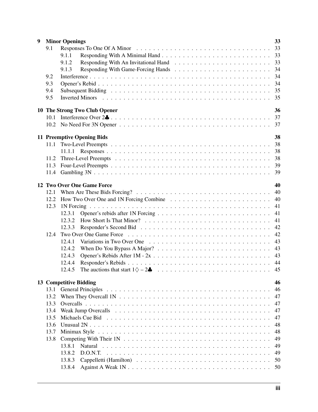| 9    |                                     | 33<br><b>Minor Openings</b>                                                                                                                                                                                                   |    |  |  |  |  |  |
|------|-------------------------------------|-------------------------------------------------------------------------------------------------------------------------------------------------------------------------------------------------------------------------------|----|--|--|--|--|--|
|      | 9.1                                 |                                                                                                                                                                                                                               | 33 |  |  |  |  |  |
|      |                                     | 9.1.1                                                                                                                                                                                                                         | 33 |  |  |  |  |  |
|      |                                     | 9.1.2                                                                                                                                                                                                                         |    |  |  |  |  |  |
|      |                                     | 9.1.3                                                                                                                                                                                                                         | 34 |  |  |  |  |  |
|      | 9.2                                 |                                                                                                                                                                                                                               | 34 |  |  |  |  |  |
|      | 9.3                                 |                                                                                                                                                                                                                               | 34 |  |  |  |  |  |
|      | 9.4                                 | Subsequent Bidding (and a series of the series of the series of the series of the series of the series of the series of the series of the series of the series of the series of the series of the series of the series of the | 35 |  |  |  |  |  |
|      |                                     |                                                                                                                                                                                                                               |    |  |  |  |  |  |
|      | 9.5                                 |                                                                                                                                                                                                                               |    |  |  |  |  |  |
|      | 36<br>10 The Strong Two Club Opener |                                                                                                                                                                                                                               |    |  |  |  |  |  |
|      | 10.1                                |                                                                                                                                                                                                                               |    |  |  |  |  |  |
|      |                                     |                                                                                                                                                                                                                               |    |  |  |  |  |  |
|      |                                     |                                                                                                                                                                                                                               |    |  |  |  |  |  |
|      |                                     | <b>11 Preemptive Opening Bids</b>                                                                                                                                                                                             | 38 |  |  |  |  |  |
|      | 11.1                                |                                                                                                                                                                                                                               | 38 |  |  |  |  |  |
|      |                                     | 11.1.1                                                                                                                                                                                                                        | 38 |  |  |  |  |  |
|      | 11.2                                |                                                                                                                                                                                                                               | 38 |  |  |  |  |  |
|      |                                     |                                                                                                                                                                                                                               | 39 |  |  |  |  |  |
|      |                                     |                                                                                                                                                                                                                               | 39 |  |  |  |  |  |
|      |                                     |                                                                                                                                                                                                                               |    |  |  |  |  |  |
|      |                                     | 12 Two Over One Game Force                                                                                                                                                                                                    | 40 |  |  |  |  |  |
|      | 12.1                                |                                                                                                                                                                                                                               | 40 |  |  |  |  |  |
|      |                                     |                                                                                                                                                                                                                               | 40 |  |  |  |  |  |
|      | 12.3                                |                                                                                                                                                                                                                               | 41 |  |  |  |  |  |
|      |                                     | 12.3.1                                                                                                                                                                                                                        | 41 |  |  |  |  |  |
|      |                                     | 12.3.2                                                                                                                                                                                                                        | 41 |  |  |  |  |  |
|      |                                     | 12.3.3                                                                                                                                                                                                                        | 42 |  |  |  |  |  |
|      | 12.4                                |                                                                                                                                                                                                                               | 42 |  |  |  |  |  |
|      |                                     | 12.4.1                                                                                                                                                                                                                        | 43 |  |  |  |  |  |
|      |                                     | 12.4.2                                                                                                                                                                                                                        | 43 |  |  |  |  |  |
|      |                                     | 12.4.3                                                                                                                                                                                                                        | 43 |  |  |  |  |  |
|      |                                     | 12.4.4                                                                                                                                                                                                                        | 44 |  |  |  |  |  |
|      |                                     | The auctions that start $1 \diamondsuit -2 \clubsuit \dots \dots \dots \dots \dots \dots \dots \dots \dots \dots \dots$<br>12.4.5                                                                                             | 45 |  |  |  |  |  |
|      |                                     |                                                                                                                                                                                                                               |    |  |  |  |  |  |
|      |                                     | 13 Competitive Bidding                                                                                                                                                                                                        | 46 |  |  |  |  |  |
|      |                                     |                                                                                                                                                                                                                               | 46 |  |  |  |  |  |
|      | 13.2                                |                                                                                                                                                                                                                               | 47 |  |  |  |  |  |
|      | 13.3                                |                                                                                                                                                                                                                               | 47 |  |  |  |  |  |
|      | 13.4                                |                                                                                                                                                                                                                               | 47 |  |  |  |  |  |
|      | 13.5                                |                                                                                                                                                                                                                               | 47 |  |  |  |  |  |
|      | 13.6                                |                                                                                                                                                                                                                               | 48 |  |  |  |  |  |
|      | 13.7                                |                                                                                                                                                                                                                               | 48 |  |  |  |  |  |
| 13.8 |                                     |                                                                                                                                                                                                                               |    |  |  |  |  |  |
|      |                                     | 13.8.1                                                                                                                                                                                                                        | 49 |  |  |  |  |  |
|      |                                     | 13.8.2                                                                                                                                                                                                                        | 49 |  |  |  |  |  |
|      |                                     | 13.8.3                                                                                                                                                                                                                        | 50 |  |  |  |  |  |
|      |                                     | 13.8.4                                                                                                                                                                                                                        | 50 |  |  |  |  |  |
|      |                                     |                                                                                                                                                                                                                               |    |  |  |  |  |  |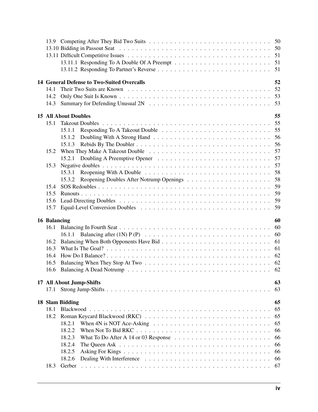|              | 52<br><b>14 General Defense to Two-Suited Overcalls</b>                                                                                                                                                                                                              |
|--------------|----------------------------------------------------------------------------------------------------------------------------------------------------------------------------------------------------------------------------------------------------------------------|
| 14.1         | 52                                                                                                                                                                                                                                                                   |
| 14.2         |                                                                                                                                                                                                                                                                      |
| 14.3         |                                                                                                                                                                                                                                                                      |
|              | 55<br><b>15 All About Doubles</b>                                                                                                                                                                                                                                    |
| 15.1         | 55                                                                                                                                                                                                                                                                   |
|              | 15.1.1                                                                                                                                                                                                                                                               |
|              |                                                                                                                                                                                                                                                                      |
|              | 15.1.2                                                                                                                                                                                                                                                               |
|              | 15.1.3                                                                                                                                                                                                                                                               |
| 15.2         | 57                                                                                                                                                                                                                                                                   |
|              | 57<br>15.2.1                                                                                                                                                                                                                                                         |
| 15.3         | 57                                                                                                                                                                                                                                                                   |
|              | 58<br>15.3.1                                                                                                                                                                                                                                                         |
|              | 58<br>15.3.2                                                                                                                                                                                                                                                         |
| 15.4         | 59                                                                                                                                                                                                                                                                   |
| 15.5         | 59                                                                                                                                                                                                                                                                   |
| 15.6         | 59                                                                                                                                                                                                                                                                   |
| 15.7         | 59                                                                                                                                                                                                                                                                   |
| 16 Balancing | 60                                                                                                                                                                                                                                                                   |
| 16.1         |                                                                                                                                                                                                                                                                      |
|              |                                                                                                                                                                                                                                                                      |
| 16.2         | 61                                                                                                                                                                                                                                                                   |
| 16.3         |                                                                                                                                                                                                                                                                      |
| 16.4         |                                                                                                                                                                                                                                                                      |
| 16.5         |                                                                                                                                                                                                                                                                      |
|              |                                                                                                                                                                                                                                                                      |
|              | 62<br>16.6 Balancing A Dead Notrump<br>. The contract of the contract of the contract of the contract of the contract of the contract of the contract of the contract of the contract of the contract of the contract of the contract of the contract of the contrac |
|              | 17 All About Jump-Shifts<br>63                                                                                                                                                                                                                                       |
|              | 63                                                                                                                                                                                                                                                                   |
|              | 18 Slam Bidding<br>65                                                                                                                                                                                                                                                |
| 18.1         | 65                                                                                                                                                                                                                                                                   |
| 18.2         | 65                                                                                                                                                                                                                                                                   |
|              | 65<br>18.2.1                                                                                                                                                                                                                                                         |
|              | 18.2.2<br>66                                                                                                                                                                                                                                                         |
|              | 18.2.3<br>66                                                                                                                                                                                                                                                         |
|              | 18.2.4<br>66                                                                                                                                                                                                                                                         |
|              |                                                                                                                                                                                                                                                                      |
|              | 18.2.5<br>66                                                                                                                                                                                                                                                         |
|              | 18.2.6<br>66                                                                                                                                                                                                                                                         |
| 18.3         | 67<br>Gerber                                                                                                                                                                                                                                                         |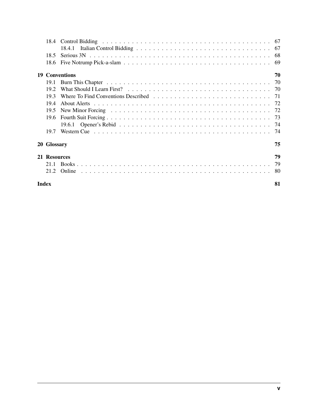| 18.4               | Control Bidding research and the set of the set of the set of the set of the set of the set of the set of the set of the set of the set of the set of the set of the set of the set of the set of the set of the set of the se |  |  |  |  |  |  |
|--------------------|--------------------------------------------------------------------------------------------------------------------------------------------------------------------------------------------------------------------------------|--|--|--|--|--|--|
|                    |                                                                                                                                                                                                                                |  |  |  |  |  |  |
| 18.5               |                                                                                                                                                                                                                                |  |  |  |  |  |  |
| 18.6               |                                                                                                                                                                                                                                |  |  |  |  |  |  |
|                    | <b>19 Conventions</b><br>70                                                                                                                                                                                                    |  |  |  |  |  |  |
| 19.1               |                                                                                                                                                                                                                                |  |  |  |  |  |  |
| 192                |                                                                                                                                                                                                                                |  |  |  |  |  |  |
| 19.3               |                                                                                                                                                                                                                                |  |  |  |  |  |  |
| 194                |                                                                                                                                                                                                                                |  |  |  |  |  |  |
| 19.5               |                                                                                                                                                                                                                                |  |  |  |  |  |  |
|                    |                                                                                                                                                                                                                                |  |  |  |  |  |  |
|                    |                                                                                                                                                                                                                                |  |  |  |  |  |  |
| 19.7               |                                                                                                                                                                                                                                |  |  |  |  |  |  |
| 20 Glossary        | 75                                                                                                                                                                                                                             |  |  |  |  |  |  |
| 21 Resources       | 79                                                                                                                                                                                                                             |  |  |  |  |  |  |
| 21.1               |                                                                                                                                                                                                                                |  |  |  |  |  |  |
| 21.2               |                                                                                                                                                                                                                                |  |  |  |  |  |  |
| <b>Index</b><br>81 |                                                                                                                                                                                                                                |  |  |  |  |  |  |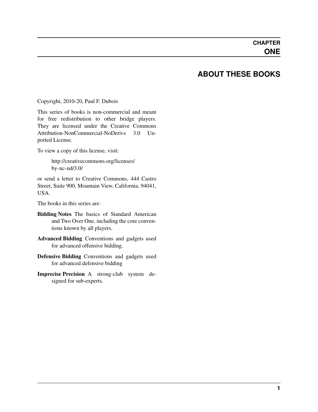### **ABOUT THESE BOOKS**

<span id="page-6-0"></span>Copyright, 2010-20, Paul F. Dubois

This series of books is non-commercial and meant for free redistribution to other bridge players. They are licensed under the Creative Commons Attribution-NonCommercial-NoDerivs 3.0 Unported License.

To view a copy of this license, visit:

[http://creativecommons.org/licenses/](http://creativecommons.org/licenses/by-nc-nd/3.0/) [by-nc-nd/3.0/](http://creativecommons.org/licenses/by-nc-nd/3.0/)

or send a letter to Creative Commons, 444 Castro Street, Suite 900, Mountain View, California, 94041, **USA** 

The books in this series are:

- Bidding Notes The basics of Standard American and Two Over One, including the core conventions known by all players.
- Advanced Bidding Conventions and gadgets used for advanced offensive bidding.
- Defensive Bidding Conventions and gadgets used for advanced defensive bidding
- Imprecise Precision A strong-club system designed for sub-experts.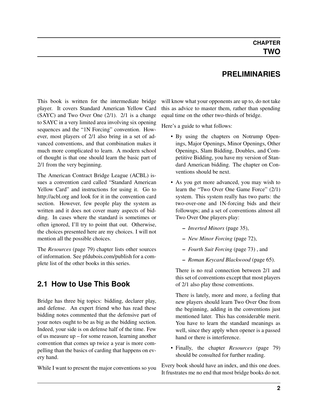## **PRELIMINARIES**

<span id="page-7-0"></span>This book is written for the intermediate bridge player. It covers Standard American Yellow Card (SAYC) and Two Over One (2/1). 2/1 is a change to SAYC in a very limited area involving six opening sequences and the "1N Forcing" convention. However, most players of 2/1 also bring in a set of advanced conventions, and that combination makes it much more complicated to learn. A modern school of thought is that one should learn the basic part of 2/1 from the very beginning.

The American Contract Bridge League (ACBL) issues a convention card called "Standard American Yellow Card" and instructions for using it. Go to <http://acbl.org> and look for it in the convention card section. However, few people play the system as written and it does not cover many aspects of bidding. In cases where the standard is sometimes or often ignored, I'll try to point that out. Otherwise, the choices presented here are my choices. I will not mention all the possible choices.

The *[Resources](#page-84-0)* (page 79) chapter lists other sources of information. See pfdubois.com/publish for a complete list of the other books in this series.

## <span id="page-7-1"></span>**2.1 How to Use This Book**

Bridge has three big topics: bidding, declarer play, and defense. An expert friend who has read these bidding notes commented that the defensive part of your notes ought to be as big as the bidding section. Indeed, your side is on defense half of the time. Few of us measure up – for some reason, learning another convention that comes up twice a year is more compelling than the basics of carding that happens on every hand.

While I want to present the major conventions so you

will know what your opponents are up to, do not take this as advice to master them, rather than spending equal time on the other two-thirds of bridge.

Here's a guide to what follows:

- By using the chapters on Notrump Openings, Major Openings, Minor Openings, Other Openings, Slam Bidding, Doubles, and Competitive Bidding, you have my version of Standard American bidding. The chapter on Conventions should be next.
- As you get more advanced, you may wish to learn the "Two Over One Game Force" (2/1) system. This system really has two parts: the two-over-one and 1N-forcing bids and their followups; and a set of conventions almost all Two Over One players play:
	- *[Inverted Minors](#page-40-2)* (page 35),
	- *[New Minor Forcing](#page-77-2)* (page 72),
	- *[Fourth Suit Forcing](#page-78-1)* (page 73) , and
	- *[Roman Keycard Blackwood](#page-70-3)* (page 65).

There is no real connection between 2/1 and this set of conventions except that most players of 2/1 also play those conventions.

There is lately, more and more, a feeling that new players should learn Two Over One from the beginning, adding in the conventions just mentioned later. This has considerable merit. You have to learn the standard meanings as well, since they apply when opener is a passed hand or there is interference.

• Finally, the chapter *[Resources](#page-84-0)* (page 79) should be consulted for further reading.

Every book should have an index, and this one does. It frustrates me no end that most bridge books do not.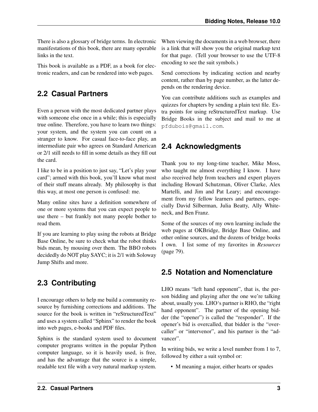There is also a glossary of bridge terms. In electronic manifestations of this book, there are many operable links in the text.

This book is available as a PDF, as a book for electronic readers, and can be rendered into web pages.

## <span id="page-8-0"></span>**2.2 Casual Partners**

Even a person with the most dedicated partner plays with someone else once in a while; this is especially true online. Therefore, you have to learn two things: your system, and the system you can count on a stranger to know. For casual face-to-face play, an intermediate pair who agrees on Standard American or 2/1 still needs to fill in some details as they fill out the card.

I like to be in a position to just say, "Let's play your card"; armed with this book, you'll know what most of their stuff means already. My philosophy is that this way, at most one person is confused: me.

Many online sites have a definition somewhere of one or more systems that you can expect people to use there – but frankly not many people bother to read them.

If you are learning to play using the robots at Bridge Base Online, be sure to check what the robot thinks bids mean, by mousing over them. The BBO robots decidedly do NOT play SAYC; it is 2/1 with Soloway Jump Shifts and more.

## <span id="page-8-1"></span>**2.3 Contributing**

I encourage others to help me build a community resource by furnishing corrections and additions. The source for the book is written in "reStructuredText" and uses a system called "Sphinx" to render the book into web pages, e-books and PDF files.

Sphinx is the standard system used to document computer programs written in the popular Python computer language, so it is heavily used, is free, and has the advantage that the source is a simple, readable text file with a very natural markup system.

When viewing the documents in a web browser, there is a link that will show you the original markup text for that page. (Tell your browser to use the UTF-8 encoding to see the suit symbols.)

Send corrections by indicating section and nearby content, rather than by page number, as the latter depends on the rendering device.

You can contribute additions such as examples and quizzes for chapters by sending a plain text file. Extra points for using reStructuredText markup. Use Bridge Books in the subject and mail to me at pfdubois@gmail.com.

## <span id="page-8-2"></span>**2.4 Acknowledgments**

Thank you to my long-time teacher, Mike Moss, who taught me almost everything I know. I have also received help from teachers and expert players including Howard Schutzman, Oliver Clarke, Alex Martelli, and Jim and Pat Leary; and encouragement from my fellow learners and partners, especially David Silberman, Julia Beatty, Ally Whiteneck, and Ben Franz.

Some of the sources of my own learning include the web pages at OKBridge, Bridge Base Online, and other online sources, and the dozens of bridge books I own. I list some of my favorites in *[Resources](#page-84-0)* (page 79).

## <span id="page-8-3"></span>**2.5 Notation and Nomenclature**

LHO means "left hand opponent", that is, the person bidding and playing after the one we're talking about, usually you. LHO's partner is RHO, the "right hand opponent". The partner of the opening bidder (the "opener") is called the "responder". If the opener's bid is overcalled, that bidder is the "overcaller" or "intervenor", and his partner is the "advancer".

In writing bids, we write a level number from 1 to 7, followed by either a suit symbol or:

• M meaning a major, either hearts or spades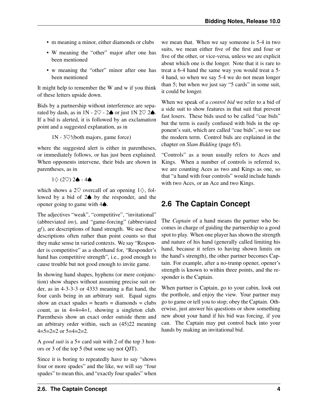- m meaning a minor, either diamonds or clubs
- W meaning the "other" major after one has been mentioned
- w meaning the "other" minor after one has been mentioned

It might help to remember the W and w if you think of these letters upside down.

Bids by a partnership without interference are separated by dash, as in  $1N - 2\heartsuit - 2\spadesuit$  or just  $1N 2\heartsuit 2\spadesuit$ . If a bid is alerted, it is followed by an exclamation point and a suggested explanation, as in

1N - 3♡!(both majors, game force)

where the suggested alert is either in parentheses, or immediately follows, or has just been explained. When opponents intervene, their bids are shown in parentheses, as in

 $1\diamondsuit$  (2♡) 2♠ - 4♠

which shows a 2 $\heartsuit$  overcall of an opening 1 $\diamondsuit$ , followed by a bid of 2♠ by the responder, and the opener going to game with 4♠.

The adjectives "weak", "competitive", "invitational" (abbreviated *[inv](#page-81-0)*), and "game-forcing" (abbreviated *[gf](#page-81-1)*), are descriptions of hand strength. We use these descriptions often rather than point counts so that they make sense in varied contexts. We say "Responder is competitive" as a shorthand for, "Responder's hand has competitive strength", i.e., good enough to cause trouble but not good enough to invite game.

In showing hand shapes, hyphens (or mere conjunction) show shapes without assuming precise suit order, as in 4-3-3-3 or 4333 meaning a flat hand, the four cards being in an arbitrary suit. Equal signs show an exact spades  $=$  hearts  $=$  diamonds  $=$  clubs count, as in 4=4=4=1, showing a singleton club. Parenthesis show an exact order outside them and an arbitrary order within, such as (45)22 meaning  $4=5=2=2$  or  $5=4=2=2$ .

A *[good suit](#page-81-2)* is a 5+ card suit with 2 of the top 3 honors or 3 of the top 5 (but some say not QJT).

Since it is boring to repeatedly have to say "shows four or more spades" and the like, we will say "four spades" to mean this, and "exactly four spades" when we mean that. When we say someone is 5-4 in two suits, we mean either five of the first and four or five of the other, or vice-versa, unless we are explicit about which one is the longer. Note that it is rare to treat a 6-4 hand the same way you would treat a 5- 4 hand, so when we say 5-4 we do not mean longer than 5; but when we just say "5 cards" in some suit, it could be longer.

When we speak of a *[control bid](#page-80-1)* we refer to a bid of a side suit to show features in that suit that prevent fast losers. These bids used to be called "cue bids" but the term is easily confused with bids in the opponent's suit, which are called "cue bids", so we use the modern term. Control bids are explained in the chapter on *[Slam Bidding](#page-70-0)* (page 65).

"Controls" as a noun usually refers to Aces and Kings. When a number of controls is referred to, we are counting Aces as two and Kings as one, so that "a hand with four controls" would include hands with two Aces, or an Ace and two Kings.

## <span id="page-9-0"></span>**2.6 The Captain Concept**

The *[Captain](#page-80-2)* of a hand means the partner who becomes in charge of guiding the partnership to a good spot to play. When one player has shown the strength and nature of his hand (generally called limiting his hand, because it refers to having shown limits on the hand's strength), the other partner becomes Captain. For example, after a no-trump opener, opener's strength is known to within three points, and the responder is the Captain.

When partner is Captain, go to your cabin, look out the porthole, and enjoy the view. Your partner may go to game or tell you to stop; obey the Captain. Otherwise, just answer his questions or show something new about your hand if his bid was forcing, if you can. The Captain may put control back into your hands by making an invitational bid.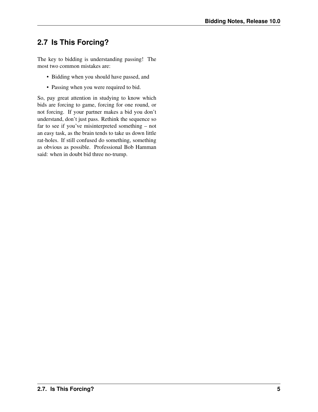## <span id="page-10-0"></span>**2.7 Is This Forcing?**

The key to bidding is understanding passing! The most two common mistakes are:

- Bidding when you should have passed, and
- Passing when you were required to bid.

So, pay great attention in studying to know which bids are forcing to game, forcing for one round, or not forcing. If your partner makes a bid you don't understand, don't just pass. Rethink the sequence so far to see if you've misinterpreted something – not an easy task, as the brain tends to take us down little rat-holes. If still confused do something, something as obvious as possible. Professional Bob Hamman said: when in doubt bid three no-trump.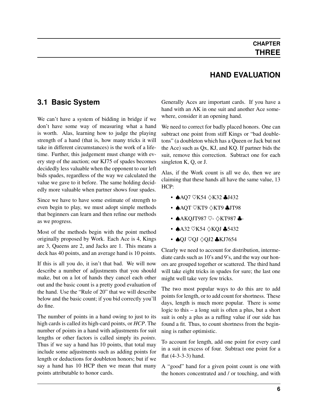## **HAND EVALUATION**

### <span id="page-11-0"></span>**3.1 Basic System**

We can't have a system of bidding in bridge if we don't have some way of measuring what a hand is worth. Alas, learning how to judge the playing strength of a hand (that is, how many tricks it will take in different circumstances) is the work of a lifetime. Further, this judgement must change with every step of the auction; our KJ75 of spades becomes decidedly less valuable when the opponent to our left bids spades, regardless of the way we calculated the value we gave to it before. The same holding decidedly more valuable when partner shows four spades.

Since we have to have some estimate of strength to even begin to play, we must adopt simple methods that beginners can learn and then refine our methods as we progress.

Most of the methods begin with the point method originally proposed by Work. Each Ace is 4, Kings are 3, Queens are 2, and Jacks are 1. This means a deck has 40 points, and an average hand is 10 points.

If this is all you do, it isn't that bad. We will now describe a number of adjustments that you should make, but on a lot of hands they cancel each other out and the basic count is a pretty good evaluation of the hand. Use the "Rule of 20" that we will describe below and the basic count; if you bid correctly you'll do fine.

The number of points in a hand owing to just to its high cards is called its high-card points, or *[HCP](#page-81-3)*. The number of points in a hand with adjustments for suit lengths or other factors is called simply its *points*. Thus if we say a hand has 10 points, that total may include some adjustments such as adding points for length or deductions for doubleton honors; but if we say a hand has 10 HCP then we mean that many points attributable to honor cards.

Generally Aces are important cards. If you have a hand with an AK in one suit and another Ace somewhere, consider it an opening hand.

We need to correct for badly placed honors. One can subtract one point from stiff Kings or "bad doubletons" (a doubleton which has a Queen or Jack but not the Ace) such as Qx, KJ, and KQ. If partner bids the suit, remove this correction. Subtract one for each singleton K, Q, or J.

Alas, if the Work count is all we do, then we are claiming that these hands all have the same value, 13 HCP:

- **AAQ7 ♡K54 ◇K32 ♣J432**
- ♠AQT ♡KT9 ♢KT9 ♣JT98
- ◆AKQJT987 ♡- ◇KT987 ◆-
- **↑A32 ♡K54 ◇KQJ ↑5432**
- ♦QJ ♡QJ  $\Diamond$ QJ2 ♣KJ7654

Clearly we need to account for distribution, intermediate cards such as 10's and 9's, and the way our honors are grouped together or scattered. The third hand will take eight tricks in spades for sure; the last one might well take very few tricks.

The two most popular ways to do this are to add points for length, or to add count for shortness. These days, length is much more popular. There is some logic to this – a long suit is often a plus, but a short suit is only a plus as a ruffing value if our side has found a fit. Thus, to count shortness from the beginning is rather optimistic.

To account for length, add one point for every card in a suit in excess of four. Subtract one point for a flat (4-3-3-3) hand.

A "good" hand for a given point count is one with the honors concentrated and / or touching, and with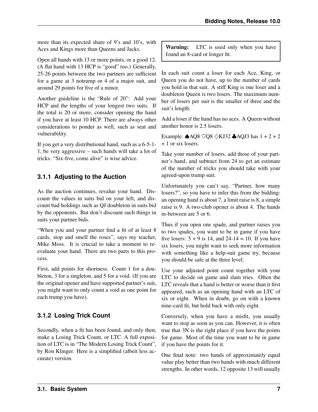more than its expected share of 9's and 10's, with Aces and Kings more than Queens and Jacks.

Open all hands with 13 or more points, or a good 12. (A flat hand with 13 HCP is "good" too.) Generally, 25-26 points between the two partners are sufficient for a game at 3 notrump or 4 of a major suit, and around 29 points for five of a minor.

Another guideline is the "Rule of 20": Add your HCP and the lengths of your longest two suits. If the total is 20 or more, consider opening the hand if you have at least 10 HCP. There are always other considerations to ponder as well, such as seat and vulnerability.

If you get a very distributional hand, such as a 6-5-1- 1, be very aggressive – such hands will take a lot of tricks. "Six-five, come alive" is wise advice.

### <span id="page-12-0"></span>**3.1.1 Adjusting to the Auction**

As the auction continues, revalue your hand. Discount the values in suits bid on your left, and discount bad holdings such as QJ doubleton in suits bid by the opponents. But don't discount such things in suits your partner bids.

"When you and your partner find a fit of at least 8 cards, stop and smell the roses", says my teacher, Mike Moss. It is crucial to take a moment to reevaluate your hand. There are two parts to this process.

First, add points for shortness. Count 1 for a doubleton, 3 for a singleton, and 5 for a void. (If you are the original opener and have supported partner's suit, you might want to only count a void as one point for each trump you have).

## <span id="page-12-1"></span>**3.1.2 Losing Trick Count**

Secondly, when a fit has been found, and only then, make a Losing Trick Count, or LTC. A full exposition of LTC is in "The Modern Losing Trick Count", by Ron Klinger. Here is a simplified (albeit less accurate) version.

Warning: LTC is used only when you have found an 8-card or longer fit.

In each suit count a loser for each Ace, King, or Queen you do not have, up to the number of cards you hold in that suit. A stiff King is one loser and a doubleton Queen is two losers. The maximum number of losers per suit is the smaller of three and the suit's length.

Add a loser if the hand has no aces. A Queen without another honor is 2.5 losers.

Example:  $\triangle AQ8 \ \sqrt{Q8} \ \triangle KJ32 \ \triangle AQJ3$  has  $1 + 2 + 2$ + 1 or six losers.

Take your number of losers, add those of your partner's hand, and subtract from 24 to get an estimate of the number of tricks you should take with your agreed-upon trump suit.

Unfortunately you can't say, "Partner, how many losers?", so you have to infer this from the bidding: an opening hand is about 7, a limit raise is 8, a simple raise is 9. A two-club opener is about 4. The hands in-between are 5 or 6.

Thus if you open one spade, and partner raises you to two spades, you want to be in game if you have five losers:  $5 + 9$  is 14, and 24-14 = 10. If you have six losers, you might want to seek more information with something like a help-suit game try, because you should be safe at the three level.

Use your adjusted point count together with your LTC to decide on game and slam tries. Often the LTC reveals that a hand is better or worse than it first appeared, such as an opening hand with an LTC of six or eight. When in doubt, go on with a known nine-card fit, but hold back with only eight.

Conversely, when you have a misfit, you usually want to stop as soon as you can. However, it is often true that 3N is the right place if you have the points for game. Most of the time you want to be in game if you have the points for it.

One final note: two hands of approximately equal value play better than two hands with much different strengths. In other words, 12 opposite 13 will usually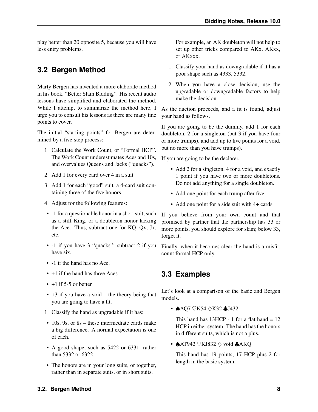play better than 20 opposite 5, because you will have less entry problems.

## <span id="page-13-0"></span>**3.2 Bergen Method**

Marty Bergen has invented a more elaborate method in his book, "Better Slam Bidding". His recent audio lessons have simplified and elaborated the method. While I attempt to summarize the method here, I urge you to consult his lessons as there are many fine points to cover.

The initial "starting points" for Bergen are determined by a five-step process:

- 1. Calculate the Work Count, or "Formal HCP". The Work Count underestimates Aces and 10s, and overvalues Queens and Jacks ("quacks").
- 2. Add 1 for every card over 4 in a suit
- 3. Add 1 for each "good" suit, a 4-card suit containing three of the five honors.
- 4. Adjust for the following features:
- -1 for a questionable honor in a short suit, such as a stiff King, or a doubleton honor lacking the Ace. Thus, subtract one for KQ, Qx, Jx, etc.
- -1 if you have 3 "quacks"; subtract 2 if you have six.
- -1 if the hand has no Ace.
- $+1$  if the hand has three Aces.
- $\cdot$  +1 if 5-5 or better
- $\cdot$  +3 if you have a void the theory being that you are going to have a fit.
- 1. Classify the hand as upgradable if it has:
- 10s, 9s, or 8s these intermediate cards make a big difference. A normal expectation is one of each.
- A good shape, such as 5422 or 6331, rather than 5332 or 6322.
- The honors are in your long suits, or together, rather than in separate suits, or in short suits.

For example, an AK doubleton will not help to set up other tricks compared to AKx, AKxx, or AKxxx.

- 1. Classify your hand as downgradable if it has a poor shape such as 4333, 5332.
- 2. When you have a close decision, use the upgradable or downgradable factors to help make the decision.

As the auction proceeds, and a fit is found, adjust your hand as follows.

If you are going to be the dummy, add 1 for each doubleton, 2 for a singleton (but 3 if you have four or more trumps), and add up to five points for a void, but no more than you have trumps).

If you are going to be the declarer,

- Add 2 for a singleton, 4 for a void, and exactly 1 point if you have two or more doubletons. Do not add anything for a single doubleton.
- Add one point for each trump after five.
- Add one point for a side suit with 4+ cards.

If you believe from your own count and that promised by partner that the partnership has 33 or more points, you should explore for slam; below 33, forget it.

Finally, when it becomes clear the hand is a misfit, count formal HCP only.

## <span id="page-13-1"></span>**3.3 Examples**

Let's look at a comparison of the basic and Bergen models.

• **AAQ7 ♡K54 ◇K32 ♣J432** 

This hand has  $13HCP - 1$  for a flat hand =  $12$ HCP in either system. The hand has the honors in different suits, which is not a plus.

•  $\triangle$ AT942  $\heartsuit$ KJ832  $\diamondsuit$  void  $\triangle$ AKQ

This hand has 19 points, 17 HCP plus 2 for length in the basic system.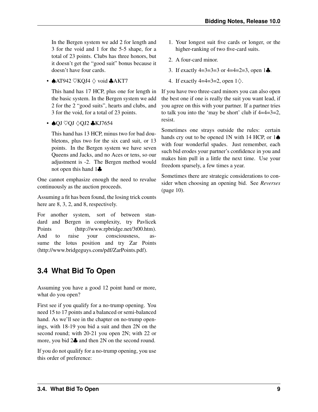In the Bergen system we add 2 for length and 3 for the void and 1 for the 5-5 shape, for a total of 23 points. Clubs has three honors, but it doesn't get the "good suit" bonus because it doesn't have four cards.

•  $AT942 \nabla KOJ4 \nabla$  void  $AKT7$ 

This hand has 17 HCP, plus one for length in the basic system. In the Bergen system we add 2 for the 2 "good suits", hearts and clubs, and 3 for the void, for a total of 23 points.

• ♦QJ ♡QJ ◇QJ2 ♣KJ7654

This hand has 13 HCP, minus two for bad doubletons, plus two for the six card suit, or 13 points. In the Bergen system we have seven Queens and Jacks, and no Aces or tens, so our adjustment is -2. The Bergen method would not open this hand 1♣

One cannot emphasize enough the need to revalue continuously as the auction proceeds.

Assuming a fit has been found, the losing trick counts here are 8, 3, 2, and 8, respectively.

For another system, sort of between standard and Bergen in complexity, try [Pavlicek](http://www.rpbridge.net/3t00.htm) [Points](http://www.rpbridge.net/3t00.htm) (http://www.rpbridge.net/3t00.htm). And to raise your consciousness, assume the lotus position and try [Zar Points](http://www.bridgeguys.com/pdf/ZarPoints.pdf) (http://www.bridgeguys.com/pdf/ZarPoints.pdf).

## <span id="page-14-0"></span>**3.4 What Bid To Open**

Assuming you have a good 12 point hand or more, what do you open?

First see if you qualify for a no-trump opening. You need 15 to 17 points and a balanced or semi-balanced hand. As we'll see in the chapter on no-trump openings, with 18-19 you bid a suit and then 2N on the second round; with 20-21 you open 2N; with 22 or more, you bid 2♣ and then 2N on the second round.

If you do not qualify for a no-trump opening, you use this order of preference:

- 1. Your longest suit five cards or longer, or the higher-ranking of two five-card suits.
- 2. A four-card minor.
- 3. If exactly  $4=3=3=3$  or  $4=4=2=3$ , open  $1\clubsuit$ .
- 4. If exactly 4=4=3=2, open  $1\diamondsuit$ .

If you have two three-card minors you can also open the best one if one is really the suit you want lead, if you agree on this with your partner. If a partner tries to talk you into the 'may be short' club if  $4=4=3=2$ , resist.

Sometimes one strays outside the rules: certain hands cry out to be opened 1N with 14 HCP, or 1♦ with four wonderful spades. Just remember, each such bid erodes your partner's confidence in you and makes him pull in a little the next time. Use your freedom sparsely, a few times a year.

Sometimes there are strategic considerations to consider when choosing an opening bid. See *[Reverses](#page-15-0)* (page 10).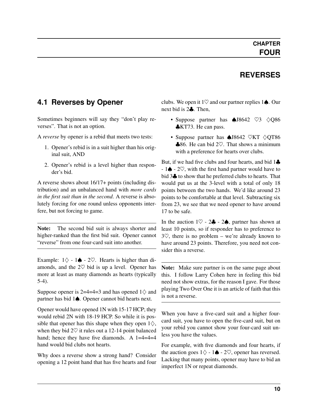## **REVERSES**

## <span id="page-15-0"></span>**4.1 Reverses by Opener**

Sometimes beginners will say they "don't play reverses". That is not an option.

A *[reverse](#page-82-0)* by opener is a rebid that meets two tests:

- 1. Opener's rebid is in a suit higher than his original suit, AND
- 2. Opener's rebid is a level higher than responder's bid.

A reverse shows about 16/17+ points (including distribution) and an unbalanced hand with *more cards in the first suit than in the second*. A reverse is absolutely forcing for one round unless opponents interfere, but not forcing to game.

Note: The second bid suit is always shorter and higher-ranked than the first bid suit. Opener cannot "reverse" from one four-card suit into another.

Example:  $1\diamondsuit - 1 \spadesuit - 2\heartsuit$ . Hearts is higher than diamonds, and the  $2\heartsuit$  bid is up a level. Opener has more at least as many diamonds as hearts (typically 5-4).

Suppose opener is 2=4=4=3 and has opened  $1\diamondsuit$  and partner has bid 1♠. Opener cannot bid hearts next.

Opener would have opened 1N with 15-17 HCP; they would rebid 2N with 18-19 HCP. So while it is possible that opener has this shape when they open  $1\diamondsuit$ , when they bid  $2\heartsuit$  it rules out a 12-14 point balanced hand; hence they have five diamonds. A 1=4=4=4 hand would bid clubs not hearts.

Why does a reverse show a strong hand? Consider opening a 12 point hand that has five hearts and four clubs. We open it 1 $\heartsuit$  and our partner replies 1 $\spadesuit$ . Our next bid is 2♣. Then,

- Suppose partner has ♠J8642 ♡3 ♢Q86 ♣KT73. He can pass.
- Suppose partner has ♠J8642 ♡KT ♢QT86  $\clubsuit$ **86.** He can bid 2♡. That shows a minimum with a preference for hearts over clubs.

But, if we had five clubs and four hearts, and bid 1♣ - 1♠ - 2♡, with the first hand partner would have to bid 3♣ to show that he preferred clubs to hearts. That would put us at the 3-level with a total of only 18 points between the two hands. We'd like around 23 points to be comfortable at that level. Subtracting six from 23, we see that we need opener to have around 17 to be safe.

In the auction  $1\heartsuit - 2\clubsuit - 2\spadesuit$ , partner has shown at least 10 points, so if responder has to preference to  $3\degree$ , there is no problem – we're already known to have around 23 points. Therefore, you need not consider this a reverse.

Note: Make sure partner is on the same page about this. I follow Larry Cohen here in feeling this bid need not show extras, for the reason I gave. For those playing Two Over One it is an article of faith that this is not a reverse.

When you have a five-card suit and a higher fourcard suit, you have to open the five-card suit, but on your rebid you cannot show your four-card suit unless you have the values.

For example, with five diamonds and four hearts, if the auction goes  $1\diamondsuit - 1\spadesuit - 2\heartsuit$ , opener has reversed. Lacking that many points, opener may have to bid an imperfect 1N or repeat diamonds.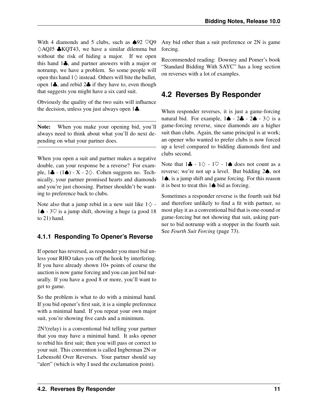With 4 diamonds and 5 clubs, such as  $\triangle 92$   $\heartsuit Q9$  $\Diamond$ AQJ5  $\clubsuit$ KQT43, we have a similar dilemma but without the risk of hiding a major. If we open this hand 1♣, and partner answers with a major or notrump, we have a problem. So some people will open this hand  $1$  $\diamondsuit$  instead. Others will bite the bullet, open 1♣, and rebid 2♣ if they have to, even though that suggests you might have a six card suit.

Obviously the quality of the two suits will influence the decision, unless you just always open 1♣.

Note: When you make your opening bid, you'll always need to think about what you'll do next depending on what your partner does.

When you open a suit and partner makes a negative double, can your response be a reverse? For example,  $1\clubsuit$  - ( $1\spadesuit$ ) - X - 2 $\diamondsuit$ . Cohen suggests no. Technically, your partner promised hearts and diamonds and you're just choosing. Partner shouldn't be wanting to preference back to clubs.

Note also that a jump rebid in a new suit like  $1\diamondsuit$  -1♦ - 3 $\heartsuit$  is a jump shift, showing a huge (a good 18 to 21) hand.

#### <span id="page-16-0"></span>**4.1.1 Responding To Opener's Reverse**

If opener has reversed, as responder you must bid unless your RHO takes you off the hook by interfering. If you have already shown 10+ points of course the auction is now game forcing and you can just bid naturally. If you have a good 8 or more, you'll want to get to game.

So the problem is what to do with a minimal hand. If you bid opener's first suit, it is a simple preference with a minimal hand. If you repeat your own major suit, you're showing five cards and a minimum.

2N!(relay) is a conventional bid telling your partner that you may have a minimal hand. It asks opener to rebid his first suit; then you will pass or correct to your suit. This convention is called Ingberman 2N or Lebensohl Over Reverses. Your partner should say "alert" (which is why I used the exclamation point).

Any bid other than a suit preference or 2N is game forcing.

Recommended reading: Downey and Pomer's book "Standard Bidding With SAYC" has a long section on reverses with a lot of examples.

## <span id="page-16-1"></span>**4.2 Reverses By Responder**

When responder reverses, it is just a game-forcing natural bid. For example,  $1 \spadesuit - 2 \clubsuit - 2 \spadesuit - 3 \diamondsuit$  is a game-forcing reverse, since diamonds are a higher suit than clubs. Again, the same principal is at work; an opener who wanted to prefer clubs is now forced up a level compared to bidding diamonds first and clubs second.

Note that  $1\clubsuit - 1\diamondsuit - 1\heartsuit - 1\spadesuit$  does not count as a reverse; we're not up a level. But bidding 2♠, not 1♠, is a jump shift and game forcing. For this reason it is best to treat this 1♠ bid as forcing.

Sometimes a responder reverse is the fourth suit bid and therefore unlikely to find a fit with partner, so most play it as a conventional bid that is one-round or game-forcing but not showing that suit, asking partner to bid notrump with a stopper in the fourth suit. See *[Fourth Suit Forcing](#page-78-1)* (page 73).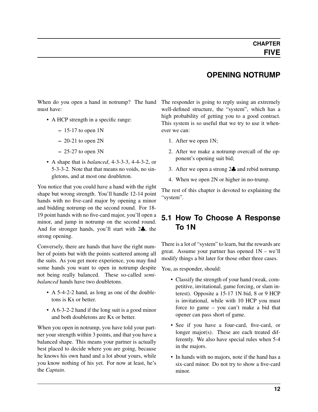#### **OPENING NOTRUMP**

<span id="page-17-0"></span>When do you open a hand in notrump? The hand must have:

- A HCP strength in a specific range:
	- $-15-17$  to open 1N
	- $-20-21$  to open 2N
	- $-25-27$  to open  $3N$
- A shape that is *[balanced](#page-80-3)*, 4-3-3-3, 4-4-3-2, or 5-3-3-2. Note that that means no voids, no singletons, and at most one doubleton.

You notice that you could have a hand with the right shape but wrong strength. You'll handle 12-14 point hands with no five-card major by opening a minor and bidding notrump on the second round. For 18- 19 point hands with no five-card major, you'll open a minor, and jump in notrump on the second round. And for stronger hands, you'll start with 2♣, the strong opening.

Conversely, there are hands that have the right number of points but with the points scattered among all the suits. As you get more experience, you may find some hands you want to open in notrump despite not being really balanced. These so-called *[semi](#page-82-1)[balanced](#page-82-1)* hands have two doubletons.

- A 5-4-2-2 hand, as long as one of the doubletons is Kx or better.
- A 6-3-2-2 hand if the long suit is a good minor and both doubletons are Kx or better.

When you open in notrump, you have told your partner your strength within 3 points, and that you have a balanced shape. This means your partner is actually best placed to decide where you are going, because he knows his own hand and a lot about yours, while you know nothing of his yet. For now at least, he's the *[Captain](#page-80-2)*.

The responder is going to reply using an extremely well-defined structure, the "system", which has a high probability of getting you to a good contract. This system is so useful that we try to use it whenever we can:

- 1. After we open 1N;
- 2. After we make a notrump overcall of the opponent's opening suit bid;
- 3. After we open a strong 2♣ and rebid notrump.
- 4. When we open 2N or higher in no-trump.

The rest of this chapter is devoted to explaining the "system".

## <span id="page-17-1"></span>**5.1 How To Choose A Response To 1N**

There is a lot of "system" to learn, but the rewards are great. Assume your partner has opened 1N – we'll modify things a bit later for those other three cases.

You, as responder, should:

- Classify the strength of your hand (weak, competitive, invitational, game forcing, or slam interest). Opposite a 15-17 1N bid, 8 or 9 HCP is invitational, while with 10 HCP you must force to game – you can't make a bid that opener can pass short of game.
- See if you have a four-card, five-card, or longer major(s). These are each treated differently. We also have special rules when 5-4 in the majors.
- In hands with no majors, note if the hand has a six-card minor. Do not try to show a five-card minor.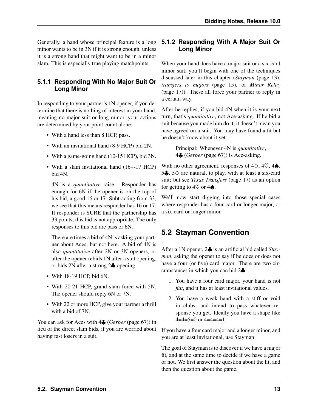Generally, a hand whose principal feature is a long minor wants to be in 3N if it is strong enough, unless it is a strong hand that might want to be in a minor slam. This is especially true playing matchpoints.

#### <span id="page-18-4"></span><span id="page-18-0"></span>**5.1.1 Responding With No Major Suit Or Long Minor**

In responding to your partner's 1N opener, if you determine that there is nothing of interest in your hand, meaning no major suit or long minor, your actions are determined by your point count alone:

- With a hand less than 8 HCP, pass.
- With an invitational hand (8-9 HCP) bid 2N.
- With a game-going hand (10-15 HCP), bid 3N.
- With a slam invitational hand (16+-17 HCP) bid 4N.

4N is a *[quantitative](#page-81-4)* raise. Responder has enough for 6N if the opener is on the top of his bid, a good 16 or 17. Subtracting from 33, we see that this means responder has 16 or 17. If responder is SURE that the partnership has 33 points, this bid is not appropriate. The only responses to this bid are pass or 6N.

There are times a bid of 4N is asking your partner about Aces, but not here. A bid of 4N is also *[quantitative](#page-81-4)* after 2N or 3N openers, or after the opener rebids 1N after a suit opening, or bids 2N after a strong 2♣ opening.

- With 18-19 HCP, bid 6N.
- With 20-21 HCP, grand slam force with 5N. The opener should reply 6N or 7N.
- With 22 or more HCP, give your partner a thrill with a bid of 7N.

You can ask for Aces with 4♣ (*[Gerber](#page-72-3)* (page 67)) in lieu of the direct slam bids, if you are worried about having fast losers in a suit.

#### <span id="page-18-1"></span>**5.1.2 Responding With A Major Suit Or Long Minor**

When your hand does have a major suit or a six-card minor suit, you'll begin with one of the techniques discussed later in this chapter (*[Stayman](#page-18-3)* (page 13), *[transfers to majors](#page-20-1)* (page 15), or *[Minor Relay](#page-22-3)* (page 17)). These all force your partner to reply in a certain way.

After he replies, if you bid 4N when it is your next turn, that's *[quantitative](#page-81-4)*, not Ace-asking. If he bid a suit because you made him do it, it doesn't mean you have agreed on a suit. You may have found a fit but he doesn't know about it yet.

> Principal: Whenever 4N is *[quantitative](#page-81-4)*, 4♣ (*[Gerber](#page-72-3)* (page 67)) is Ace-asking.

With no other agreement, responses of  $4\diamondsuit$ ,  $4\heartsuit$ ,  $4\spadesuit$ , 5 $\clubsuit$ , 5 $\diamond$  are natural, to play, with at least a six-card suit; but see *[Texas Transfers](#page-22-4)* (page 17) as an option for getting to  $4\heartsuit$  or  $4\spadesuit$ .

We'll now start digging into those special cases where responder has a four-card or longer major, or a six-card or longer minor.

## <span id="page-18-3"></span><span id="page-18-2"></span>**5.2 Stayman Convention**

After a 1N opener, 2♣ is an artificial bid called *[Stay](#page-82-2)[man](#page-82-2)*, asking the opener to say if he does or does not have a four (or five) card major. There are two circumstances in which you can bid 2♣:

- 1. You have a four card major, your hand is not *[flat](#page-81-5)*, and it has at least invitational values.
- 2. You have a weak hand with a stiff or void in clubs, and intend to pass whatever response you get. Ideally you have a shape like  $4=4=5=0$  or  $4=4=4=1$ .

If you have a four card major and a longer minor, and you are at least invitational, use Stayman.

The goal of Stayman is to discover if we have a major fit, and at the same time to decide if we have a game or not. We first answer the question about the fit, and then the question about the game.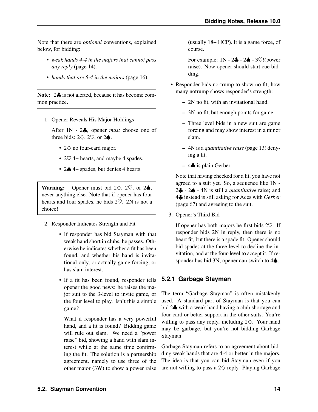Note that there are *optional* conventions, explained below, for bidding:

- *[weak hands 4-4 in the majors that cannot pass](#page-19-1) [any reply](#page-19-1)* (page 14).
- *[hands that are 5-4 in the majors](#page-21-2)* (page 16).

Note:  $2\clubsuit$  is not alerted, because it has become common practice.

1. Opener Reveals His Major Holdings

After 1N - 2♣, opener *must* choose one of three bids:  $2\diamondsuit$ ,  $2\heartsuit$ , or  $2\spadesuit$ .

- 2♢ no four-card major.
- $2\heartsuit$  4+ hearts, and maybe 4 spades.
- 2♠ 4+ spades, but denies 4 hearts.

**Warning:** Opener must bid  $2\diamondsuit$ ,  $2\heartsuit$ , or  $2\spadesuit$ , never anything else. Note that if opener has four hearts and four spades, he bids 2♡. 2N is not a choice!

- 2. Responder Indicates Strength and Fit
	- If responder has bid Stayman with that weak hand short in clubs, he passes. Otherwise he indicates whether a fit has been found, and whether his hand is invitational only, or actually game forcing, or has slam interest.
	- If a fit has been found, responder tells opener the good news: he raises the major suit to the 3-level to invite game, or the four level to play. Isn't this a simple game?

What if responder has a very powerful hand, and a fit is found? Bidding game will rule out slam. We need a "power raise" bid, showing a hand with slam interest while at the same time confirming the fit. The solution is a partnership agreement, namely to use three of the other major (3W) to show a power raise (usually 18+ HCP). It is a game force, of course.

For example:  $1N - 2\clubsuit - 2\spadesuit - 3\heartsuit!$  (power raise). Now opener should start cue bidding.

- Responder bids no-trump to show no fit; how many notrump shows responder's strength:
	- 2N no fit, with an invitational hand.
	- 3N no fit, but enough points for game.
	- Three level bids in a new suit are game forcing and may show interest in a minor slam.
	- 4N is a *[quantitative raise](#page-18-4)* (page 13) denying a fit.
	- 4♣ is plain Gerber.

Note that having checked for a fit, you have not agreed to a suit yet. So, a sequence like 1N - 2♣ - 2♠ - 4N is still a *[quantitative](#page-81-4)* raise; and 4♣ instead is still asking for Aces with *[Gerber](#page-72-3)* (page 67) and agreeing to the suit.

3. Opener's Third Bid

If opener has both majors he first bids 2♡. If responder bids 2N in reply, then there is no heart fit, but there is a spade fit. Opener should bid spades at the three-level to decline the invitation, and at the four-level to accept it. If responder has bid 3N, opener can switch to 4**♦**.

#### <span id="page-19-0"></span>**5.2.1 Garbage Stayman**

<span id="page-19-1"></span>The term "Garbage Stayman" is often mistakenly used. A standard part of Stayman is that you can bid 2♣ with a weak hand having a club shortage and four-card or better support in the other suits. You're willing to pass any reply, including  $2\diamondsuit$ . Your hand may be garbage, but you're not bidding Garbage Stayman.

Garbage Stayman refers to an agreement about bidding weak hands that are 4-4 or better in the majors. The idea is that you can bid Stayman even if you are not willing to pass a  $2\diamondsuit$  reply. Playing Garbage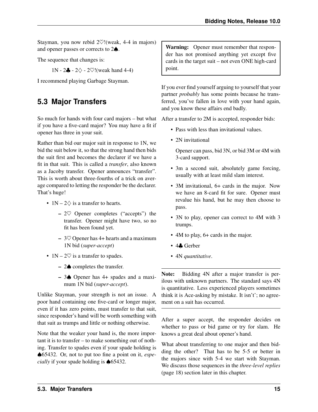Stayman, you now rebid 2♡!(weak, 4-4 in majors) and opener passes or corrects to 2♠.

The sequence that changes is:

1N - 2 $\clubsuit$  - 2 $\diamondsuit$  - 2 $\heartsuit$ !(weak hand 4-4)

I recommend playing Garbage Stayman.

## <span id="page-20-0"></span>**5.3 Major Transfers**

<span id="page-20-1"></span>So much for hands with four card majors – but what if you have a five-card major? You may have a fit if opener has three in your suit.

Rather than bid our major suit in response to 1N, we bid the suit below it, so that the strong hand then bids the suit first and becomes the declarer if we have a fit in that suit. This is called a *transfer*, also known as a Jacoby transfer. Opener announces "transfer". This is worth about three-fourths of a trick on average compared to letting the responder be the declarer. That's huge!

- $1N 2\diamondsuit$  is a transfer to hearts.
	- $-2$ <sup> $\heartsuit$ </sup> Opener completes ("accepts") the transfer. Opener might have two, so no fit has been found yet.
	- $-$  3 $\heartsuit$  Opener has 4+ hearts and a maximum 1N bid (*[super-accept](#page-82-3)*)
- $1N 2\heartsuit$  is a transfer to spades.
	- 2♠ completes the transfer.
	- 3♠ Opener has 4+ spades and a maximum 1N bid (*[super-accept](#page-82-3)*).

Unlike Stayman, your strength is not an issue. A poor hand containing one five-card or longer major, even if it has zero points, must transfer to that suit, since responder's hand will be worth something with that suit as trumps and little or nothing otherwise.

Note that the weaker your hand is, the more important it is to transfer – to make something out of nothing. Transfer to spades even if your spade holding is ♠65432. Or, not to put too fine a point on it, *especially* if your spade holding is ♦ 65432.

Warning: Opener must remember that responder has not promised anything yet except five cards in the target suit – not even ONE high-card point.

If you ever find yourself arguing to yourself that your partner *probably* has some points because he transferred, you've fallen in love with your hand again, and you know these affairs end badly.

After a transfer to 2M is accepted, responder bids:

- Pass with less than invitational values.
- 2N invitational

Opener can pass, bid 3N, or bid 3M or 4M with 3-card support.

- 3m a second suit, absolutely game forcing, usually with at least mild slam interest.
- 3M invitational, 6+ cards in the major. Now we have an 8-card fit for sure. Opener must revalue his hand, but he may then choose to pass.
- 3N to play, opener can correct to 4M with 3 trumps.
- 4M to play, 6+ cards in the major.
- 4♣ Gerber
- 4N *[quantitative](#page-81-4)*.

Note: Bidding 4N after a major transfer is perilous with unknown partners. The standard says 4N is quantitative. Less experienced players sometimes think it is Ace-asking by mistake. It isn't'; no agreement on a suit has occurred.

After a super accept, the responder decides on whether to pass or bid game or try for slam. He knows a great deal about opener's hand.

What about transferring to one major and then bidding the other? That has to be 5-5 or better in the majors since with 5-4 we start with Stayman. We discuss those sequences in the *[three-level replies](#page-23-0)* (page 18) section later in this chapter.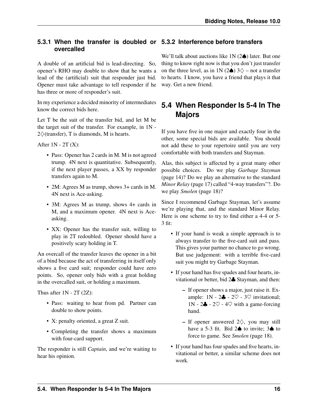#### <span id="page-21-0"></span>**5.3.1 When the transfer is doubled or 5.3.2 Interference before transfers overcalled**

A double of an artificial bid is lead-directing. So, opener's RHO may double to show that he wants a lead of the (artificial) suit that responder just bid. Opener must take advantage to tell responder if he has three or more of responder's suit.

In my experience a decided minority of intermediates know the correct bids here.

Let T be the suit of the transfer bid, and let M be the target suit of the transfer. For example, in 1N -  $2\diamondsuit$ (transfer), T is diamonds, M is hearts.

After  $1N - 2T(X)$ :

- Pass: Opener has 2 cards in M. M is not agreed trump. 4N next is quantitative. Subsequently, if the next player passes, a XX by responder transfers again to M.
- 2M: Agrees M as trump, shows 3+ cards in M. 4N next is Ace-asking.
- 3M: Agrees M as trump, shows 4+ cards in M, and a maximum opener. 4N next is Aceasking.
- XX: Opener has the transfer suit, willing to play in 2T redoubled. Opener should have a positively scary holding in T.

An overcall of the transfer leaves the opener in a bit of a bind because the act of transferring in itself only shows a five card suit; responder could have zero points. So, opener only bids with a great holding in the overcalled suit, or holding a maximum.

Thus after  $1N - 2T (2Z)$ :

- Pass: waiting to hear from pd. Partner can double to show points.
- X: penalty oriented, a great Z suit.
- Completing the transfer shows a maximum with four-card support.

The responder is still *[Captain](#page-80-2)*, and we're waiting to hear his opinion.

<span id="page-21-1"></span>We'll talk about auctions like  $1N(2\spadesuit)$  later. But one thing to know right now is that you don't just transfer on the three level, as in 1N (2 $\triangle$ ) 3 $\diamond$  – not a transfer to hearts. I know, you have a friend that plays it that way. Get a new friend.

## <span id="page-21-2"></span>**5.4 When Responder Is 5-4 In The Majors**

If you have five in one major and exactly four in the other, some special bids are available. You should not add these to your repertoire until you are very comfortable with both transfers and Stayman.

Alas, this subject is affected by a great many other possible choices. Do we play *[Garbage Stayman](#page-19-1)* (page 14)? Do we play an alternative to the standard *[Minor Relay](#page-22-3)* (page 17) called "4-way transfers"?. Do we play *[Smolen](#page-23-4)* (page 18)?

Since I recommend Garbage Stayman, let's assume we're playing that, and the standard Minor Relay. Here is one scheme to try to find either a 4-4 or 5- 3 fit:

- If your hand is weak a simple approach is to always transfer to the five-card suit and pass. This gives your partner no chance to go wrong. But use judgement: with a terrible five-card suit you might try Garbage Stayman.
- If your hand has five spades and four hearts, invitational or better, bid 2♣ Stayman, and then:
	- If opener shows a major, just raise it. Example:  $1N - 2\clubsuit - 2\heartsuit - 3\heartsuit$  invitational; 1N - 2 $\clubsuit$  - 2 $\heartsuit$  - 4 $\heartsuit$  with a game-forcing hand.
	- If opener answered 2♢, you may still have a 5-3 fit. Bid  $2\spadesuit$  to invite;  $3\spadesuit$  to force to game. See *[Smolen](#page-23-4)* (page 18).
- If your hand has four spades and five hearts, invitational or better, a similar scheme does not work.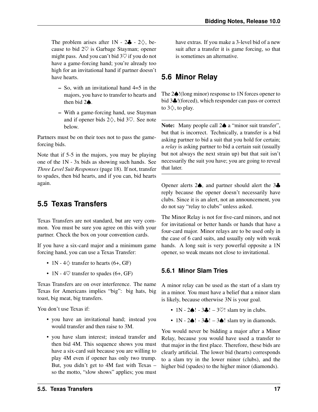The problem arises after  $1N - 2\clubsuit - 2\diamondsuit$ , because to bid  $2\heartsuit$  is Garbage Stayman; opener might pass. And you can't bid  $3\heartsuit$  if you do not have a game-forcing hand; you're already too high for an invitational hand if partner doesn't have hearts.

- So, with an invitational hand 4=5 in the majors, you have to transfer to hearts and then bid 2♠.
- With a game-forcing hand, use Stayman and if opener bids 2♢, bid 3♡. See note below.

Partners must be on their toes not to pass the gameforcing bids.

Note that if 5-5 in the majors, you may be playing one of the 1N - 3x bids as showing such hands. See *[Three Level Suit Responses](#page-23-0)* (page 18). If not, transfer to spades, then bid hearts, and if you can, bid hearts again.

## <span id="page-22-0"></span>**5.5 Texas Transfers**

<span id="page-22-4"></span>Texas Transfers are not standard, but are very common. You must be sure you agree on this with your partner. Check the box on your convention cards.

If you have a six-card major and a minimum game forcing hand, you can use a Texas Transfer:

- 1N  $4\diamondsuit$  transfer to hearts (6+, GF)
- 1N 4 $\heartsuit$  transfer to spades (6+, GF)

Texas Transfers are on over interference. The name Texas for Americans implies "big": big hats, big toast, big meat, big transfers.

You don't use Texas if:

- you have an invitational hand; instead you would transfer and then raise to 3M.
- you have slam interest; instead transfer and then bid 4M. This sequence shows you must have a six-card suit because you are willing to play 4M even if opener has only two trump. But, you didn't get to 4M fast with Texas – so the motto, "slow shows" applies; you must

have extras. If you make a 3-level bid of a new suit after a transfer it is game forcing, so that is sometimes an alternative.

## <span id="page-22-3"></span><span id="page-22-1"></span>**5.6 Minor Relay**

The 2♠!(long minor) response to 1N forces opener to bid 3♣!(forced), which responder can pass or correct to  $3\diamondsuit$ , to play.

Note: Many people call 2♠ a "minor suit transfer", but that is incorrect. Technically, a transfer is a bid asking partner to bid a suit that you hold for certain; a *[relay](#page-82-4)* is asking partner to bid a certain suit (usually but not always the next strain up) but that suit isn't necessarily the suit you have; you are going to reveal that later.

Opener alerts 2♠, and partner should alert the 3♣ reply because the opener doesn't necessarily have clubs. Since it is an alert, not an announcement, you do not say "relay to clubs" unless asked.

The Minor Relay is not for five-card minors, and not for invitational or better hands or hands that have a four-card major. Minor relays are to be used only in the case of 6 card suits, and usually only with weak hands. A long suit is very powerful opposite a 1N opener, so weak means not close to invitational.

#### <span id="page-22-2"></span>**5.6.1 Minor Slam Tries**

A minor relay can be used as the start of a slam try in a minor. You must have a belief that a minor slam is likely, because otherwise 3N is your goal.

- $1N 2 \spadesuit! 3 \clubsuit! 3 \heartsuit!$  slam try in clubs.
- $1N 2 \spadesuit! 3 \spadesuit! 3 \spadesuit!$  slam try in diamonds.

You would never be bidding a major after a Minor Relay, because you would have used a transfer to that major in the first place. Therefore, these bids are clearly artificial. The lower bid (hearts) corresponds to a slam try in the lower minor (clubs), and the higher bid (spades) to the higher minor (diamonds).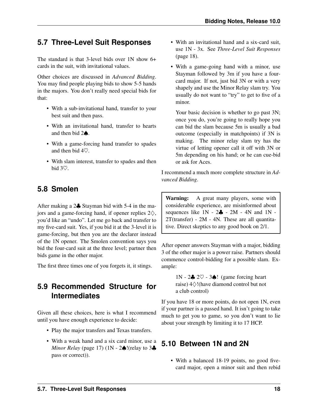## <span id="page-23-0"></span>**5.7 Three-Level Suit Responses**

The standard is that 3-level bids over  $1N$  show  $6+$ cards in the suit, with invitational values.

Other choices are discussed in *Advanced Bidding*. You may find people playing bids to show 5-5 hands in the majors. You don't really need special bids for that:

- With a sub-invitational hand, transfer to your best suit and then pass.
- With an invitational hand, transfer to hearts and then bid 2♠.
- With a game-forcing hand transfer to spades and then bid 4♡.
- With slam interest, transfer to spades and then bid 3♡.

## <span id="page-23-1"></span>**5.8 Smolen**

<span id="page-23-4"></span>After making a 2♣ Stayman bid with 5-4 in the majors and a game-forcing hand, if opener replies  $2\diamondsuit$ , you'd like an "undo". Let me go back and transfer to my five-card suit. Yes, if you bid it at the 3-level it is game-forcing, but then you are the declarer instead of the 1N opener. The Smolen convention says you bid the four-card suit at the three level; partner then bids game in the other major.

The first three times one of you forgets it, it stings.

## <span id="page-23-2"></span>**5.9 Recommended Structure for Intermediates**

Given all these choices, here is what I recommend until you have enough experience to decide:

- Play the major transfers and Texas transfers.
- With a weak hand and a six card minor, use a *[Minor Relay](#page-22-3)* (page 17) (1N - 2♠!(relay to 3♣ pass or correct)).
- With an invitational hand and a six-card suit, use 1N - 3x. See *[Three-Level Suit Responses](#page-23-0)* (page 18).
- With a game-going hand with a minor, use Stayman followed by 3m if you have a fourcard major. If not, just bid 3N or with a very shapely and use the Minor Relay slam try. You usually do not want to "try" to get to five of a minor.

Your basic decision is whether to go past 3N; once you do, you're going to really hope you can bid the slam because 5m is usually a bad outcome (especially in matchpoints) if 3N is making. The minor relay slam try has the virtue of letting opener call it off with 3N or 5m depending on his hand; or he can cue-bid or ask for Aces.

I recommend a much more complete structure in *Advanced Bidding*.

Warning: A great many players, some with considerable experience, are misinformed about sequences like  $1N - 2\clubsuit - 2M - 4N$  and  $1N -$ 2T(transfer) - 2M - 4N. These are all quantitative. Direct skeptics to any good book on 2/1.

After opener answers Stayman with a major, bidding 3 of the other major is a power raise. Partners should commence control-bidding for a possible slam. Example:

> 1N - 2♣ 2♡ - 3♠! (game forcing heart raise) 4♢!(have diamond control but not a club control)

If you have 18 or more points, do not open 1N, even if your partner is a passed hand. It isn't going to take much to get you to game, so you don't want to lie about your strength by limiting it to 17 HCP.

## <span id="page-23-3"></span>**5.10 Between 1N and 2N**

• With a balanced 18-19 points, no good fivecard major, open a minor suit and then rebid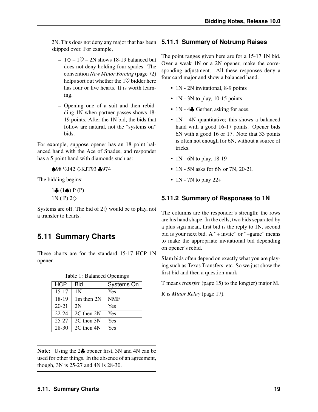2N. This does not deny any major that has been **5.11.1 Summary of Notrump Raises** skipped over. For example,

- $1\diamondsuit 1\diamondsuit 2N$  shows 18-19 balanced but does not deny holding four spades. The convention *[New Minor Forcing](#page-77-2)* (page 72) helps sort out whether the  $1\heartsuit$  bidder here has four or five hearts. It is worth learning.
- Opening one of a suit and then rebidding 1N when partner passes shows 18- 19 points. After the 1N bid, the bids that follow are natural, not the "systems on" bids.

For example, suppose opener has an 18 point balanced hand with the Ace of Spades, and responder has a 5 point hand with diamonds such as:

♠98 ♡J42 ♢KJT93 ♣974

The bidding begins:

 $1\clubsuit$   $(1\spadesuit)$  P  $(P)$ 1N ( P)  $2\diamondsuit$ 

Systems are off. The bid of  $2\diamondsuit$  would be to play, not a transfer to hearts.

## <span id="page-24-0"></span>**5.11 Summary Charts**

These charts are for the standard 15-17 HCP 1N opener.

| <b>HCP</b> | Bid            | Systems On |
|------------|----------------|------------|
| $15 - 17$  | 1 <sup>N</sup> | Yes        |
| 18-19      | $1m$ then $2N$ | <b>NMF</b> |
| $20 - 21$  | 2N             | Yes        |
| $22 - 24$  | 2C then 2N     | Yes        |
| $25 - 27$  | 2C then 3N     | Yes        |
| 28-30      | 2C then 4N     | Yes        |

Table 1: Balanced Openings

Note: Using the 2♣ opener first, 3N and 4N can be used for other things. In the absence of an agreement, though, 3N is 25-27 and 4N is 28-30.

<span id="page-24-1"></span>The point ranges given here are for a 15-17 1N bid. Over a weak 1N or a 2N opener, make the corresponding adjustment. All these responses deny a four card major and show a balanced hand.

- 1N 2N invitational, 8-9 points
- 1N 3N to play, 10-15 points
- 1N 4Å Gerber, asking for aces.
- 1N 4N quantitative; this shows a balanced hand with a good 16-17 points. Opener bids 6N with a good 16 or 17. Note that 33 points is often not enough for 6N, without a source of tricks.
- 1N 6N to play, 18-19
- 1N 5N asks for 6N or 7N, 20-21.
- 1N 7N to play  $22+$

#### <span id="page-24-2"></span>**5.11.2 Summary of Responses to 1N**

The columns are the responder's strength; the rows are his hand shape. In the cells, two bids separated by a plus sign mean, first bid is the reply to 1N, second bid is your next bid. A "+ invite" or "+game" means to make the appropriate invitational bid depending on opener's rebid.

Slam bids often depend on exactly what you are playing such as Texas Transfers, etc. So we just show the first bid and then a question mark.

T means *[transfer](#page-20-1)* (page 15) to the long(er) major M.

R is *[Minor Relay](#page-22-3)* (page 17).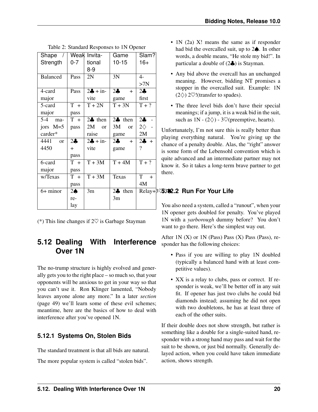|                |                   | Game                | Slam?            |  |  |
|----------------|-------------------|---------------------|------------------|--|--|
| $0 - 7$        | tional            | $10 - 15$           | $16+$            |  |  |
|                | $8-9$             |                     |                  |  |  |
| Pass           | 2N                | 3N                  | $4-$             |  |  |
|                |                   |                     | >7N              |  |  |
| Pass           | $2 + in-$         | $2\clubsuit$<br>$+$ | $2\clubsuit$     |  |  |
|                | vite              | game                | first            |  |  |
| $T +$          | $T + 2N$          | $T + 3N$            | $T + ?$          |  |  |
| pass           |                   |                     |                  |  |  |
| $T +$          | $2\clubsuit$ then | $2\clubsuit$ then   | 2 <sub>o</sub>   |  |  |
| pass           | 2M<br><b>or</b>   | 3M<br><sub>or</sub> | $2\diamond$ -    |  |  |
|                | raise             | game                | 2M               |  |  |
| 2 <sub>o</sub> | $2 + in-$         | $2\clubsuit$ +      | $2 - 1$          |  |  |
| $+$            | vite              | game                | $\gamma$         |  |  |
| pass           |                   |                     |                  |  |  |
| $T +$          | $T + 3M$          | $T + 4M$            | $\overline{T+?}$ |  |  |
| pass           |                   |                     |                  |  |  |
| $T +$          | $T + 3M$          | Texas               | $T +$            |  |  |
| pass           |                   |                     | 4M               |  |  |
| $2\spadesuit$  | 3m                | $2\clubsuit$ then   | Relay+           |  |  |
| re-            |                   | 3m                  |                  |  |  |
| lay            |                   |                     |                  |  |  |
|                |                   | Weak Invita-        |                  |  |  |

|  | Table 2: Standard Responses to 1N Opener |  |
|--|------------------------------------------|--|
|  |                                          |  |

(\*) This line changes if  $2\heartsuit$  is Garbage Stayman

### <span id="page-25-0"></span>**5.12 Dealing With Interference Over 1N**

The no-trump structure is highly evolved and generally gets you to the right place – so much so, that your opponents will be anxious to get in your way so that you can't use it. Ron Klinger lamented, "Nobody leaves anyone alone any more." In a later *[section](#page-54-0)* (page 49) we'll learn some of these evil schemes; meantime, here are the basics of how to deal with interference after you've opened 1N.

#### <span id="page-25-1"></span>**5.12.1 Systems On, Stolen Bids**

The standard treatment is that all bids are natural. The more popular system is called "stolen bids".

- 1N (2a) X! means the same as if responder had bid the overcalled suit, up to 2♠. In other words, a double means, "He stole my bid!". In particular a double of  $(2\clubsuit)$  is Stayman.
- Any bid above the overcall has an unchanged meaning. However, bidding NT promises a stopper in the overcalled suit. Example: 1N  $(2\diamond)$  2 $\heartsuit$ !(transfer to spades).
- The three level bids don't have their special meanings; if a jump, it is a weak bid in the suit, such as  $1N - (2\diamondsuit) - 3\heartsuit$  (preemptive, hearts).

Unfortunately, I'm not sure this is really better than playing everything natural. You're giving up the chance of a penalty double. Alas, the "right" answer is some form of the Lebensohl convention which is quite advanced and an intermediate partner may not know it. So it takes a long-term brave partner to get there.

#### Relay+3♡/3♠ **5.12.2 Run For Your Life**

<span id="page-25-2"></span>You also need a system, called a "runout", when your 1N opener gets doubled for penalty. You've played 1N with a *[yarborough](#page-83-0)* dummy before? You don't want to go there. Here's the simplest way out.

After  $1N(X)$  or  $1N$  (Pass) Pass  $(X)$  Pass (Pass), responder has the following choices:

- Pass if you are willing to play 1N doubled (typically a balanced hand with at least competitive values).
- XX is a relay to clubs, pass or correct. If responder is weak, we'll be better off in any suit fit. If opener has just two clubs he could bid diamonds instead; assuming he did not open with two doubletons, he has at least three of each of the other suits.

If their double does not show strength, but rather is something like a double for a single-suited hand, responder with a strong hand may pass and wait for the suit to be shown, or just bid normally. Generally delayed action, when you could have taken immediate action, shows strength.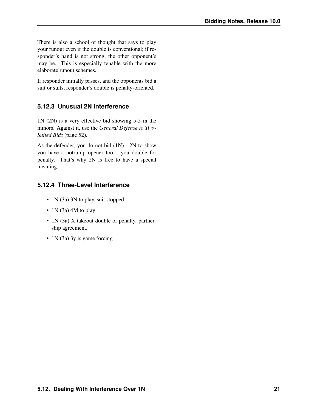There is also a school of thought that says to play your runout even if the double is conventional; if responder's hand is not strong, the other opponent's may be. This is especially tenable with the more elaborate runout schemes.

If responder initially passes, and the opponents bid a suit or suits, responder's double is penalty-oriented.

#### <span id="page-26-0"></span>**5.12.3 Unusual 2N interference**

1N (2N) is a very effective bid showing 5-5 in the minors. Against it, use the *[General Defense to Two-](#page-57-0)[Suited Bids](#page-57-0)* (page 52).

As the defender, you do not bid (1N) - 2N to show you have a notrump opener too – you double for penalty. That's why 2N is free to have a special meaning.

#### <span id="page-26-1"></span>**5.12.4 Three-Level Interference**

- 1N (3a) 3N to play, suit stopped
- 1N (3a) 4M to play
- 1N (3a) X takeout double or penalty, partnership agreement.
- 1N (3a) 3y is game forcing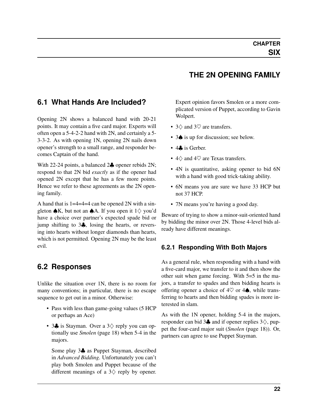## <span id="page-27-0"></span>**6.1 What Hands Are Included?**

Opening 2N shows a balanced hand with 20-21 points. It may contain a five card major. Experts will often open a 5-4-2-2 hand with 2N, and certainly a 5- 3-3-2. As with opening 1N, opening 2N nails down opener's strength to a small range, and responder becomes Captain of the hand.

With 22-24 points, a balanced 2♣ opener rebids 2N; respond to that 2N bid *exactly* as if the opener had opened 2N except that he has a few more points. Hence we refer to these agreements as the 2N opening family.

A hand that is 1=4=4=4 can be opened 2N with a singleton  $\triangle K$ , but not an  $\triangle A$ . If you open it 1 $\diamondsuit$  you'd have a choice over partner's expected spade bid or jump shifting to 3♣, losing the hearts, or reversing into hearts without longer diamonds than hearts, which is not permitted. Opening 2N may be the least evil.

## <span id="page-27-1"></span>**6.2 Responses**

Unlike the situation over 1N, there is no room for many conventions; in particular, there is no escape sequence to get out in a minor. Otherwise:

- Pass with less than game-going values (5 HCP or perhaps an Ace)
- 3♣ is Stayman. Over a 3♢ reply you can optionally use *[Smolen](#page-23-4)* (page 18) when 5-4 in the majors.

Some play 3♣ as Puppet Stayman, described in *Advanced Bidding*. Unfortunately you can't play both Smolen and Puppet because of the different meanings of a  $3\diamondsuit$  reply by opener.

## **THE 2N OPENING FAMILY**

Expert opinion favors Smolen or a more complicated version of Puppet, according to Gavin Wolpert.

- 3♢ and 3♡ are transfers.
- 3♠ is up for discussion; see below.
- 4**.** is Gerber.
- $4\diamond$  and  $4\heartsuit$  are Texas transfers.
- 4N is quantitative, asking opener to bid 6N with a hand with good trick-taking ability.
- 6N means you are sure we have 33 HCP but not 37 HCP.
- 7N means you're having a good day.

Beware of trying to show a minor-suit-oriented hand by bidding the minor over 2N. Those 4-level bids already have different meanings.

#### <span id="page-27-2"></span>**6.2.1 Responding With Both Majors**

As a general rule, when responding with a hand with a five-card major, we transfer to it and then show the other suit when game forcing. With 5=5 in the majors, a transfer to spades and then bidding hearts is offering opener a choice of  $4\heartsuit$  or  $4\spadesuit$ , while transferring to hearts and then bidding spades is more interested in slam.

As with the 1N opener, holding 5-4 in the majors, responder can bid 3 $\clubsuit$  and if opener replies 3 $\diamondsuit$ , puppet the four-card major suit (*[Smolen](#page-23-4)* (page 18)). Or, partners can agree to use Puppet Stayman.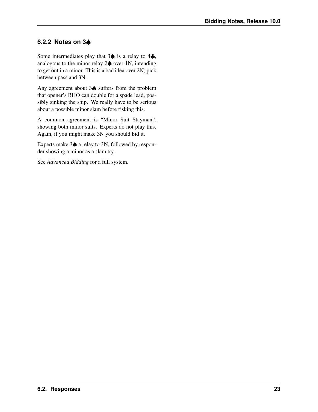#### <span id="page-28-0"></span>**6.2.2 Notes on 3**♠

Some intermediates play that  $3\spadesuit$  is a relay to  $4\clubsuit$ , analogous to the minor relay 2♠ over 1N, intending to get out in a minor. This is a bad idea over 2N; pick between pass and 3N.

Any agreement about 3♠ suffers from the problem that opener's RHO can double for a spade lead, possibly sinking the ship. We really have to be serious about a possible minor slam before risking this.

A common agreement is "Minor Suit Stayman", showing both minor suits. Experts do not play this. Again, if you might make 3N you should bid it.

Experts make 3♠ a relay to 3N, followed by responder showing a minor as a slam try.

See *Advanced Bidding* for a full system.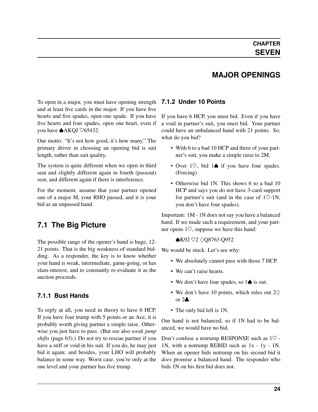## **MAJOR OPENINGS**

<span id="page-29-0"></span>To open in a major, you must have opening strength **7.1.2 Under 10 Points** and at least five cards in the major. If you have five hearts and five spades, open one spade. If you have five hearts and four spades, open one heart, even if you have ♠AKQJ ♡65432.

Our motto: "It's not how good, it's how many." The primary driver in choosing an opening bid is suit length, rather than suit quality.

The system is quite different when we open in third seat and slightly different again in fourth (passout) seat, and different again if there is interference.

For the moment, assume that your partner opened one of a major M, your RHO passed, and it is your bid as an unpassed hand.

## <span id="page-29-1"></span>**7.1 The Big Picture**

The possible range of the opener's hand is huge, 12- 21 points. That is the big weakness of standard bidding. As a responder, the key is to know whether your hand is weak, intermediate, game-going, or has slam-interest, and to constantly re-evaluate it as the auction proceeds.

#### <span id="page-29-2"></span>**7.1.1 Bust Hands**

To reply at all, you need in theory to have 6 HCP. If you have four trump with 5 points or an Ace, it is probably worth giving partner a simple raise. Otherwise you just have to pass. (But see also *[weak jump](#page-68-2) [shifts](#page-68-2)* (page 63).) Do not try to rescue partner if you have a stiff or void in his suit. If you do, he may just bid it again; and besides, your LHO will probably balance in some way. Worst case, you're only at the one level and your partner has five trump.

<span id="page-29-3"></span>If you have 6 HCP, you must bid. Even if you have a void in partner's suit, you must bid. Your partner could have an unbalanced hand with 21 points. So, what do you bid?

- With 6 to a bad 10 HCP and three of your partner's suit, you make a simple raise to 2M.
- Over  $1\heartsuit$ , bid  $1\spadesuit$  if you have four spades. (Forcing)
- Otherwise bid 1N. This shows 6 to a bad 10 HCP and says you do not have 3-card support for partner's suit (and in the case of  $1\degree$ -1N, you don't have four spades).

Important: 1M - 1N does not say you have a balanced hand. If we made such a requirement, and your partner opens 1♡, suppose we have this hand:

#### ♠K92 ♡2 ♢Q8763 Q952

We would be stuck. Let's see why:

- We absolutely cannot pass with those 7 HCP.
- We can't raise hearts.
- We don't have four spades, so 1♦ is out.
- We don't have 10 points, which rules out  $2\diamondsuit$ or 2♣.
- The only bid left is 1N.

Our hand is not balanced, so if 1N had to be balanced, we would have no bid.

Don't confuse a notrump RESPONSE such as 1♡ - 1N, with a notrump REBID such as 1x - 1y - 1N. When an opener bids notrump on his second bid it *does* promise a balanced hand. The responder who bids 1N on his first bid does not.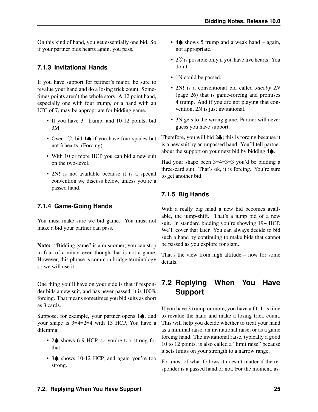On this kind of hand, you get essentially one bid. So if your partner bids hearts again, you pass.

#### <span id="page-30-0"></span>**7.1.3 Invitational Hands**

If you have support for partner's major, be sure to revalue your hand and do a losing trick count. Sometimes points aren't the whole story. A 12 point hand, especially one with four trump, or a hand with an LTC of 7, may be appropriate for bidding game.

- If you have 3+ trump, and 10-12 points, bid 3M.
- Over 1♡, bid 1♠ if you have four spades but not 3 hearts. (Forcing)
- With 10 or more HCP you can bid a new suit on the two-level.
- 2N! is not available because it is a special convention we discuss below, unless you're a passed hand.

#### <span id="page-30-1"></span>**7.1.4 Game-Going Hands**

You must make sure we bid game. You must not make a bid your partner can pass.

Note: "Bidding game" is a misnomer; you can stop in four of a minor even though that is not a game. However, this phrase is common bridge terminology so we will use it.

One thing you'll have on your side is that if responder bids a new suit, and has never passed, it is 100% forcing. That means sometimes you bid suits as short as 3 cards.

Suppose, for example, your partner opens 1♠, and your shape is 3=4=2=4 with 13 HCP. You have a dilemma:

- 2♠ shows 6-9 HCP, so you're too strong for that.
- 3♦ shows 10-12 HCP, and again you're too strong.
- 4♠ shows 5 trump and a weak hand again, not appropriate.
- $2\heartsuit$  is possible only if you have five hearts. You don't.
- 1N could be passed.
- 2N! is a conventional bid called *[Jacoby 2N](#page-31-1)* (page 26) that is game-forcing and promises 4 trump. And if you are not playing that convention, 2N is just invitational.
- 3N gets to the wrong game. Partner will never guess you have support.

Therefore, you will bid 2♣; this is forcing because it is a new suit by an unpassed hand. You'll tell partner about the support on your next bid by bidding 4♠.

Had your shape been 3=4=3=3 you'd be bidding a three-card suit. That's ok, it is forcing. You're sure to get another bid.

### <span id="page-30-2"></span>**7.1.5 Big Hands**

With a really big hand a new bid becomes available, the jump-shift. That's a jump bid of a new suit. In standard bidding you're showing 19+ HCP. We'll cover that later. You can always decide to bid such a hand by continuing to make bids that cannot be passed as you explore for slam.

That's the view from high altitude – now for some details.

## <span id="page-30-3"></span>**7.2 Replying When You Have Support**

If you have 3 trump or more, you have a fit. It is time to revalue the hand and make a losing trick count. This will help you decide whether to treat your hand as a minimal raise, an invitational raise, or as a game forcing hand. The invitational raise, typically a good 10 to 12 points, is also called a "limit raise" because it sets limits on your strength to a narrow range.

For most of what follows it doesn't matter if the responder is a passed hand or not. For the moment, as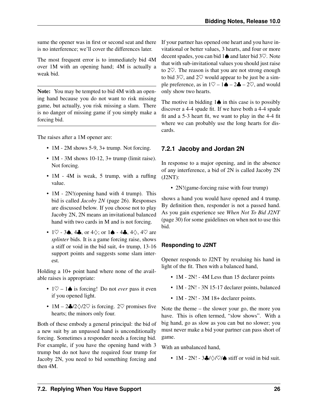sume the opener was in first or second seat and there is no interference; we'll cover the differences later.

The most frequent error is to immediately bid 4M over 1M with an opening hand; 4M is actually a weak bid.

Note: You may be tempted to bid 4M with an opening hand because you do not want to risk missing game, but actually, you risk missing a slam. There is no danger of missing game if you simply make a forcing bid.

The raises after a 1M opener are:

- 1M 2M shows 5-9, 3+ trump. Not forcing.
- 1M 3M shows 10-12, 3+ trump (limit raise). Not forcing.
- 1M 4M is weak, 5 trump, with a ruffing value.
- 1M 2N! (opening hand with 4 trump). This bid is called *[Jacoby 2N](#page-31-1)* (page 26). Responses are discussed below. If you choose not to play Jacoby 2N, 2N means an invitational balanced hand with two cards in M and is not forcing.
- 1 $\heartsuit$  3 $\spadesuit$ , 4 $\clubsuit$ , or 4 $\diamondsuit$ ; or 1 $\spadesuit$  4 $\clubsuit$ , 4 $\diamondsuit$ , 4 $\heartsuit$  are *[splinter](#page-82-5)* bids. It is a game forcing raise, shows a stiff or void in the bid suit, 4+ trump, 13-16 support points and suggests some slam interest.

Holding a 10+ point hand where none of the available raises is appropriate:

- 1♡ 1♠ is forcing! Do not *ever* pass it even if you opened light.
- 1M 2 $\frac{1}{\sqrt{2}}$  /2 $\sqrt{2}$  is forcing. 2 $\sqrt{2}$  promises five hearts; the minors only four.

Both of these embody a general principal: the bid of a new suit by an unpassed hand is unconditionally forcing. Sometimes a responder needs a forcing bid. For example, if you have the opening hand with 3 trump but do not have the required four trump for Jacoby 2N, you need to bid something forcing and then 4M.

If your partner has opened one heart and you have invitational or better values, 3 hearts, and four or more decent spades, you can bid 1♠ and later bid 3♡. Note that with sub-invitational values you should just raise to 2♡. The reason is that you are not strong enough to bid  $3\degree$ , and  $2\degree$  would appear to be just be a simple preference, as in  $1\heartsuit - 1\spadesuit - 2\clubsuit - 2\heartsuit$ , and would only show two hearts.

The motive in bidding  $1\spadesuit$  in this case is to possibly discover a 4-4 spade fit. If we have both a 4-4 spade fit and a 5-3 heart fit, we want to play in the 4-4 fit where we can probably use the long hearts for discards.

#### <span id="page-31-0"></span>**7.2.1 Jacoby and Jordan 2N**

<span id="page-31-1"></span>In response to a major opening, and in the absence of any interference, a bid of 2N is called Jacoby 2N (J2NT):

• 2N!(game-forcing raise with four trump)

shows a hand you would have opened and 4 trump. By definition then, responder is not a passed hand. As you gain experience see *[When Not To Bid J2NT](#page-35-1)* (page 30) for some guidelines on when not to use this bid.

#### **Responding to J2NT**

Opener responds to J2NT by revaluing his hand in light of the fit. Then with a balanced hand,

- 1M 2N! 4M Less than 15 declarer points
- 1M 2N! 3N 15-17 declarer points, balanced
- 1M 2N! 3M 18+ declarer points.

Note the theme – the slower your go, the more you have. This is often termed, "slow shows". With a big hand, go as slow as you can but no slower; you must never make a bid your partner can pass short of game.

With an unbalanced hand,

• 1M - 2N! - 3♣/ $\Diamond$ /♡/♠ stiff or void in bid suit.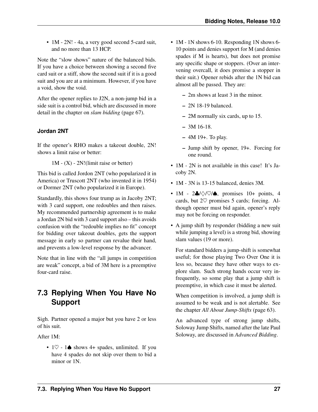• 1M - 2N! - 4a, a very good second 5-card suit, and no more than 13 HCP.

Note the "slow shows" nature of the balanced bids. If you have a choice between showing a second five card suit or a stiff, show the second suit if it is a good suit and you are at a minimum. However, if you have a void, show the void.

After the opener replies to J2N, a non-jump bid in a side suit is a control bid, which are discussed in more detail in the chapter on *[slam bidding](#page-72-4)* (page 67).

#### **Jordan 2NT**

If the opener's RHO makes a takeout double, 2N! shows a limit raise or better:

 $1M - (X) - 2N!(limit raise or better)$ 

This bid is called Jordon 2NT (who popularized it in America) or Truscott 2NT (who invented it in 1954) or Dormer 2NT (who popularized it in Europe).

Standardly, this shows four trump as in Jacoby 2NT; with 3 card support, one redoubles and then raises. My recommended partnership agreement is to make a Jordan 2N bid with 3 card support also – this avoids confusion with the "redouble implies no fit" concept for bidding over takeout doubles, gets the support message in early so partner can revalue their hand, and prevents a low-level response by the advancer.

Note that in line with the "all jumps in competition are weak" concept, a bid of 3M here is a preemptive four-card raise.

## <span id="page-32-0"></span>**7.3 Replying When You Have No Support**

Sigh. Partner opened a major but you have 2 or less of his suit.

After 1M:

•  $1\heartsuit$  -  $1\spadesuit$  shows 4+ spades, unlimited. If you have 4 spades do not skip over them to bid a minor or 1N.

- 1M 1N shows 6-10. Responding 1N shows 6-10 points and denies support for M (and denies spades if M is hearts), but does not promise any specific shape or stoppers. (Over an intervening overcall, it does promise a stopper in their suit.) Opener rebids after the 1N bid can almost all be passed. They are:
	- 2m shows at least 3 in the minor.
	- 2N 18-19 balanced.
	- 2M normally six cards, up to 15.
	- 3M 16-18.
	- 4M 19+. To play.
	- Jump shift by opener, 19+. Forcing for one round.
- 1M 2N is not available in this case! It's Jacoby 2N.
- 1M 3N is 13-15 balanced, denies 3M.
- 1M  $2\clubsuit$ / $\diamond$ / $\heartsuit$ / $\spadesuit$ , promises 10+ points, 4 cards, but  $2\heartsuit$  promises 5 cards; forcing. Although opener must bid again, opener's reply may not be forcing on responder.
- A jump shift by responder (bidding a new suit while jumping a level) is a strong bid, showing slam values (19 or more).

For standard bidders a jump-shift is somewhat useful; for those playing Two Over One it is less so, because they have other ways to explore slam. Such strong hands occur very infrequently, so some play that a jump shift is preemptive, in which case it must be alerted.

When competition is involved, a jump shift is assumed to be weak and is not alertable. See the chapter *[All About Jump-Shifts](#page-68-0)* (page 63).

An advanced type of strong jump shifts, Soloway Jump Shifts, named after the late Paul Soloway, are discussed in *Advanced Bidding*.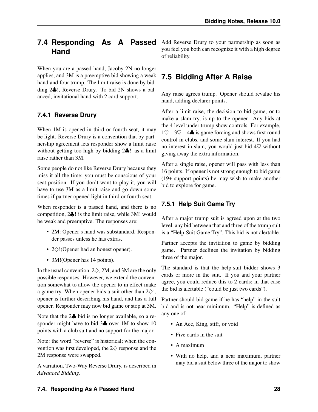## <span id="page-33-0"></span>**7.4 Responding As A Passed Hand**

When you are a passed hand, Jacoby 2N no longer applies, and 3M is a preemptive bid showing a weak hand and four trump. The limit raise is done by bidding 2♣!, Reverse Drury. To bid 2N shows a balanced, invitational hand with 2 card support.

#### <span id="page-33-1"></span>**7.4.1 Reverse Drury**

When 1M is opened in third or fourth seat, it may be light. Reverse Drury is a convention that by partnership agreement lets responder show a limit raise without getting too high by bidding 2♣! as a limit raise rather than 3M.

Some people do not like Reverse Drury because they miss it all the time; you must be conscious of your seat position. If you don't want to play it, you will have to use 3M as a limit raise and go down some times if partner opened light in third or fourth seat.

When responder is a passed hand, and there is no competition, 2♣! is the limit raise, while 3M! would be weak and preemptive. The responses are:

- 2M: Opener's hand was substandard. Responder passes unless he has extras.
- 2♢!(Opener had an honest opener).
- 3M! (Opener has 14 points).

In the usual convention,  $2\diamondsuit$ , 2M, and 3M are the only possible responses. However, we extend the convention somewhat to allow the opener to in effect make a game try. When opener bids a suit other than  $2\diamondsuit!$ , opener is further describing his hand, and has a full opener. Responder may now bid game or stop at 3M.

Note that the 2 $\clubsuit$  bid is no longer available, so a responder might have to bid 3 $\clubsuit$  over 1M to show 10 points with a club suit and no support for the major.

Note: the word "reverse" is historical; when the convention was first developed, the  $2\diamondsuit$  response and the 2M response were swapped.

A variation, Two-Way Reverse Drury, is described in *Advanced Bidding*.

Add Reverse Drury to your partnership as soon as you feel you both can recognize it with a high degree of reliability.

## <span id="page-33-2"></span>**7.5 Bidding After A Raise**

Any raise agrees trump. Opener should revalue his hand, adding declarer points.

After a limit raise, the decision to bid game, or to make a slam try, is up to the opener. Any bids at the 4 level under trump show controls. For example,  $1\degree$  – 3 $\degree$  – 4 $\clubsuit$  is game forcing and shows first round control in clubs, and some slam interest. If you had no interest in slam, you would just bid  $4\heartsuit$  without giving away the extra information.

After a single raise, opener will pass with less than 16 points. If opener is not strong enough to bid game (19+ support points) he may wish to make another bid to explore for game.

### <span id="page-33-3"></span>**7.5.1 Help Suit Game Try**

After a major trump suit is agreed upon at the two level, any bid between that and three of the trump suit is a "Help-Suit Game Try". This bid is not alertable.

Partner accepts the invitation to game by bidding game. Partner declines the invitation by bidding three of the major.

The standard is that the help-suit bidder shows 3 cards or more in the suit. If you and your partner agree, you could reduce this to 2 cards; in that case the bid is alertable ("could be just two cards").

Partner should bid game if he has "help" in the suit bid and is not near minimum. "Help" is defined as any one of:

- An Ace, King, stiff, or void
- Five cards in the suit
- A maximum
- With no help, and a near maximum, partner may bid a suit below three of the major to show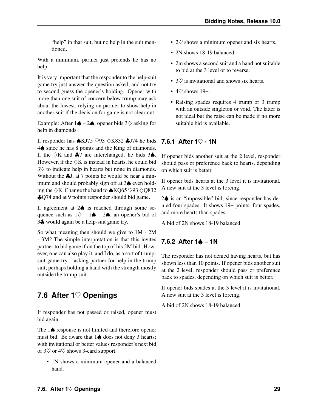"help" in that suit, but no help in the suit mentioned.

With a minimum, partner just pretends he has no help.

It is very important that the responder to the help-suit game try just answer the question asked, and not try to second guess the opener's holding. Opener with more than one suit of concern below trump may ask about the lowest, relying on partner to show help in another suit if the decision for game is not clear-cut.

Example: After  $1\spadesuit - 2\spadesuit$ , opener bids  $3\diamondsuit$  asking for help in diamonds.

If responder has  $\triangle$ KJ75  $\heartsuit$ 93  $\triangle$ K832  $\triangle$ J74 he bids 4♠ since he has 8 points and the King of diamonds. If the  $\Diamond K$  and  $\clubsuit$ 7 are interchanged, he bids 3 $\spadesuit$ . However, if the  $\Diamond K$  is instead in hearts, he could bid 3♡ to indicate help in hearts but none in diamonds. Without the  $\clubsuit$ J, at 7 points he would be near a minimum and should probably sign off at 3♠ even holding the  $\Diamond K$ . Change the hand to  $\triangle KQ$ 65  $\Diamond$ 93  $\Diamond$ Q832 ♣Q74 and at 9 points responder should bid game.

If agreement at 2♠ is reached through some sequence such as  $1\diamondsuit - 1\spadesuit - 2\spadesuit$ , an opener's bid of 3♣ would again be a help-suit game try.

So what meaning then should we give to 1M - 2M - 3M? The simple interpretation is that this invites partner to bid game if on the top of his 2M bid. However, one can also play it, and I do, as a sort of trumpsuit game try – asking partner for help in the trump suit, perhaps holding a hand with the strength mostly outside the trump suit.

## <span id="page-34-0"></span>**7.6 After 1**♡ **Openings**

If responder has not passed or raised, opener must bid again.

The 1♠ response is not limited and therefore opener must bid. Be aware that 1♠ does not deny 3 hearts; with invitational or better values responder's next bid of  $3\heartsuit$  or  $4\heartsuit$  shows 3-card support.

• 1N shows a minimum opener and a balanced hand.

- $2\heartsuit$  shows a minimum opener and six hearts.
- 2N shows 18-19 balanced.
- 2m shows a second suit and a hand not suitable to bid at the 3 level or to reverse.
- $3\heartsuit$  is invitational and shows six hearts.
- $4\heartsuit$  shows 19+.
- Raising spades requires 4 trump or 3 trump with an outside singleton or void. The latter is not ideal but the raise can be made if no more suitable bid is available.

#### <span id="page-34-1"></span>**7.6.1 After 1**♡ **- 1N**

If opener bids another suit at the 2 level, responder should pass or preference back to hearts, depending on which suit is better.

If opener bids hearts at the 3 level it is invitational. A new suit at the 3 level is forcing.

2♠ is an "impossible" bid, since responder has denied four spades. It shows 19+ points, four spades, and more hearts than spades.

A bid of 2N shows 18-19 balanced.

#### <span id="page-34-2"></span>**7.6.2 After 1**♠ **– 1N**

The responder has not denied having hearts, but has shown less than 10 points. If opener bids another suit at the 2 level, responder should pass or preference back to spades, depending on which suit is better.

If opener bids spades at the 3 level it is invitational. A new suit at the 3 level is forcing.

A bid of 2N shows 18-19 balanced.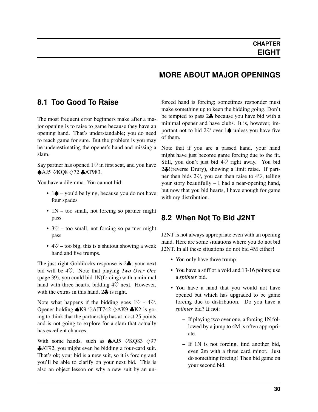## **MORE ABOUT MAJOR OPENINGS**

#### <span id="page-35-0"></span>**8.1 Too Good To Raise**

The most frequent error beginners make after a major opening is to raise to game because they have an opening hand. That's understandable; you do need to reach game for sure. But the problem is you may be underestimating the opener's hand and missing a slam.

Say partner has opened  $1\heartsuit$  in first seat, and you have ♠AJ5 ♡KQ8 ♢72 ♣AT983.

You have a dilemma. You cannot bid:

- 1♦ you'd be lying, because you do not have four spades
- 1N too small, not forcing so partner might pass.
- $3\heartsuit$  too small, not forcing so partner might pass
- $4\heartsuit$  too big, this is a shutout showing a weak hand and five trumps.

The just-right Goldilocks response is 2♣; your next bid will be 4♡. Note that playing *[Two Over One](#page-44-2)* (page 39), you could bid 1N(forcing) with a minimal hand with three hearts, bidding  $4\heartsuit$  next. However, with the extras in this hand,  $2\clubsuit$  is right.

Note what happens if the bidding goes  $1\heartsuit$  -  $4\heartsuit$ . Opener holding  $\triangle$ K9  $\heartsuit$ AJT742  $\triangle$ AK9  $\triangle$ K2 is going to think that the partnership has at most 25 points and is not going to explore for a slam that actually has excellent chances.

With some hands, such as  $\triangle$ AJ5  $\heartsuit$ KQ83  $\diamondsuit$ 97 ♣AT92, you might even be bidding a four-card suit. That's ok; your bid is a new suit, so it is forcing and you'll be able to clarify on your next bid. This is also an object lesson on why a new suit by an unforced hand is forcing; sometimes responder must make something up to keep the bidding going. Don't be tempted to pass 2♣ because you have bid with a minimal opener and have clubs. It is, however, important not to bid 2 $\heartsuit$  over 1 $\spadesuit$  unless you have five of them.

Note that if you are a passed hand, your hand might have just become game forcing due to the fit. Still, you don't just bid  $4\heartsuit$  right away. You bid 2♣!(reverse Drury), showing a limit raise. If partner then bids  $2\heartsuit$ , you can then raise to  $4\heartsuit$ , telling your story beautifully – I had a near-opening hand, but now that you bid hearts, I have enough for game with my distribution.

## <span id="page-35-1"></span>**8.2 When Not To Bid J2NT**

J2NT is not always appropriate even with an opening hand. Here are some situations where you do not bid J2NT. In all these situations do not bid 4M either!

- You only have three trump.
- You have a stiff or a void and 13-16 points; use a *[splinter](#page-82-5)* bid.
- You have a hand that you would not have opened but which has upgraded to be game forcing due to distribution. Do you have a *[splinter](#page-82-5)* bid? If not:
	- If playing two over one, a forcing 1N followed by a jump to 4M is often appropriate.
	- If 1N is not forcing, find another bid, even 2m with a three card minor. Just do something forcing! Then bid game on your second bid.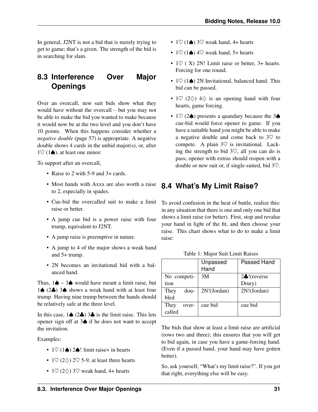In general, J2NT is not a bid that is merely trying to get to game; that's a given. The strength of the bid is in searching for slam.

## **8.3 Interference Over Major Openings**

Over an overcall, new suit bids show what they would have without the overcall – but you may not be able to make the bid you wanted to make because it would now be at the two level and you don't have 10 points. When this happens consider whether a *[negative double](#page-62-0)* (page 57) is appropriate. A negative double shows 4 cards in the unbid major(s), or, after  $1\heartsuit$  (1 $\spadesuit$ ), at least one minor.

To support after an overcall,

- Raise to 2 with 5-9 and 3+ cards.
- Most hands with Axxx are also worth a raise to 2, especially in spades.
- Cue-bid the overcalled suit to make a limit raise or better.
- A jump cue bid is a power raise with four trump, equivalent to J2NT.
- A jump raise is preemptive in nature.
- A jump to 4 of the major shows a weak hand and 5+ trump.
- 2N becomes an invitational bid with a balanced hand.

Thus,  $1\spadesuit - 3\spadesuit$  would have meant a limit raise, but 1♠ (2♣) 3♠ shows a weak hand with at least four trump. Having nine trump between the hands should be relatively safe at the three level.

In this case,  $1\spadesuit$  ( $2\clubsuit$ )  $3\clubsuit$  is the limit raise. This lets opener sign off at 3♠ if he does not want to accept the invitation.

Examples:

- $1\heartsuit$  (1 $\spadesuit$ ) 2 $\spadesuit$ ! limit raise+ in hearts
- 1 $\heartsuit$  (2 $\diamondsuit$ ) 2 $\heartsuit$  5-9, at least three hearts
- 1 $\heartsuit$  (2 $\diamondsuit$ ) 3 $\heartsuit$  weak hand, 4+ hearts
- 1 $\heartsuit$  (1 $\spadesuit$ ) 3 $\heartsuit$  weak hand, 4+ hearts
- 1 $\heartsuit$  (1 $\spadesuit$ ) 4 $\heartsuit$  weak hand, 5+ hearts
- $1\heartsuit$  (X) 2N! Limit raise or better, 3+ hearts. Forcing for one round.
- $1\heartsuit$  (1 $\spadesuit$ ) 2N Invitational, balanced hand. This bid can be passed.
- 1 $\heartsuit$  (2 $\diamondsuit$ ) 4 $\diamondsuit$  is an opening hand with four hearts, game forcing.
- 1 $\heartsuit$  (2 $\spadesuit$ ) presents a quandary because the 3 $\spadesuit$ cue-bid would force opener to game. If you have a suitable hand you might be able to make a negative double and come back to 3♡ to compete. A plain  $3\heartsuit$  is invitational. Lacking the strength to bid  $3\degree$ , all you can do is pass; opener with extras should reopen with a double or new suit or, if single-suited, bid 3♡.

#### **8.4 What's My Limit Raise?**

To avoid confusion in the heat of battle, realize this: in any situation that there is one and only one bid that shows a limit raise (or better). First, stop and revalue your hand in light of the fit, and then choose your raise. This chart shows what to do to make a limit raise:

|               | Unpassed<br>Hand | Passed Hand            |
|---------------|------------------|------------------------|
| No competi-   | 3M               | $2\clubsuit!$ (reverse |
| tion          |                  | Drury)                 |
| dou-<br>They  | 2N!(Jordan)      | 2N!(Jordan)            |
| <b>bled</b>   |                  |                        |
| They<br>over- | cue bid          | cue bid                |
| called        |                  |                        |

Table 1: Major Suit Limit Raises

The bids that show at least a limit raise are artificial (rows two and three); this ensures that you will get to bid again, in case you have a game-forcing hand. (Even if a passed hand, your hand may have gotten better).

So, ask yourself, "What's my limit raise?". If you get that right, everything else will be easy.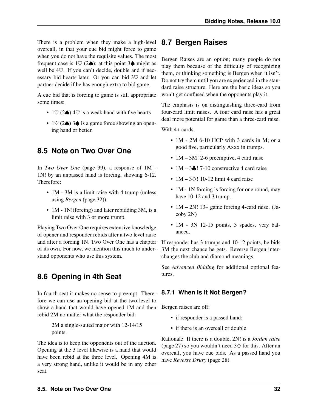There is a problem when they make a high-level overcall, in that your cue bid might force to game when you do not have the requisite values. The most frequent case is  $1\heartsuit$  (2 $\spadesuit$ ); at this point 3 $\spadesuit$  might as well be 4♡. If you can't decide, double and if necessary bid hearts later. Or you can bid 3♡ and let partner decide if he has enough extra to bid game.

A cue bid that is forcing to game is still appropriate some times:

- 1 $\heartsuit$  (2 $\spadesuit$ ) 4 $\heartsuit$  is a weak hand with five hearts
- $1\heartsuit$  (2 $\spadesuit$ ) 3 $\spadesuit$  is a game force showing an opening hand or better.

## **8.5 Note on Two Over One**

In *[Two Over One](#page-44-0)* (page 39), a response of 1M - 1N! by an unpassed hand is forcing, showing 6-12. Therefore:

- 1M 3M is a limit raise with 4 trump (unless using *[Bergen](#page-37-0)* (page 32)).
- 1M 1N!(forcing) and later rebidding 3M, is a limit raise with 3 or more trump.

Playing Two Over One requires extensive knowledge of opener and responder rebids after a two level raise and after a forcing 1N. Two Over One has a chapter of its own. For now, we mention this much to understand opponents who use this system.

## **8.6 Opening in 4th Seat**

In fourth seat it makes no sense to preempt. Therefore we can use an opening bid at the two level to show a hand that would have opened 1M and then rebid 2M no matter what the responder bid:

> 2M a single-suited major with 12-14/15 points.

The idea is to keep the opponents out of the auction. Opening at the 3 level likewise is a hand that would have been rebid at the three level. Opening 4M is a very strong hand, unlike it would be in any other seat.

## **8.7 Bergen Raises**

<span id="page-37-0"></span>Bergen Raises are an option; many people do not play them because of the difficulty of recognizing them, or thinking something is Bergen when it isn't. Do not try them until you are experienced in the standard raise structure. Here are the basic ideas so you won't get confused when the opponents play it.

The emphasis is on distinguishing three-card from four-card limit raises. A four card raise has a great deal more potential for game than a three-card raise.

With 4+ cards.

- 1M 2M 6-10 HCP with 3 cards in M; or a good five, particularly Axxx in trumps.
- 1M 3M! 2-6 preemptive, 4 card raise
- $1M 3$ . 7-10 constructive 4 card raise
- $1M 3$  $\Diamond$ ! 10-12 limit 4 card raise
- 1M 1N forcing is forcing for one round, may have 10-12 and 3 trump.
- 1M 2N! 13+ game forcing 4-card raise. (Jacoby 2N)
- 1M 3N 12-15 points, 3 spades, very balanced.

If responder has 3 trumps and 10-12 points, he bids 3M the next chance he gets. Reverse Bergen interchanges the club and diamond meanings.

See *Advanced Bidding* for additional optional features.

#### **8.7.1 When Is It Not Bergen?**

Bergen raises are off:

- if responder is a passed hand;
- if there is an overcall or double

Rationale: If there is a double, 2N! is a *[Jordan raise](#page-32-0)* (page 27) so you wouldn't need  $3\diamond$  for this. After an overcall, you have cue bids. As a passed hand you have *[Reverse Drury](#page-33-0)* (page 28).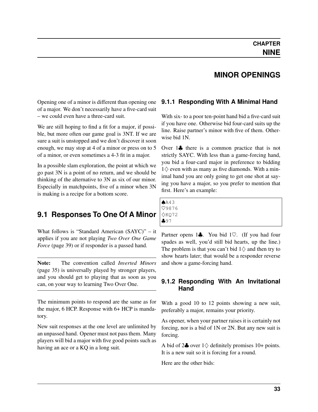#### **MINOR OPENINGS**

Opening one of a minor is different than opening one of a major. We don't necessarily have a five-card suit – we could even have a three-card suit.

We are still hoping to find a fit for a major, if possible, but more often our game goal is 3NT. If we are sure a suit is unstopped and we don't discover it soon enough, we may stop at 4 of a minor or press on to 5 of a minor, or even sometimes a 4-3 fit in a major.

In a possible slam exploration, the point at which we go past 3N is a point of no return, and we should be thinking of the alternative to 3N as six of our minor. Especially in matchpoints, five of a minor when 3N is making is a recipe for a bottom score.

## **9.1 Responses To One Of A Minor**

What follows is "Standard American (SAYC)" – it applies if you are not playing *[Two Over One Game](#page-44-0) [Force](#page-44-0)* (page 39) or if responder is a passed hand.

Note: The convention called *[Inverted Minors](#page-40-0)* (page 35) is universally played by stronger players, and you should get to playing that as soon as you can, on your way to learning Two Over One.

The minimum points to respond are the same as for the major, 6 HCP. Response with 6+ HCP is mandatory.

New suit responses at the one level are unlimited by an unpassed hand. Opener must not pass them. Many players will bid a major with five good points such as having an ace or a KQ in a long suit.

#### **9.1.1 Responding With A Minimal Hand**

With six- to a poor ten-point hand bid a five-card suit if you have one. Otherwise bid four-card suits up the line. Raise partner's minor with five of them. Otherwise bid 1N.

Over 1♣ there is a common practice that is not strictly SAYC. With less than a game-forcing hand, you bid a four-card major in preference to bidding  $1\diamondsuit$  even with as many as five diamonds. With a minimal hand you are only going to get one shot at saying you have a major, so you prefer to mention that first. Here's an example:

| A43          |  |  |
|--------------|--|--|
| V9876        |  |  |
|              |  |  |
| ◇KQ72<br>♣97 |  |  |
|              |  |  |

Partner opens 1♣. You bid 1♡. (If you had four spades as well, you'd still bid hearts, up the line.) The problem is that you can't bid  $1\diamondsuit$  and then try to show hearts later; that would be a responder reverse and show a game-forcing hand.

#### **9.1.2 Responding With An Invitational Hand**

With a good 10 to 12 points showing a new suit, preferably a major, remains your priority.

As opener, when your partner raises it is certainly not forcing, nor is a bid of 1N or 2N. But any new suit is forcing.

A bid of  $2\clubsuit$  over  $1\diamondsuit$  definitely promises 10+ points. It is a new suit so it is forcing for a round.

Here are the other bids: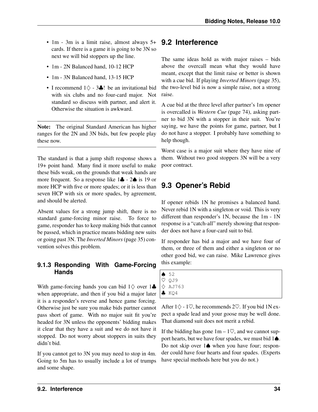- 1m 3m is a limit raise, almost always 5+ cards. If there is a game it is going to be 3N so next we will bid stoppers up the line.
- 1m 2N Balanced hand, 10-12 HCP
- 1m 3N Balanced hand, 13-15 HCP
- I recommend  $1\diamondsuit 3\clubsuit !$  be an invitational bid with six clubs and no four-card major. Not standard so discuss with partner, and alert it. Otherwise the situation is awkward.

Note: The original Standard American has higher ranges for the 2N and 3N bids, but few people play these now.

The standard is that a jump shift response shows a 19+ point hand. Many find it more useful to make these bids weak, on the grounds that weak hands are more frequent. So a response like 1♣ - 2♠ is 19 or more HCP with five or more spades; or it is less than seven HCP with six or more spades, by agreement, and should be alerted.

Absent values for a strong jump shift, there is no standard game-forcing minor raise. To force to game, responder has to keep making bids that cannot be passed, which in practice means bidding new suits or going past 3N. The *[Inverted Minors](#page-40-0)*(page 35) convention solves this problem.

#### **9.1.3 Responding With Game-Forcing Hands**

With game-forcing hands you can bid  $1\diamondsuit$  over  $1\clubsuit$ when appropriate, and then if you bid a major later it is a responder's reverse and hence game forcing. Otherwise just be sure you make bids partner cannot pass short of game. With no major suit fit you're headed for 3N unless the opponents' bidding makes it clear that they have a suit and we do not have it stopped. Do not worry about stoppers in suits they didn't bid.

If you cannot get to 3N you may need to stop in 4m. Going to 5m has to usually include a lot of trumps and some shape.

## **9.2 Interference**

The same ideas hold as with major raises – bids above the overcall mean what they would have meant, except that the limit raise or better is shown with a cue bid. If playing *[Inverted Minors](#page-40-0)* (page 35), the two-level bid is now a simple raise, not a strong raise.

A cue bid at the three level after partner's 1m opener is overcalled is *[Western Cue](#page-79-0)* (page 74), asking partner to bid 3N with a stopper in their suit. You're saying, we have the points for game, partner, but I do not have a stopper. I probably have something to help though.

Worst case is a major suit where they have nine of them. Without two good stoppers 3N will be a very poor contract.

## **9.3 Opener's Rebid**

If opener rebids 1N he promises a balanced hand. Never rebid 1N with a singleton or void. This is very different than responder's 1N, because the 1m - 1N response is a "catch-all" merely showing that responder does not have a four-card suit to bid.

If responder has bid a major and we have four of them, or three of them and either a singleton or no other good bid, we can raise. Mike Lawrence gives this example:

| 652              |
|------------------|
| V QJ9            |
| $\Diamond$ AJ763 |
| $\clubsuit$ KQ4  |

After  $1\diamondsuit$  - 1 $\heartsuit$ , he recommends 2 $\heartsuit$ . If you bid 1N expect a spade lead and your goose may be well done. That diamond suit does not merit a rebid.

If the bidding has gone  $1m - 1\heartsuit$ , and we cannot support hearts, but we have four spades, we must bid 1♠. Do not skip over 1♦ when you have four; responder could have four hearts and four spades. (Experts have special methods here but you do not.)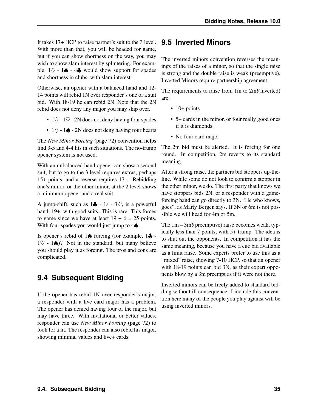It takes 17+ HCP to raise partner's suit to the 3 level. With more than that, you will be headed for game, but if you can show shortness on the way, you may wish to show slam interest by splintering. For example,  $1\diamondsuit$  - 1 $\spadesuit$  - 4 $\clubsuit$  would show support for spades and shortness in clubs, with slam interest.

Otherwise, an opener with a balanced hand and 12- 14 points will rebid 1N over responder's one of a suit bid. With 18-19 he can rebid 2N. Note that the 2N rebid does not deny any major you may skip over.

- $1\diamond$   $1\heartsuit$  2N does not deny having four spades
- $1\diamond$  1 $\spadesuit$  2N does not deny having four hearts

The *[New Minor Forcing](#page-77-0)* (page 72) convention helps find 3-5 and 4-4 fits in such situations. The no-trump opener system is not used.

With an unbalanced hand opener can show a second suit, but to go to the 3 level requires extras, perhaps 15+ points, and a reverse requires 17+. Rebidding one's minor, or the other minor, at the 2 level shows a minimum opener and a real suit.

A jump-shift, such as  $1\clubsuit - 1s - 3\heartsuit$ , is a powerful hand, 19+, with good suits. This is rare. This forces to game since we have at least  $19 + 6 = 25$  points. With four spades you would just jump to 4**♦**.

Is opener's rebid of 1♠ forcing (for example, 1♣ - 1 $\heartsuit$  - 1 $\spadesuit$ )? Not in the standard, but many believe you should play it as forcing. The pros and cons are complicated.

## **9.4 Subsequent Bidding**

<span id="page-40-0"></span>If the opener has rebid 1N over responder's major, a responder with a five card major has a problem. The opener has denied having four of the major, but may have three. With invitational or better values, responder can use *[New Minor Forcing](#page-77-0)* (page 72) to look for a fit. The responder can also rebid his major, showing minimal values and five+ cards.

## **9.5 Inverted Minors**

The inverted minors convention reverses the meanings of the raises of a minor, so that the single raise is strong and the double raise is weak (preemptive). Inverted Minors require partnership agreement.

The requirements to raise from 1m to 2m!(inverted) are:

- $\cdot$  10+ points
- 5+ cards in the minor, or four really good ones if it is diamonds.
- No four card major

The 2m bid must be alerted. It is forcing for one round. In competition, 2m reverts to its standard meaning.

After a strong raise, the partners bid stoppers up-theline. While some do not look to confirm a stopper in the other minor, we do. The first party that knows we have stoppers bids 2N, or a responder with a gameforcing hand can go directly to 3N. "He who knows, goes", as Marty Bergen says. If 3N or 6m is not possible we will head for 4m or 5m.

The 1m – 3m!(preemptive) raise becomes weak, typically less than 7 points, with 5+ trump. The idea is to shut out the opponents. In competition it has the same meaning, because you have a cue bid available as a limit raise. Some experts prefer to use this as a "mixed" raise, showing 7-10 HCP, so that an opener with 18-19 points can bid 3N, as their expert opponents blow by a 3m preempt as if it were not there.

Inverted minors can be freely added to standard bidding without ill consequence. I include this convention here many of the people you play against will be using inverted minors.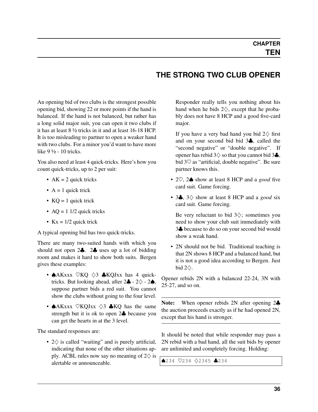## **THE STRONG TWO CLUB OPENER**

An opening bid of two clubs is the strongest possible opening bid, showing 22 or more points if the hand is balanced. If the hand is not balanced, but rather has a long solid major suit, you can open it two clubs if it has at least 8 ½ tricks in it and at least 16-18 HCP. It is too misleading to partner to open a weaker hand with two clubs. For a minor you'd want to have more like 9 ½ - 10 tricks.

You also need at least 4 quick-tricks. Here's how you count quick-tricks, up to 2 per suit:

- $AK = 2$  quick tricks
- $A = 1$  quick trick
- $KO = 1$  quick trick
- $AQ = 11/2$  quick tricks
- $Kx = 1/2$  quick trick

A typical opening bid has two quick-tricks.

There are many two-suited hands with which you should not open 2♣. 2♣ uses up a lot of bidding room and makes it hard to show both suits. Bergen gives these examples:

- $\triangle$ AKxxx  $\heartsuit$ KQ  $\diamondsuit$ 3  $\triangle$ KQJxx has 4 quicktricks. But looking ahead, after  $2\clubsuit - 2\diamondsuit - 2\spadesuit$ , suppose partner bids a red suit. You cannot show the clubs without going to the four level.
- $\triangle$ AKxxx  $\heartsuit$ KQJxx  $\diamondsuit$ 3  $\triangle$ KQ has the same strength but it is ok to open 2♣ because you can get the hearts in at the 3 level.

The standard responses are:

• 2♢ is called "waiting" and is purely artificial, indicating that none of the other situations apply. ACBL rules now say no meaning of  $2\diamondsuit$  is alertable or announceable.

Responder really tells you nothing about his hand when he bids  $2\diamondsuit$ , except that he probably does not have 8 HCP and a good five-card major.

If you have a very bad hand you bid  $2\diamondsuit$  first and on your second bid bid 3♣, called the "second negative" or "double negative". If opener has rebid  $3\diamondsuit$  so that you cannot bid  $3\clubsuit$ , bid  $3\heartsuit$  as "artificial, double negative". Be sure partner knows this.

- 2♡, 2♠ show at least 8 HCP and a *good* five card suit. Game forcing.
- 3♣, 3♢ show at least 8 HCP and a *good* six card suit. Game forcing.

Be very reluctant to bid  $3\diamondsuit$ ; sometimes you need to show your club suit immediately with 3♣ because to do so on your second bid would show a weak hand.

• 2N should not be bid. Traditional teaching is that 2N shows 8 HCP and a balanced hand, but it is not a good idea according to Bergen. Just bid  $2\diamond$ .

Opener rebids 2N with a balanced 22-24, 3N with 25-27, and so on.

Note: When opener rebids 2N after opening 2♣ the auction proceeds exactly as if he had opened 2N, except that his hand is stronger.

It should be noted that while responder may pass a 2N rebid with a bad hand, all the suit bids by opener are unlimited and completely forcing. Holding:

♠234 ♡234 ♢2345 ♣234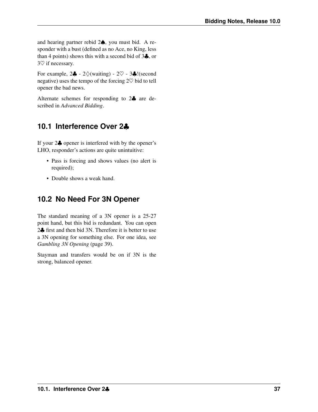and hearing partner rebid 2♠, you must bid. A responder with a bust (defined as no Ace, no King, less than 4 points) shows this with a second bid of 3♣, or 3♡ if necessary.

For example,  $2\clubsuit - 2\diamondsuit$  (waiting) -  $2\heartsuit - 3\clubsuit$ ! (second negative) uses the tempo of the forcing  $2\heartsuit$  bid to tell opener the bad news.

Alternate schemes for responding to 2♣ are described in *Advanced Bidding*.

## **10.1 Interference Over 2**♣

If your 2♣ opener is interfered with by the opener's LHO, responder's actions are quite unintuitive:

- Pass is forcing and shows values (no alert is required);
- Double shows a weak hand.

## **10.2 No Need For 3N Opener**

The standard meaning of a 3N opener is a 25-27 point hand, but this bid is redundant. You can open 2♣ first and then bid 3N. Therefore it is better to use a 3N opening for something else. For one idea, see *[Gambling 3N Opening](#page-44-1)* (page 39).

Stayman and transfers would be on if 3N is the strong, balanced opener.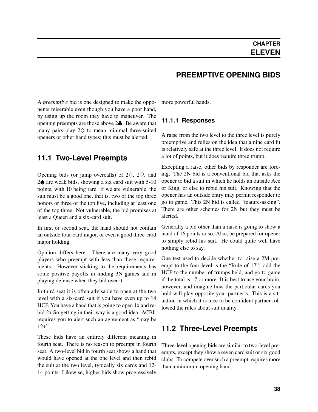A *[preemptive](#page-81-0)* bid is one designed to make the opponents miserable even though you have a poor hand, by using up the room they have to maneuver. The opening preempts are those above 2♣. Be aware that many pairs play  $2\diamondsuit$  to mean minimal three-suited openers or other hand types; this must be alerted.

#### **11.1 Two-Level Preempts**

Opening bids (or jump overcalls) of  $2\diamondsuit$ ,  $2\heartsuit$ , and 2♠ are weak bids, showing a six card suit with 5-10 points, with 10 being rare. If we are vulnerable, the suit must be a good one, that is, two of the top three honors or three of the top five, including at least one of the top three. Not vulnerable, the bid promises at least a Queen and a six-card suit.

In first or second seat, the hand should not contain an outside four-card major, or even a good three-card major holding.

Opinion differs here. There are many very good players who preempt with less than these requirements. However sticking to the requirements has some positive payoffs in finding 3N games and in playing defense when they bid over it.

In third seat it is often advisable to open at the two level with a six-card suit if you have even up to 14 HCP. You have a hand that is going to open 1x and rebid 2x So getting in their way is a good idea. ACBL requires you to alert such an agreement as "may be  $12+$ ".

These bids have an entirely different meaning in fourth seat. There is no reason to preempt in fourth seat. A two-level bid in fourth seat shows a hand that would have opened at the one level and then rebid the suit at the two level, typically six cards and 12- 14 points. Likewise, higher bids show progressively **PREEMPTIVE OPENING BIDS**

more powerful hands.

#### **11.1.1 Responses**

A raise from the two level to the three level is purely preemptive and relies on the idea that a nine card fit is relatively safe at the three level. It does not require a lot of points, but it does require three trump.

Excepting a raise, other bids by responder are forcing. The 2N bid is a conventional bid that asks the opener to bid a suit in which he holds an outside Ace or King, or else to rebid his suit. Knowing that the opener has an outside entry may permit responder to go to game. This 2N bid is called "feature-asking". There are other schemes for 2N but they must be alerted.

Generally a bid other than a raise is going to show a hand of 16 points or so. Also, be prepared for opener to simply rebid his suit. He could quite well have nothing else to say.

One test used to decide whether to raise a 2M preempt to the four level is the "Rule of 17": add the HCP to the number of trumps held, and go to game if the total is 17 or more. It is best to use your brain, however, and imagine how the particular cards you hold will play opposite your partner's. This is a situation in which it is nice to be confident partner followed the rules about suit quality.

## **11.2 Three-Level Preempts**

Three-level opening bids are similar to two-level preempts, except they show a seven card suit or six good clubs. To compete over such a preempt requires more than a minimum opening hand.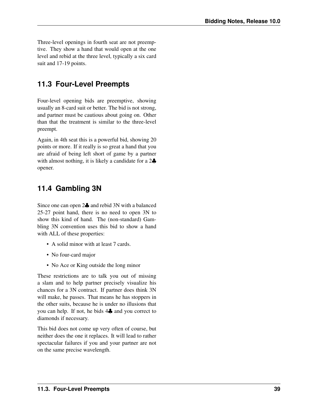Three-level openings in fourth seat are not preemptive. They show a hand that would open at the one level and rebid at the three level, typically a six card suit and 17-19 points.

## **11.3 Four-Level Preempts**

Four-level opening bids are preemptive, showing usually an 8-card suit or better. The bid is not strong, and partner must be cautious about going on. Other than that the treatment is similar to the three-level preempt.

Again, in 4th seat this is a powerful bid, showing 20 points or more. If it really is so great a hand that you are afraid of being left short of game by a partner with almost nothing, it is likely a candidate for a 2 $\clubsuit$ opener.

## **11.4 Gambling 3N**

<span id="page-44-1"></span>Since one can open 2♣ and rebid 3N with a balanced 25-27 point hand, there is no need to open 3N to show this kind of hand. The (non-standard) Gambling 3N convention uses this bid to show a hand with ALL of these properties:

- A solid minor with at least 7 cards.
- No four-card major
- No Ace or King outside the long minor

These restrictions are to talk you out of missing a slam and to help partner precisely visualize his chances for a 3N contract. If partner does think 3N will make, he passes. That means he has stoppers in the other suits, because he is under no illusions that you can help. If not, he bids 4♣ and you correct to diamonds if necessary.

<span id="page-44-0"></span>This bid does not come up very often of course, but neither does the one it replaces. It will lead to rather spectacular failures if you and your partner are not on the same precise wavelength.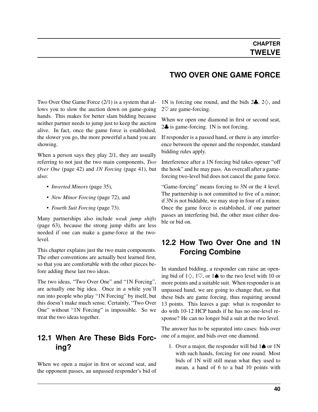Two Over One Game Force (2/1) is a system that allows you to slow the auction down on game-going hands. This makes for better slam bidding because neither partner needs to jump just to keep the auction alive. In fact, once the game force is established, the slower you go, the more powerful a hand you are showing.

When a person says they play 2/1, they are usually referring to not just the two main components, *[Two](#page-47-0) [Over One](#page-47-0)* (page 42) and *[1N Forcing](#page-46-0)* (page 41), but also:

- *[Inverted Minors](#page-40-0)* (page 35),
- *[New Minor Forcing](#page-77-0)* (page 72), and
- *[Fourth Suit Forcing](#page-78-0)* (page 73).

Many partnerships also include *[weak jump shifts](#page-68-0)* (page 63), because the strong jump shifts are less needed if one can make a game-force at the twolevel.

This chapter explains just the two main components. The other conventions are actually best learned first, so that you are comfortable with the other pieces before adding these last two ideas.

The two ideas, "Two Over One" and "1N Forcing", are actually one big idea. Once in a while you'll run into people who play "1N Forcing" by itself, but this doesn't make much sense. Certainly, "Two Over One" without "1N Forcing" is impossible. So we treat the two ideas together.

## **12.1 When Are These Bids Forcing?**

When we open a major in first or second seat, and the opponent passes, an unpassed responder's bid of

#### **TWO OVER ONE GAME FORCE**

1N is forcing one round, and the bids  $2\clubsuit$ ,  $2\diamondsuit$ , and 2♡ are game-forcing.

When we open one diamond in first or second seat, 2♣ is game-forcing. 1N is not forcing.

If responder is a passed hand, or there is any interference between the opener and the responder, standard bidding rules apply.

Interference after a 1N forcing bid takes opener "off the hook" and he may pass. An overcall after a gameforcing two-level bid does not cancel the game force.

"Game-forcing" means forcing to 3N or the 4 level. The partnership is not committed to five of a minor; if 3N is not biddable, we may stop in four of a minor. Once the game force is established, if one partner passes an interfering bid, the other must either double or bid on.

#### **12.2 How Two Over One and 1N Forcing Combine**

In standard bidding, a responder can raise an opening bid of  $1\diamondsuit$ ,  $1\heartsuit$ , or  $1\spadesuit$  to the two level with 10 or more points and a suitable suit. When responder is an unpassed hand, we are going to change that, so that these bids are game forcing, thus requiring around 13 points. This leaves a gap: what is responder to do with 10-12 HCP hands if he has no one-level response? He can no longer bid a suit at the two level.

The answer has to be separated into cases: bids over one of a major, and bids over one diamond.

1. Over a major, the responder will bid  $1\spadesuit$  or 1N with such hands, forcing for one round. Most bids of 1N will still mean what they used to mean, a hand of 6 to a bad 10 points with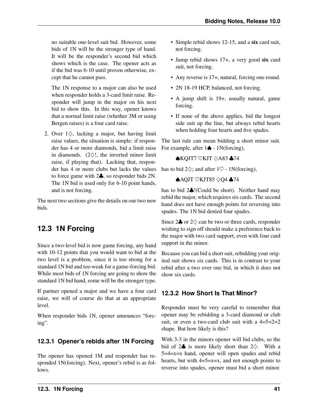no suitable one-level suit bid. However, some bids of 1N will be the stronger type of hand. It will be the responder's second bid which shows which is the case. The opener acts as if the bid was 6-10 until proven otherwise, except that he cannot pass.

The 1N response to a major can also be used when responder holds a 3-card limit raise. Responder will jump in the major on his next bid to show this. In this way, opener knows that a normal limit raise (whether 3M or using Bergen raises) is a four card raise.

2. Over  $1\diamondsuit$ , lacking a major, but having limit raise values, the situation is simple: if responder has 4 or more diamonds, bid a limit raise in diamonds.  $(2\diamondsuit!$ , the inverted minor limit raise, if playing that). Lacking that, responder has 4 or more clubs but lacks the values to force game with 2♣, so responder bids 2N. The 1N bid is used only for 6-10 point hands, and is not forcing.

The next two sections give the details on our two new bids.

## <span id="page-46-0"></span>**12.3 1N Forcing**

Since a two-level bid is now game forcing, any hand with 10-12 points that you would want to bid at the two level is a problem, since it is too strong for a standard 1N bid and too weak for a game-forcing bid. While most bids of 1N forcing are going to show the standard 1N bid hand, some will be the stronger type.

If partner opened a major and we have a four card raise, we will of course do that at an appropriate level.

When responder bids 1N, opener announces "forcing".

#### **12.3.1 Opener's rebids after 1N Forcing**

The opener has opened 1M and responder has responded 1N(forcing). Next, opener's rebid is as follows.

- Simple rebid shows 12-15, and a six card suit, not forcing.
- Jump rebid shows 17+, a very good six card suit, not forcing.
- Any reverse is 17+, natural, forcing one round.
- 2N 18-19 HCP, balanced, not forcing.
- A jump shift is 19+, usually natural, game forcing.
- If none of the above applies, bid the longest side suit up the line, but always rebid hearts when holding four hearts and five spades.

The last rule can mean bidding a short minor suit. For example, after  $1\spadesuit$  - 1N(forcing),

#### ♠KQJT7 ♡KJT ♢A83 ♣74

has to bid  $2\diamondsuit$ ; and after  $1\diamondsuit$  - 1N(forcing),

#### ♠AQJT ♡KJT85 ♢Q4 ♣74

has to bid 2♣!(Could be short). Neither hand may rebid the major, which requires six cards. The second hand does not have enough points for reversing into spades. The 1N bid denied four spades.

Since  $2\clubsuit$  or  $2\diamondsuit$  can be two or three cards, responder wishing to sign off should make a preference back to the major with two card support, even with four card support in the minor.

Because you can bid a short suit, rebidding your original suit shows six cards. This is in contrast to your rebid after a two over one bid, in which it does not show six cards.

#### **12.3.2 How Short Is That Minor?**

Responder must be very careful to remember that opener may be rebidding a 3-card diamond or club suit, or even a two-card club suit with a  $4=5=2=2$ shape. But how likely is this?

With 3-3 in the minors opener will bid clubs, so the bid of 2 $\clubsuit$  is more likely short than 2 $\diamondsuit$ . With a  $5=4=x=x$  hand, opener will open spades and rebid hearts, but with  $4=5=x=x$ , and not enough points to reverse into spades, opener must bid a short minor.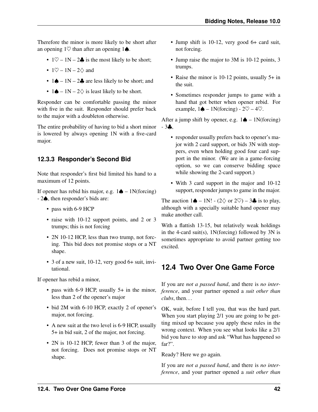Therefore the minor is more likely to be short after an opening  $1\heartsuit$  than after an opening  $1\spadesuit$ .

- $1\heartsuit 1N 2\clubsuit$  is the most likely to be short;
- $1\heartsuit 1N 2\diamondsuit$  and
- $1 \spadesuit 1N 2 \clubsuit$  are less likely to be short; and
- 1 $\spadesuit$  1N 2 $\diamondsuit$  is least likely to be short.

Responder can be comfortable passing the minor with five in the suit. Responder should prefer back to the major with a doubleton otherwise.

The entire probability of having to bid a short minor is lowered by always opening 1N with a five-card major.

#### **12.3.3 Responder's Second Bid**

Note that responder's first bid limited his hand to a maximum of 12 points.

If opener has rebid his major, e.g.  $1\spadesuit - 1N$ (forcing) - 2♠, then responder's bids are:

- pass with 6-9 HCP
- raise with 10-12 support points, and 2 or 3 trumps; this is not forcing
- 2N 10-12 HCP, less than two trump, not forcing. This bid does not promise stops or a NT shape.
- 3 of a new suit, 10-12, very good 6+ suit, invitational.

If opener has rebid a minor,

- pass with 6-9 HCP, usually 5+ in the minor, less than 2 of the opener's major
- bid 2M with 6-10 HCP, exactly 2 of opener's major, not forcing.
- A new suit at the two level is 6-9 HCP, usually 5+ in bid suit, 2 of the major, not forcing.
- 2N is 10-12 HCP, fewer than 3 of the major, not forcing. Does not promise stops or NT shape.
- Jump shift is 10-12, very good 6+ card suit, not forcing.
- Jump raise the major to 3M is 10-12 points, 3 trumps.
- Raise the minor is 10-12 points, usually 5+ in the suit.
- Sometimes responder jumps to game with a hand that got better when opener rebid. For example,  $1\spadesuit - 1N(forcing) - 2\heartsuit - 4\heartsuit$ .

After a jump shift by opener, e.g.  $1 \spadesuit - 1N$ (forcing)  $-3$  $.$ 

- responder usually prefers back to opener's major with 2 card support, or bids 3N with stoppers, even when holding good four card support in the minor. (We are in a game-forcing option, so we can conserve bidding space while showing the 2-card support.)
- With 3 card support in the major and 10-12 support, responder jumps to game in the major.

The auction  $1\spadesuit - 1N! - (2 \lozenge \text{ or } 2 \heartsuit) - 3\clubsuit$  is to play, although with a specially suitable hand opener may make another call.

With a flattish 13-15, but relatively weak holdings in the 4-card suit(s),  $1N(forcing)$  followed by 3N is sometimes appropriate to avoid partner getting too excited.

## <span id="page-47-0"></span>**12.4 Two Over One Game Force**

If you are *not a passed hand*, and there is *no interference*, and your partner opened a *suit other than clubs*, then. . .

OK, wait, before I tell you, that was the hard part. When you start playing 2/1 you are going to be getting mixed up because you apply these rules in the wrong context. When you see what looks like a 2/1 bid you have to stop and ask "What has happened so far?".

Ready? Here we go again.

If you are *not a passed hand*, and there is *no interference*, and your partner opened a *suit other than*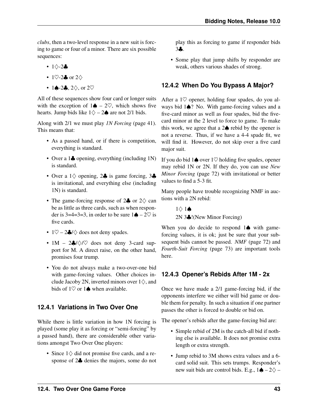*clubs*, then a two-level response in a new suit is forcing to game or four of a minor. There are six possible sequences:

- 1♢-2♣
- 1 $\heartsuit$ -2 $\clubsuit$  or 2 $\diamondsuit$
- 1 $\triangle$ -2 $\clubsuit$ , 2 $\diamond$ , or 2 $\heartsuit$

All of these sequences show four card or longer suits with the exception of  $1\spadesuit - 2\heartsuit$ , which shows five hearts. Jump bids like  $1\diamondsuit - 2\spadesuit$  are not 2/1 bids.

Along with 2/1 we must play *[1N Forcing](#page-46-0)* (page 41). This means that:

- As a passed hand, or if there is competition, everything is standard.
- Over a 1 $\clubsuit$  opening, everything (including 1N) is standard.
- Over a  $1\diamondsuit$  opening,  $2\clubsuit$  is game forcing,  $3\clubsuit$ is invitational, and everything else (including 1N) is standard.
- The game-forcing response of 2♣ or 2♢ can be as little as three cards, such as when responder is 3=4=3=3, in order to be sure  $1\spadesuit - 2\heartsuit$  is five cards.
- $1\heartsuit 2\clubsuit/\diamondsuit$  does not deny spades.
- 1M  $2\clubsuit/\diamondsuit/\heartsuit$  does not deny 3-card support for M. A direct raise, on the other hand, promises four trump.
- You do not always make a two-over-one bid with game-forcing values. Other choices include Jacoby 2N, inverted minors over  $1\diamondsuit$ , and bids of  $1\heartsuit$  or  $1\spadesuit$  when available.

#### **12.4.1 Variations in Two Over One**

While there is little variation in how 1N forcing is played (some play it as forcing or "semi-forcing" by a passed hand), there are considerable other variations amongst Two Over One players:

• Since 1♢ did not promise five cards, and a response of 2♣ denies the majors, some do not play this as forcing to game if responder bids 3♣.

• Some play that jump shifts by responder are weak, others various shades of strong.

#### **12.4.2 When Do You Bypass A Major?**

After a  $1\heartsuit$  opener, holding four spades, do you always bid 1♠? No. With game-forcing values and a five-card minor as well as four spades, bid the fivecard minor at the 2 level to force to game. To make this work, we agree that a  $2\spadesuit$  rebid by the opener is not a reverse. Thus, if we have a 4-4 spade fit, we will find it. However, do not skip over a five card major suit.

If you do bid 1♠ over 1♡ holding five spades, opener may rebid 1N or 2N. If they do, you can use *[New](#page-77-0) [Minor Forcing](#page-77-0)* (page 72) with invitational or better values to find a 5-3 fit.

Many people have trouble recognizing NMF in auctions with a 2N rebid:

> 1♢ 1♠ 2N 3♣!(New Minor Forcing)

When you do decide to respond 1**♠** with gameforcing values, it is ok; just be sure that your subsequent bids cannot be passed. *[NMF](#page-77-0)* (page 72) and *[Fourth-Suit Forcing](#page-78-0)* (page 73) are important tools here.

#### **12.4.3 Opener's Rebids After 1M - 2x**

Once we have made a 2/1 game-forcing bid, if the opponents interfere we either will bid game or double them for penalty. In such a situation if one partner passes the other is forced to double or bid on.

The opener's rebids after the game-forcing bid are:

- Simple rebid of 2M is the catch-all bid if nothing else is available. It does not promise extra length or extra strength.
- Jump rebid to 3M shows extra values and a 6 card solid suit. This sets trumps. Responder's new suit bids are control bids. E.g.,  $1 \spadesuit - 2 \diamondsuit -$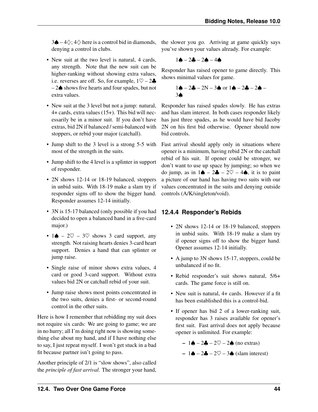3♦ – 4 $\diamondsuit$ ; 4 $\diamondsuit$  here is a control bid in diamonds, denying a control in clubs.

- New suit at the two level is natural, 4 cards, any strength. Note that the new suit can be higher-ranking without showing extra values, i.e. reverses are off. So, for example,  $1\heartsuit - 2\clubsuit$ – 2♠ shows five hearts and four spades, but not extra values.
- New suit at the 3 level but not a jump: natural, 4+ cards, extra values (15+). This bid will necessarily be in a minor suit. If you don't have extras, bid 2N if balanced / semi-balanced with stoppers, or rebid your major (catchall).
- Jump shift to the 3 level is a strong 5-5 with most of the strength in the suits.
- Jump shift to the 4 level is a splinter in support of responder.
- 2N shows 12-14 or 18-19 balanced, stoppers in unbid suits. With 18-19 make a slam try if responder signs off to show the bigger hand. Responder assumes 12-14 initially.
- 3N is 15-17 balanced (only possible if you had decided to open a balanced hand in a five-card major.)
- 1 $\triangle$  2 $\heartsuit$  3 $\heartsuit$  shows 3 card support, any strength. Not raising hearts denies 3-card heart support. Denies a hand that can splinter or jump raise.
- Single raise of minor shows extra values, 4 card or good 3-card support. Without extra values bid 2N or catchall rebid of your suit.
- Jump raise shows most points concentrated in the two suits, denies a first- or second-round control in the other suits.

Here is how I remember that rebidding my suit does not require six cards: We are going to game; we are in no hurry; all I'm doing right now is showing something else about my hand, and if I have nothing else to say, I just repeat myself. I won't get stuck in a bad fit because partner isn't going to pass.

Another principle of 2/1 is "slow shows", also called the *principle of fast arrival*. The stronger your hand, the slower you go. Arriving at game quickly says you've shown your values already. For example:

$$
1\spadesuit - 2\clubsuit - 2\spadesuit - 4\spadesuit
$$

Responder has raised opener to game directly. This shows minimal values for game.

$$
1\spadesuit - 2\clubsuit - 2N - 3\spadesuit \text{ or } 1\spadesuit - 2\clubsuit - 2\spadesuit - 3\spadesuit
$$

Responder has raised spades slowly. He has extras and has slam interest. In both cases responder likely has just three spades, as he would have bid Jacoby 2N on his first bid otherwise. Opener should now bid controls.

Fast arrival should apply only in situations where opener is a minimum, having rebid 2N or the catchall rebid of his suit. If opener could be stronger, we don't want to use up space by jumping; so when we do jump, as in  $1\spadesuit - 2\clubsuit - 2\heartsuit - 4\spadesuit$ , it is to paint a picture of our hand has having two suits with our values concentrated in the suits and denying outside controls (A/K/singleton/void).

#### **12.4.4 Responder's Rebids**

- 2N shows 12-14 or 18-19 balanced, stoppers in unbid suits. With 18-19 make a slam try if opener signs off to show the bigger hand. Opener assumes 12-14 initially.
- A jump to 3N shows 15-17, stoppers, could be unbalanced if no fit.
- Rebid responder's suit shows natural, 5/6+ cards. The game force is still on.
- New suit is natural, 4+ cards. However if a fit has been established this is a control-bid.
- If opener has bid 2 of a lower-ranking suit, responder has 3 raises available for opener's first suit. Fast arrival does not apply because opener is unlimited. For example:

$$
- 1 \spadesuit - 2 \clubsuit - 2 \heartsuit - 2 \spadesuit \text{ (no extras)}
$$

$$
- 1 \spadesuit - 2 \clubsuit - 2 \heartsuit - 3 \spadesuit \text{ (slam interest)}
$$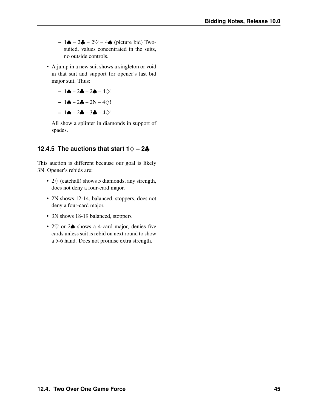- 1♦ 2♣ 2 $\heartsuit$  4♦ (picture bid) Twosuited, values concentrated in the suits, no outside controls.
- A jump in a new suit shows a singleton or void in that suit and support for opener's last bid major suit. Thus:

$$
- 1\spadesuit - 2\clubsuit - 2\spadesuit - 4\diamondsuit!
$$
  

$$
- 1\spadesuit - 2\clubsuit - 2N - 4\diamondsuit!
$$

 $-1$ **e**  $-2$ **a**  $-3$ **a**  $-4$ ◇!

All show a splinter in diamonds in support of spades.

#### **12.4.5 The auctions that start 1**♢ **– 2**♣

This auction is different because our goal is likely 3N. Opener's rebids are:

- 2♢ (catchall) shows 5 diamonds, any strength, does not deny a four-card major.
- 2N shows 12-14, balanced, stoppers, does not deny a four-card major.
- 3N shows 18-19 balanced, stoppers
- 2♡ or 2♠ shows a 4-card major, denies five cards unless suit is rebid on next round to show a 5-6 hand. Does not promise extra strength.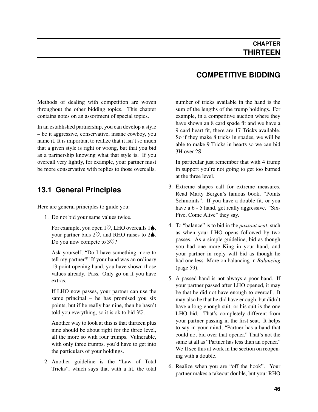Methods of dealing with competition are woven throughout the other bidding topics. This chapter contains notes on an assortment of special topics.

In an established partnership, you can develop a style – be it aggressive, conservative, insane cowboy, you name it. It is important to realize that it isn't so much that a given style is right or wrong, but that you bid as a partnership knowing what that style is. If you overcall very lightly, for example, your partner must be more conservative with replies to those overcalls.

## **13.1 General Principles**

Here are general principles to guide you:

1. Do not bid your same values twice.

For example, you open  $1\heartsuit$ , LHO overcalls  $1\spadesuit$ , your partner bids  $2\heartsuit$ , and RHO raises to  $2\spadesuit$ . Do you now compete to 3♡?

Ask yourself, "Do I have something more to tell my partner?" If your hand was an ordinary 13 point opening hand, you have shown those values already. Pass. Only go on if you have extras.

If LHO now passes, your partner can use the same principal – he has promised you six points, but if he really has nine, then he hasn't told you everything, so it is ok to bid  $3\degree$ .

Another way to look at this is that thirteen plus nine should be about right for the three level, all the more so with four trumps. Vulnerable, with only three trumps, you'd have to get into the particulars of your holdings.

2. Another guideline is the "Law of Total Tricks", which says that with a fit, the total

## **COMPETITIVE BIDDING**

number of tricks available in the hand is the sum of the lengths of the trump holdings. For example, in a competitive auction where they have shown an 8 card spade fit and we have a 9 card heart fit, there are 17 Tricks available. So if they make 8 tricks in spades, we will be able to make 9 Tricks in hearts so we can bid 3H over 2S.

In particular just remember that with 4 trump in support you're not going to get too burned at the three level.

- 3. Extreme shapes call for extreme measures. Read Marty Bergen's famous book, "Points Schmoints". If you have a double fit, or you have a  $6 - 5$  hand, get really aggressive. "Six-Five, Come Alive" they say.
- 4. To "balance" is to bid in the *[passout seat](#page-81-1)*, such as when your LHO opens followed by two passes. As a simple guideline, bid as though you had one more King in your hand, and your partner in reply will bid as though he had one less. More on balancing in *[Balancing](#page-64-0)* (page 59).
- 5. A passed hand is not always a poor hand. If your partner passed after LHO opened, it may be that he did not have enough to overcall. It may also be that he did have enough, but didn't have a long enough suit, or his suit is the one LHO bid. That's completely different from your partner passing in the first seat. It helps to say in your mind, "Partner has a hand that could not bid over that opener." That's not the same at all as "Partner has less than an opener." We'll see this at work in the section on reopening with a double.
- 6. Realize when you are "off the hook". Your partner makes a takeout double, but your RHO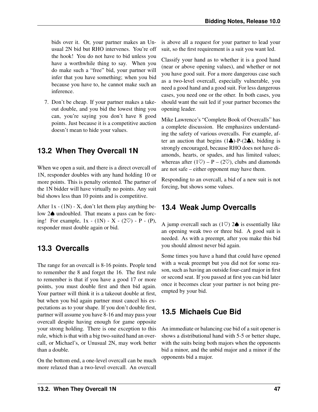bids over it. Or, your partner makes an Unusual 2N bid but RHO intervenes. You're off the hook! You do not have to bid unless you have a worthwhile thing to say. When you do make such a "free" bid, your partner will infer that you have something; when you bid because you have to, he cannot make such an inference.

7. Don't be cheap. If your partner makes a takeout double, and you bid the lowest thing you can, you're saying you don't have 8 good points. Just because it is a competitive auction doesn't mean to hide your values.

## **13.2 When They Overcall 1N**

When we open a suit, and there is a direct overcall of 1N, responder doubles with any hand holding 10 or more points. This is penalty oriented. The partner of the 1N bidder will have virtually no points. Any suit bid shows less than 10 points and is competitive.

After  $1x - (1N) - X$ , don't let them play anything below 2♠ undoubled. That means a pass can be forcing! For example,  $1x - (1N) - X - (2C) - P - (P)$ , responder must double again or bid.

## **13.3 Overcalls**

The range for an overcall is 8-16 points. People tend to remember the 8 and forget the 16. The first rule to remember is that if you have a good 17 or more points, you must double first and then bid again. Your partner will think it is a takeout double at first, but when you bid again partner must cancel his expectations as to your shape. If you don't double first, partner will assume you have 8-16 and may pass your overcall despite having enough for game opposite your strong holding. There is one exception to this rule, which is that with a big two-suited hand an overcall, or Michael's, or Unusual 2N, may work better than a double.

On the bottom end, a one-level overcall can be much more relaxed than a two-level overcall. An overcall

is above all a request for your partner to lead your suit, so the first requirement is a suit you want led.

Classify your hand as to whether it is a good hand (near or above opening values), and whether or not you have good suit. For a more dangerous case such as a two-level overcall, especially vulnerable, you need a good hand and a good suit. For less dangerous cases, you need one or the other. In both cases, you should want the suit led if your partner becomes the opening leader.

Mike Lawrence's "Complete Book of Overcalls" has a complete discussion. He emphasizes understanding the safety of various overcalls. For example, after an auction that begins  $(1\clubsuit)$ -P- $(2\clubsuit)$ , bidding is strongly encouraged, because RHO does not have diamonds, hearts, or spades, and has limited values; whereas after  $(1\heartsuit) - P - (2\heartsuit)$ , clubs and diamonds are not safe – either opponent may have them.

Responding to an overcall, a bid of a new suit is not forcing, but shows some values.

## **13.4 Weak Jump Overcalls**

A jump overcall such as  $(1\heartsuit)$  2 $\spadesuit$  is essentially like an opening weak two or three bid. A good suit is needed. As with a preempt, after you make this bid you should almost never bid again.

Some times you have a hand that could have opened with a weak preempt but you did not for some reason, such as having an outside four-card major in first or second seat. If you passed at first you can bid later once it becomes clear your partner is not being preempted by your bid.

## **13.5 Michaels Cue Bid**

An immediate or balancing cue bid of a suit opener is shows a distributional hand with 5-5 or better shape, with the suits being both majors when the opponents bid a minor, and the unbid major and a minor if the opponents bid a major.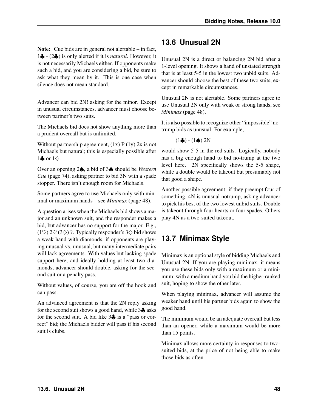Note: Cue bids are in general not alertable – in fact, 1♣ - (2♣) is only alerted if it is *natural*. However, it is not necessarily Michaels either. If opponents make such a bid, and you are considering a bid, be sure to ask what they mean by it. This is one case when silence does not mean standard.

Advancer can bid 2N! asking for the minor. Except in unusual circumstances, advancer must choose between partner's two suits.

The Michaels bid does not show anything more than a prudent overcall but is unlimited.

Without partnership agreement,  $(1x) P (1y) 2x$  is not Michaels but natural; this is especially possible after 1 $\clubsuit$  or  $1\diamondsuit$ .

Over an opening 2♠, a bid of 3♠ should be *[Western](#page-79-0) [Cue](#page-79-0)* (page 74), asking partner to bid 3N with a spade stopper. There isn't enough room for Michaels.

Some partners agree to use Michaels only with minimal or maximum hands – see *[Minimax](#page-53-0)* (page 48).

A question arises when the Michaels bid shows a major and an unknown suit, and the responder makes a bid, but advancer has no support for the major. E.g.,  $(1\heartsuit)$  2 $\heartsuit$  (3 $\diamondsuit$ ) ?. Typically responder's 3 $\diamondsuit$  bid shows a weak hand with diamonds, if opponents are playing unusual vs. unusual, but many intermediate pairs will lack agreements. With values but lacking spade support here, and ideally holding at least two diamonds, advancer should double, asking for the second suit or a penalty pass.

Without values, of course, you are off the hook and can pass.

An advanced agreement is that the 2N reply asking for the second suit shows a good hand, while  $3\clubsuit$  asks for the second suit. A bid like  $3\clubsuit$  is a "pass or correct" bid; the Michaels bidder will pass if his second suit is clubs.

## **13.6 Unusual 2N**

Unusual 2N is a direct or balancing 2N bid after a 1-level opening. It shows a hand of unstated strength that is at least 5-5 in the lowest two unbid suits. Advancer should choose the best of these two suits, except in remarkable circumstances.

Unusual 2N is not alertable. Some partners agree to use Unusual 2N only with weak or strong hands, see *[Minimax](#page-53-0)* (page 48).

It is also possible to recognize other "impossible" notrump bids as unusual. For example,

$$
(1\clubsuit) \cdot (1\spadesuit) \ 2N
$$

would show 5-5 in the red suits. Logically, nobody has a big enough hand to bid no-trump at the two level here. 2N specifically shows the 5-5 shape, while a double would be takeout but presumably not that good a shape.

Another possible agreement: if they preempt four of something, 4N is unusual notrump, asking advancer to pick his best of the two lowest unbid suits. Double is takeout through four hearts or four spades. Others play 4N as a two-suited takeout.

## **13.7 Minimax Style**

<span id="page-53-0"></span>Minimax is an optional style of bidding Michaels and Unusual 2N. If you are playing minimax, it means you use these bids only with a maximum or a minimum; with a medium hand you bid the higher-ranked suit, hoping to show the other later.

When playing minimax, advancer will assume the weaker hand until his partner bids again to show the good hand.

The minimum would be an adequate overcall but less than an opener, while a maximum would be more than 15 points.

Minimax allows more certainty in responses to twosuited bids, at the price of not being able to make those bids as often.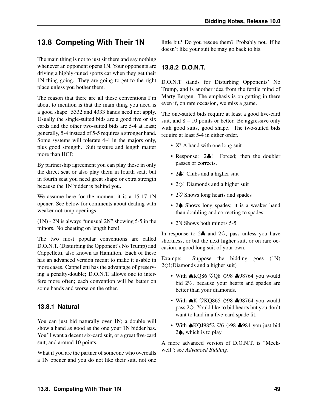## **13.8 Competing With Their 1N**

The main thing is not to just sit there and say nothing whenever an opponent opens 1N. Your opponents are driving a highly-tuned sports car when they get their 1N thing going. They are going to get to the right place unless you bother them.

The reason that there are all these conventions I'm about to mention is that the main thing you need is a good shape. 5332 and 4333 hands need not apply. Usually the single-suited bids are a good five or six cards and the other two-suited bids are 5-4 at least; generally, 5-4 instead of 5-5 requires a stronger hand. Some systems will tolerate 4-4 in the majors only, plus good strength. Suit texture and length matter more than HCP.

By partnership agreement you can play these in only the direct seat or also play them in fourth seat; but in fourth seat you need great shape or extra strength because the 1N bidder is behind you.

We assume here for the moment it is a 15-17 1N opener. See below for comments about dealing with weaker notrump openings.

(1N) - 2N is always "unusual 2N" showing 5-5 in the minors. No cheating on length here!

The two most popular conventions are called D.O.N.T. (Disturbing the Opponent's No Trump) and Cappelletti, also known as Hamilton. Each of these has an advanced version meant to make it usable in more cases. Cappelletti has the advantage of preserving a penalty-double; D.O.N.T. allows one to interfere more often; each convention will be better on some hands and worse on the other.

#### **13.8.1 Natural**

You can just bid naturally over 1N; a double will show a hand as good as the one your 1N bidder has. You'll want a decent six-card suit, or a great five-card suit, and around 10 points.

What if you are the partner of someone who overcalls a 1N opener and you do not like their suit, not one

little bit? Do you rescue them? Probably not. If he doesn't like your suit he may go back to his.

#### **13.8.2 D.O.N.T.**

D.O.N.T stands for Disturbing Opponents' No Trump, and is another idea from the fertile mind of Marty Bergen. The emphasis is on getting in there even if, on rare occasion, we miss a game.

The one-suited bids require at least a good five-card suit, and  $8 - 10$  points or better. Be aggressive only with good suits, good shape. The two-suited bids require at least 5-4 in either order.

- X! A hand with one long suit.
- Response: 2.: Forced; then the doubler passes or corrects.
- 2♣! Clubs and a higher suit
- 2♢! Diamonds and a higher suit
- 2 $\heartsuit$  Shows long hearts and spades
- 2 $\spadesuit$  Shows long spades; it is a weaker hand than doubling and correcting to spades
- 2N Shows both minors 5-5

In response to  $2\clubsuit$  and  $2\diamondsuit$ , pass unless you have shortness, or bid the next higher suit, or on rare occasion, a good long suit of your own.

Exampe: Suppose the bidding goes  $(1N)$ 2♢!(Diamonds and a higher suit)

- With  $\triangle KQ86 \ \nabla Q8 \ \triangle 98$   $\triangle 98764$  you would bid 2♡, because your hearts and spades are better than your diamonds.
- With  $\bigtriangleup K$   $\nabla KQ865 \triangle 98$   $\bigtriangleup 98764$  you would pass 2♢. You'd like to bid hearts but you don't want to land in a five-card spade fit.
- With **★KQJ9852 ♡6**  $\diamond$ **98 ♣984** you just bid 2♠, which is to play.

A more advanced version of D.O.N.T. is "Meckwell"; see *Advanced Bidding*.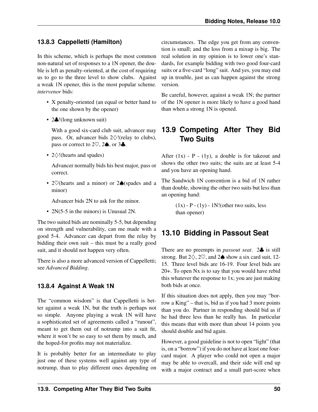#### **13.8.3 Cappelletti (Hamilton)**

In this scheme, which is perhaps the most common non-natural set of responses to a 1N opener, the double is left as penalty-oriented, at the cost of requiring us to go to the three level to show clubs. Against a weak 1N opener, this is the most popular scheme. *[intervenor](#page-81-2)* bids:

- X penalty-oriented (an equal or better hand to the one shown by the opener)
- 2.: (long unknown suit)

With a good six-card club suit, advancer may pass. Or, advancer bids  $2\diamondsuit!(\text{relay to clubs}),$ pass or correct to  $2\heartsuit$ ,  $2\spadesuit$ , or  $3\clubsuit$ .

• 2♢!(hearts and spades)

Advancer normally bids his best major, pass or correct.

• 2♡(hearts and a minor) or 2♠(spades and a minor)

Advancer bids 2N to ask for the minor.

• 2N(5-5 in the minors) is Unusual 2N.

The two suited bids are nominally 5-5, but depending on strength and vulnerability, can me made with a good 5-4. Advancer can depart from the relay by bidding their own suit – this must be a really good suit, and it should not happen very often.

There is also a more advanced version of Cappelletti; see *Advanced Bidding*.

#### **13.8.4 Against A Weak 1N**

The "common wisdom" is that Cappelletti is better against a weak 1N, but the truth is perhaps not so simple. Anyone playing a weak 1N will have a sophisticated set of agreements called a "runout", meant to get them out of notrump into a suit fit, where it won't be so easy to set them by much, and the hoped-for profits may not materialize.

It is probably better for an intermediate to play just one of these systems well against any type of notrump, than to play different ones depending on

circumstances. The edge you get from any convention is small; and the loss from a mixup is big. The real solution in my opinion is to lower one's standards, for example bidding with two good four-card suits or a five-card "long" suit. And yes, you may end up in trouble, just as can happen against the strong version.

Be careful, however, against a weak 1N; the partner of the 1N opener is more likely to have a good hand than when a strong 1N is opened.

## **13.9 Competing After They Bid Two Suits**

After  $(1x)$  - P -  $(1y)$ , a double is for takeout and shows the other two suits; the suits are at least 5-4 and you have an opening hand.

The Sandwich 1N convention is a bid of 1N rather than double, showing the other two suits but less than an opening hand:

> $(1x)$  - P -  $(1y)$  - 1N!(other two suits, less than opener)

## **13.10 Bidding in Passout Seat**

There are no preempts in *[passout seat](#page-81-1)*. 2♣ is still strong. But  $2\diamondsuit$ ,  $2\heartsuit$ , and  $2\spadesuit$  show a six card suit, 12-15. Three level bids are 16-19. Four level bids are 20+. To open Nx is to say that you would have rebid this whatever the response to 1x; you are just making both bids at once.

If this situation does not apply, then you may "borrow a King" – that is, bid as if you had 3 more points than you do. Partner in responding should bid as if he had three less than he really has. In particular this means that with more than about 14 points you should double and bid again.

However, a good guideline is not to open "light" (that is, on a "borrow") if you do not have at least one fourcard major. A player who could not open a major may be able to overcall, and their side will end up with a major contract and a small part-score when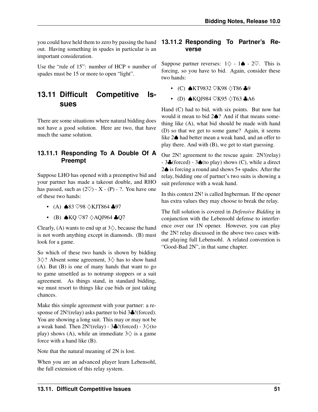you could have held them to zero by passing the hand **13.11.2 Responding To Partner's Re**out. Having something in spades in particular is an important consideration.

Use the "rule of 15": number of HCP + number of spades must be 15 or more to open "light".

## **13.11 Difficult Competitive Issues**

There are some situations where natural bidding does not have a good solution. Here are two, that have much the same solution.

#### **13.11.1 Responding To A Double Of A Preempt**

Suppose LHO has opened with a preemptive bid and your partner has made a takeout double, and RHO has passed, such as  $(2\heartsuit)$  - X - (P) - ?. You have one of these two hands:

- (A)  $\triangle$ 83  $\heartsuit$ 98  $\triangle$ KJT864  $\triangle$ 97
- (B) ♠KQ ♡87 ♢AQJ964 ♣Q7

Clearly, (A) wants to end up at  $3\diamondsuit$ , because the hand is not worth anything except in diamonds. (B) must look for a game.

So which of these two hands is shown by bidding  $3\diamond$ ? Absent some agreement,  $3\diamond$  has to show hand (A). But (B) is one of many hands that want to go to game unsettled as to notrump stoppers or a suit agreement. As things stand, in standard bidding, we must resort to things like cue bids or just taking chances.

Make this simple agreement with your partner: a response of 2N!(relay) asks partner to bid 3. (forced). You are showing a long suit. This may or may not be a weak hand. Then  $2N!(relay) - 3$  (forced) -  $3\diamondsuit(to)$ play) shows (A), while an immediate  $3\diamondsuit$  is a game force with a hand like (B).

Note that the natural meaning of 2N is lost.

When you are an advanced player learn Lebensohl, the full extension of this relay system.

# **verse**

Suppose partner reverses:  $1\diamondsuit - 1 \spadesuit - 2\heartsuit$ . This is forcing, so you have to bid. Again, consider these two hands:

- (C) ♠KT9832 ♡K98 ♢T86 ♣9
- (D) **★KQJ984** ♡K95 ◇T63 ♣A6

Hand (C) had to bid, with six points. But now hat would it mean to bid 2♠? And if that means something like (A), what bid should be made with hand (D) so that we get to some game? Again, it seems like 2♠ had better mean a weak hand, and an offer to play there. And with (B), we get to start guessing.

Our 2N! agreement to the rescue again: 2N!(relay) - 3♣(forced) - 3♠(to play) shows (C), while a direct 2♠ is forcing a round and shows 5+ spades. After the relay, bidding one of partner's two suits is showing a suit preference with a weak hand.

In this context 2N! is called Ingberman. If the opener has extra values they may choose to break the relay.

The full solution is covered in *Defensive Bidding* in conjunction with the Lebensohl defense to interference over our 1N opener. However, you can play the 2N! relay discussed in the above two cases without playing full Lebensohl. A related convention is "Good-Bad 2N", in that same chapter.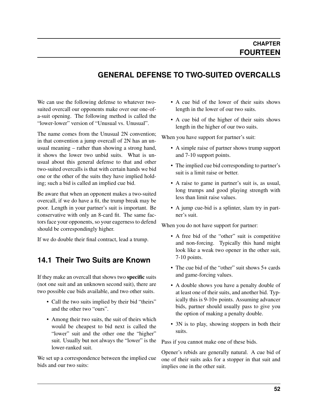## **GENERAL DEFENSE TO TWO-SUITED OVERCALLS**

We can use the following defense to whatever twosuited overcall our opponents make over our one-ofa-suit opening. The following method is called the "lower-lower" version of "Unusual vs. Unusual".

The name comes from the Unusual 2N convention; in that convention a jump overcall of 2N has an unusual meaning – rather than showing a strong hand, it shows the lower two unbid suits. What is unusual about this general defense to that and other two-suited overcalls is that with certain hands we bid one or the other of the suits they have implied holding; such a bid is called an implied cue bid.

Be aware that when an opponent makes a two-suited overcall, if we do have a fit, the trump break may be poor. Length in your partner's suit is important. Be conservative with only an 8-card fit. The same factors face your opponents, so your eagerness to defend should be correspondingly higher.

If we do double their final contract, lead a trump.

#### **14.1 Their Two Suits are Known**

If they make an overcall that shows two specific suits (not one suit and an unknown second suit), there are two possible cue bids available, and two other suits.

- Call the two suits implied by their bid "theirs" and the other two "ours".
- Among their two suits, the suit of theirs which would be cheapest to bid next is called the "lower" suit and the other one the "higher" suit. Usually but not always the "lower" is the lower-ranked suit.

We set up a correspondence between the implied cue bids and our two suits:

- A cue bid of the lower of their suits shows length in the lower of our two suits.
- A cue bid of the higher of their suits shows length in the higher of our two suits.

When you have support for partner's suit:

- A simple raise of partner shows trump support and 7-10 support points.
- The implied cue bid corresponding to partner's suit is a limit raise or better.
- A raise to game in partner's suit is, as usual, long trumps and good playing strength with less than limit raise values.
- A jump cue-bid is a splinter, slam try in partner's suit.

When you do not have support for partner:

- A free bid of the "other" suit is competitive and non-forcing. Typically this hand might look like a weak two opener in the other suit, 7-10 points.
- The cue bid of the "other" suit shows 5+ cards and game-forcing values.
- A double shows you have a penalty double of at least one of their suits, and another bid. Typically this is 9-10+ points. Assuming advancer bids, partner should usually pass to give you the option of making a penalty double.
- 3N is to play, showing stoppers in both their suits.

Pass if you cannot make one of these bids.

Opener's rebids are generally natural. A cue bid of one of their suits asks for a stopper in that suit and implies one in the other suit.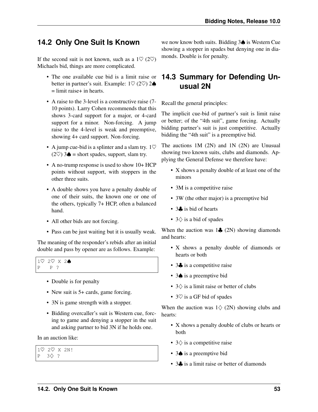## **14.2 Only One Suit Is Known**

If the second suit is not known, such as a  $1\heartsuit$  (2 $\heartsuit$ ) Michaels bid, things are more complicated.

- The one available cue bid is a limit raise or better in partner's suit. Example:  $1\heartsuit$  (2 $\heartsuit$ ) 2 $\spadesuit$ = limit raise+ in hearts.
- A raise to the 3-level is a constructive raise (7- 10 points). Larry Cohen recommends that this shows 3-card support for a major, or 4-card support for a minor. Non-forcing. A jump raise to the 4-level is weak and preemptive, showing 4+ card support. Non-forcing.
- A jump cue-bid is a splinter and a slam try.  $1\heartsuit$ (2♡) 3♦ = short spades, support, slam try.
- A no-trump response is used to show 10+ HCP points without support, with stoppers in the other three suits.
- A double shows you have a penalty double of one of their suits, the known one or one of the others, typically 7+ HCP, often a balanced hand.
- All other bids are not forcing.
- Pass can be just waiting but it is usually weak.

The meaning of the responder's rebids after an initial double and pass by opener are as follows. Example:

1♡ 2♡ X 2♠ P P ?

- Double is for penalty
- New suit is 5+ cards, game forcing.
- 3N is game strength with a stopper.
- Bidding overcaller's suit is Western cue, forcing to game and denying a stopper in the suit and asking partner to bid 3N if he holds one.

In an auction like:

1♡ 2♡ X 2N! P 3♢ ?

we now know both suits. Bidding 3♠ is Western Cue showing a stopper in spades but denying one in diamonds. Double is for penalty.

## **14.3 Summary for Defending Unusual 2N**

Recall the general principles:

The implicit cue-bid of partner's suit is limit raise or better; of the "4th suit", game forcing. Actually bidding partner's suit is just competitive. Actually bidding the "4th suit" is a preemptive bid.

The auctions 1M (2N) and 1N (2N) are Unusual showing two known suits, clubs and diamonds. Applying the General Defense we therefore have:

- X shows a penalty double of at least one of the minors
- 3M is a competitive raise
- 3W (the other major) is a preemptive bid
- 3. is bid of hearts
- $3\diamondsuit$  is a bid of spades

When the auction was  $1\clubsuit$  (2N) showing diamonds and hearts:

- X shows a penalty double of diamonds or hearts or both
- 3. is a competitive raise
- 3♠ is a preemptive bid
- $3\diamondsuit$  is a limit raise or better of clubs
- $3\heartsuit$  is a GF bid of spades

When the auction was  $1\diamondsuit$  (2N) showing clubs and hearts:

- X shows a penalty double of clubs or hearts or both
- $3\diamondsuit$  is a competitive raise
- 3♠ is a preemptive bid
- 3. is a limit raise or better of diamonds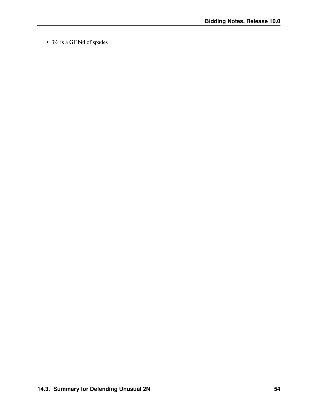• 3 $\heartsuit$  is a GF bid of spades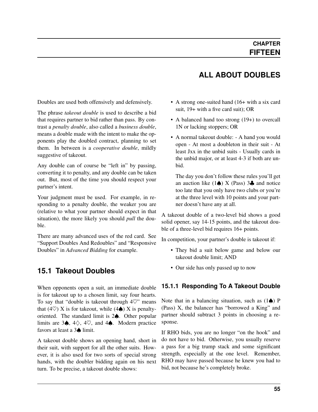#### Doubles are used both offensively and defensively.

The phrase *[takeout double](#page-82-0)* is used to describe a bid that requires partner to bid rather than pass. By contrast a *[penalty double](#page-81-3)*, also called a *[business double](#page-80-0)*, means a double made with the intent to make the opponents play the doubled contract, planning to set them. In between is a *[cooperative double](#page-80-1)*, mildly suggestive of takeout.

Any double can of course be "left in" by passing, converting it to penalty, and any double can be taken out. But, most of the time you should respect your partner's intent.

Your judgment must be used. For example, in responding to a penalty double, the weaker you are (relative to what your partner should expect in that situation), the more likely you should *[pull](#page-81-4)* the double.

There are many advanced uses of the red card. See "Support Doubles And Redoubles" and "Responsive Doubles" in *Advanced Bidding* for example.

#### **15.1 Takeout Doubles**

When opponents open a suit, an immediate double is for takeout up to a chosen limit, say four hearts. To say that "double is takeout through  $4\heartsuit$ " means that (4 $\heartsuit$ ) X is for takeout, while (4 $\spadesuit$ ) X is penaltyoriented. The standard limit is 2♠. Other popular limits are 3 $\spadesuit$ , 4 $\diamondsuit$ , 4 $\heartsuit$ , and 4 $\spadesuit$ . Modern practice favors at least a 3♠ limit.

A takeout double shows an opening hand, short in their suit, with support for all the other suits. However, it is also used for two sorts of special strong hands, with the doubler bidding again on his next turn. To be precise, a takeout double shows:

#### **ALL ABOUT DOUBLES**

- A strong one-suited hand (16+ with a six card suit, 19+ with a five card suit); OR
- A balanced hand too strong (19+) to overcall 1N or lacking stoppers; OR
- A normal takeout double: A hand you would open - At most a doubleton in their suit - At least Jxx in the unbid suits - Usually cards in the unbid major, or at least 4-3 if both are unbid.

The day you don't follow these rules you'll get an auction like  $(1\spadesuit)$  X (Pass) 3 $\clubsuit$  and notice too late that you only have two clubs or you're at the three level with 10 points and your partner doesn't have any at all.

A takeout double of a two-level bid shows a good solid opener, say 14-15 points, and the takeout double of a three-level bid requires 16+ points.

In competition, your partner's double is takeout if:

- They bid a suit below game and below our takeout double limit; AND
- Our side has only passed up to now

#### **15.1.1 Responding To A Takeout Double**

Note that in a balancing situation, such as  $(1\spadesuit)$  P (Pass) X, the balancer has "borrowed a King" and partner should subtract 3 points in choosing a response.

If RHO bids, you are no longer "on the hook" and do not have to bid. Otherwise, you usually reserve a pass for a big trump stack and some significant strength, especially at the one level. Remember, RHO may have passed because he knew you had to bid, not because he's completely broke.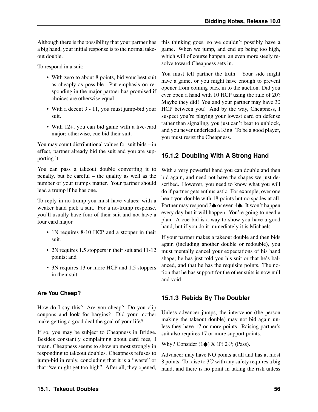Although there is the possibility that your partner has a big hand, your initial response is to the normal takeout double.

To respond in a suit:

- With zero to about 8 points, bid your best suit as cheaply as possible. Put emphasis on responding in the major partner has promised if choices are otherwise equal.
- With a decent 9 11, you must jump-bid your suit.
- With 12+, you can bid game with a five-card major; otherwise, cue bid their suit.

You may count distributional values for suit bids – in effect, partner already bid the suit and you are supporting it.

You can pass a takeout double converting it to penalty, but be careful – the quality as well as the number of your trumps matter. Your partner should lead a trump if he has one.

To reply in no-trump you must have values; with a weaker hand pick a suit. For a no-trump response, you'll usually have four of their suit and not have a four card major.

- 1N requires 8-10 HCP and a stopper in their suit.
- 2N requires 1.5 stoppers in their suit and 11-12 points; and
- 3N requires 13 or more HCP and 1.5 stoppers in their suit.

#### **Are You Cheap?**

How do I say this? Are you cheap? Do you clip coupons and look for bargins? Did your mother make getting a good deal the goal of your life?

If so, you may be subject to Cheapness in Bridge. Besides constantly complaining about card fees, I mean. Cheapness seems to show up most strongly in responding to takeout doubles. Cheapness refuses to jump-bid in reply, concluding that it is a "waste" or that "we might get too high". After all, they opened, this thinking goes, so we couldn't possibly have a game. When we jump, and end up being too high, which will of course happen, an even more steely resolve toward Cheapness sets in.

You must tell partner the truth. Your side might have a game, or you might have enough to prevent opener from coming back in to the auction. Did you ever open a hand with 10 HCP using the rule of 20? Maybe they did! You and your partner may have 30 HCP between you! And by the way, Cheapness, I suspect you're playing your lowest card on defense rather than signaling, you just can't bear to unblock, and you never underlead a King. To be a good player, you must resist the Cheapness.

#### **15.1.2 Doubling With A Strong Hand**

With a very powerful hand you can double and then bid again, and need not have the shapes we just described. However, you need to know what you will do if partner gets enthusiastic. For example, over one heart you double with 18 points but no spades at all. Partner may respond 3♠ or even 4♠. It won't happen every day but it will happen. You're going to need a plan. A cue bid is a way to show you have a good hand, but if you do it immediately it is Michaels.

If your partner makes a takeout double and then bids again (including another double or redouble), you must mentally cancel your expectations of his hand shape; he has just told you his suit or that he's balanced, and that he has the requisite points. The notion that he has support for the other suits is now null and void.

#### **15.1.3 Rebids By The Doubler**

Unless advancer jumps, the intervenor (the person making the takeout double) may not bid again unless they have 17 or more points. Raising partner's suit also requires 17 or more support points.

Why? Consider  $(1\spadesuit)$  X (P) 2 $\heartsuit$ ; (Pass).

Advancer may have NO points at all and has at most 8 points. To raise to  $3\heartsuit$  with any safety requires a big hand, and there is no point in taking the risk unless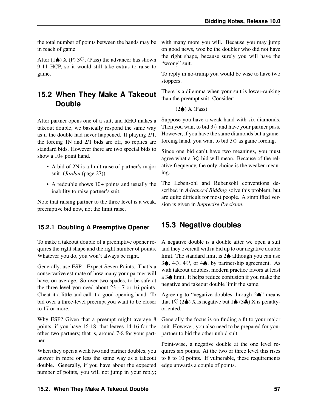the total number of points between the hands may be in reach of game.

After (1 $\triangle$ ) X (P) 3 $\heartsuit$ ; (Pass) the advancer has shown 9-11 HCP, so it would still take extras to raise to game.

## **15.2 When They Make A Takeout Double**

After partner opens one of a suit, and RHO makes a takeout double, we basically respond the same way as if the double had never happened. If playing 2/1, the forcing 1N and 2/1 bids are off, so replies are standard bids. However there are two special bids to show a 10+ point hand.

- A bid of 2N is a limit raise of partner's major suit. (*[Jordan](#page-32-0)* (page 27))
- A redouble shows 10+ points and usually the inability to raise partner's suit.

Note that raising partner to the three level is a weak, preemptive bid now, not the limit raise.

#### **15.2.1 Doubling A Preemptive Opener**

To make a takeout double of a preemptive opener requires the right shape and the right number of points. Whatever you do, you won't always be right.

Generally, use ESP - Expect Seven Points. That's a conservative estimate of how many your partner will have, on average. So over two spades, to be safe at the three level you need about 23 - 7 or 16 points. Cheat it a little and call it a good opening hand. To bid over a three-level preempt you want to be closer to 17 or more.

Why ESP? Given that a preempt might average 8 points, if you have 16-18, that leaves 14-16 for the other two partners; that is, around 7-8 for your partner.

When they open a weak two and partner doubles, you answer in more or less the same way as a takeout double. Generally, if you have about the expected number of points, you will not jump in your reply;

with many more you will. Because you may jump on good news, woe be the doubler who did not have the right shape, because surely you will have the "wrong" suit.

To reply in no-trump you would be wise to have two stoppers.

There is a dilemma when your suit is lower-ranking than the preempt suit. Consider:

 $(2$  $♦)$  X (Pass)

Suppose you have a weak hand with six diamonds. Then you want to bid  $3\diamondsuit$  and have your partner pass. However, if you have the same diamonds but a gameforcing hand, you want to bid  $3\diamondsuit$  as game forcing.

Since one bid can't have two meanings, you must agree what a  $3\diamondsuit$  bid will mean. Because of the relative frequency, the only choice is the weaker meaning.

The Lebensohl and Rubensohl conventions described in *Advanced Bidding* solve this problem, but are quite difficult for most people. A simplified version is given in *Imprecise Precision*.

## <span id="page-62-0"></span>**15.3 Negative doubles**

A negative double is a double after we open a suit and they overcall with a bid up to our negative double limit. The standard limit is 2♠ although you can use 3♠, 4♢, 4♡, or 4♠, by partnership agreement. As with takeout doubles, modern practice favors at least a 3♠ limit. It helps reduce confusion if you make the negative and takeout double limit the same.

Agreeing to "negative doubles through 2♠" means that  $1\heartsuit$  (2 $\spadesuit$ ) X is negative but  $1\spadesuit$  (3 $\clubsuit$ ) X is penaltyoriented.

Generally the focus is on finding a fit to your major suit. However, you also need to be prepared for your partner to bid the other unbid suit.

Point-wise, a negative double at the one level requires six points. At the two or three level this rises to 8 to 10 points. If vulnerable, these requirements edge upwards a couple of points.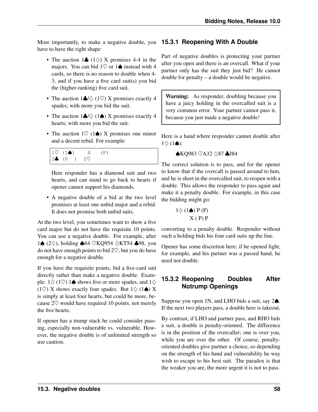More importantly, to make a negative double, you **15.3.1 Reopening With A Double** have to have the right shape:

- The auction  $1\clubsuit$  ( $1\diamondsuit$ ) X promises 4-4 in the majors. You can bid  $1\heartsuit$  or  $1\spadesuit$  instead with 4 cards, so there is no reason to double when 4- 3, and if you have a five card suit(s) you bid the (higher-ranking) five card suit.
- The auction  $1\clubsuit/\diamondsuit$  (1 $\heartsuit$ ) X promises exactly 4 spades; with more you bid the suit.
- The auction  $1\clubsuit/\diamondsuit$  (1 $\spadesuit$ ) X promises exactly 4 hearts; with more you bid the suit.
- The auction  $1\heartsuit$  (1 $\spadesuit$ ) X promises one minor and a decent rebid. For example:

|  | $\begin{array}{ ccc } \hline 1\heartsuit & (1\spadesuit) & \times & (\mathbb{P}) \\ 2\clubsuit & (\mathbb{P} \quad ) & 2\heartsuit \end{array}$ |  |  |
|--|-------------------------------------------------------------------------------------------------------------------------------------------------|--|--|
|  |                                                                                                                                                 |  |  |

Here responder has a diamond suit and two hearts, and can stand to go back to hearts if opener cannot support his diamonds.

• A negative double of a bid at the two level promises at least one unbid major and a rebid. It does not promise both unbid suits.

At the two level, you sometimes want to show a five card major but do not have the requisite 10 points. You can use a negative double. For example, after 1♠ (2♢), holding ♠64 ♡KQ954 ♢KT54 ♣98, you do not have enough points to bid  $2\heartsuit$ , but you do have enough for a negative double.

If you have the requisite points, bid a five-card suit directly rather than make a negative double. Example:  $1♦(1♦)$  1♦ shows five or more spades, and  $1♦$ (1♡) X shows exactly four spades. But  $1\diamondsuit$  (1 $\spadesuit$ ) X is simply at least four hearts, but could be more, because 2♡ would have required 10 points, not merely the five hearts.

If opener has a trump stack he could consider passing, especially non-vulnerable vs. vulnerable. However, the negative double is of unlimited strength so use caution.

Part of negative doubles is protecting your partner after you open and there is an overcall. What if your partner only has the suit they just bid? He cannot double for penalty – a double would be negative.

Warning: As responder, doubling because you have a juicy holding in the overcalled suit is a very common error. Your partner cannot pass it, because you just made a negative double!

Here is a hand where responder cannot double after  $1\diamondsuit$  (1 $\spadesuit$ ):

```
♠KQ983 ♡A32 ♢87 ♣J84
```
The correct solution is to pass, and for the opener to know that if the overcall is passed around to him, and he is short in the overcalled suit, to reopen with a double. This allows the responder to pass again and make it a penalty double. For example, in this case the bidding might go:

$$
1 \diamondsuit (1 \spadesuit) P (P)
$$
  
 
$$
X (P) P
$$

converting to a penalty double. Responder without such a holding bids his four card suits up the line.

Opener has some discretion here; if he opened light, for example, and his partner was a passed hand, he need not double.

#### **15.3.2 Reopening Doubles After Notrump Openings**

Suppose you open 1N, and LHO bids a suit, say 2♠. If the next two players pass, a double here is takeout.

By contrast, if LHO and partner pass, and RHO bids a suit, a double is penalty-oriented. The difference is in the position of the overcaller; one is over you, while you are over the other. Of course, penaltyoriented doubles give partner a choice, so depending on the strength of his hand and vulnerability he way wish to escape to his best suit. The paradox is that the weaker you are, the more urgent it is not to pass.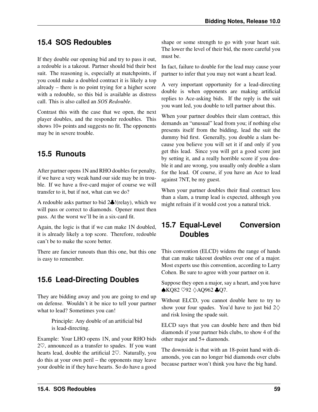## **15.4 SOS Redoubles**

If they double our opening bid and try to pass it out, a redouble is a takeout. Partner should bid their best suit. The reasoning is, especially at matchpoints, if you could make a doubled contract it is likely a top already – there is no point trying for a higher score with a redouble, so this bid is available as distress call. This is also called an *[SOS Redouble](#page-82-1)*.

Contrast this with the case that we open, the next player doubles, and the responder redoubles. This shows 10+ points and suggests no fit. The opponents may be in severe trouble.

## **15.5 Runouts**

After partner opens 1N and RHO doubles for penalty, if we have a very weak hand our side may be in trouble. If we have a five-card major of course we will transfer to it, but if not, what can we do?

A redouble asks partner to bid 2♣!(relay), which we will pass or correct to diamonds. Opener must then pass. At the worst we'll be in a six-card fit.

Again, the logic is that if we can make 1N doubled, it is already likely a top score. Therefore, redouble can't be to make the score better.

There are fancier runouts than this one, but this one is easy to remember.

## **15.6 Lead-Directing Doubles**

They are bidding away and you are going to end up on defense. Wouldn't it be nice to tell your partner what to lead? Sometimes you can!

> Principle: Any double of an artificial bid is lead-directing.

Example: Your LHO opens 1N, and your RHO bids 2♡, announced as a transfer to spades. If you want hearts lead, double the artificial 2♡. Naturally, you do this at your own peril – the opponents may leave your double in if they have hearts. So do have a good shape or some strength to go with your heart suit. The lower the level of their bid, the more careful you must be.

In fact, failure to double for the lead may cause your partner to infer that you may not want a heart lead.

A very important opportunity for a lead-directing double is when opponents are making artificial replies to Ace-asking bids. If the reply is the suit you want led, you double to tell partner about this.

When your partner doubles their slam contract, this demands an "unusual" lead from you; if nothing else presents itself from the bidding, lead the suit the dummy bid first. Generally, you double a slam because you believe you will set it if and only if you get this lead. Since you will get a good score just by setting it, and a really horrible score if you double it and are wrong, you usually only double a slam for the lead. Of course, if you have an Ace to lead against 7NT, be my guest.

When your partner doubles their final contract less than a slam, a trump lead is expected, although you might refrain if it would cost you a natural trick.

## <span id="page-64-1"></span>**15.7 Equal-Level Conversion Doubles**

This convention (ELCD) widens the range of hands that can make takeout doubles over one of a major. Most experts use this convention, according to Larry Cohen. Be sure to agree with your partner on it.

Suppose they open a major, say a heart, and you have ♠KQ82 ♡92 ♢AQ962 ♣Q7.

Without ELCD, you cannot double here to try to show your four spades. You'd have to just bid  $2\diamondsuit$ and risk losing the spade suit.

ELCD says that you can double here and then bid diamonds if your partner bids clubs, to show 4 of the other major and 5+ diamonds.

<span id="page-64-0"></span>The downside is that with an 18-point hand with diamonds, you can no longer bid diamonds over clubs because partner won't think you have the big hand.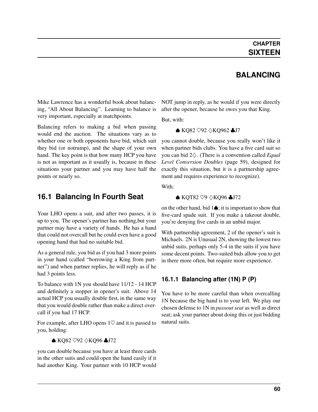#### **BALANCING**

Mike Lawrence has a wonderful book about balancing, "All About Balancing". Learning to balance is very important, especially at matchpoints.

Balancing refers to making a bid when passing would end the auction. The situations vary as to whether one or both opponents have bid, which suit they bid (or notrump), and the shape of your own hand. The key point is that how many HCP you have is not as important as it usually is, because in these situations your partner and you may have half the points or nearly so.

#### <span id="page-65-0"></span>**16.1 Balancing In Fourth Seat**

Your LHO opens a suit, and after two passes, it is up to you. The opener's partner has nothing,but your partner may have a variety of hands. He has a hand that could not overcall but he could even have a good opening hand that had no suitable bid.

As a general rule, you bid as if you had 3 more points in your hand (called "borrowing a King from partner") and when partner replies, he will reply as if he had 3 points less.

To balance with 1N you should have 11/12 - 14 HCP and definitely a stopper in opener's suit. Above 14 actual HCP you usually double first, in the same way that you would double rather than make a direct overcall if you had 17 HCP.

For example, after LHO opens  $1\heartsuit$  and it is passed to you, holding:

♠ KQ82 ♡92 ♢KQ96 ♣J72

you can double because you have at least three cards in the other suits and could open the hand easily if it had another King. Your partner with 10 HCP would NOT jump in reply, as he would if you were directly after the opener, because he owes you that King.

But, with:

♠ KQ82 ♡92 ♢KQ962 ♣J7

you cannot double, because you really won't like it when partner bids clubs. You have a five card suit so you can bid 2♢. (There is a convention called *[Equal](#page-64-1) [Level Conversion Doubles](#page-64-1)* (page 59), designed for exactly this situation, but it is a partnership agreement and requires experience to recognize).

With:

#### ♠ KQT82 ♡9 ♢KQ96 ♣J72

on the other hand, bid  $1\spadesuit$ ; it is important to show that five-card spade suit. If you make a takeout double, you're denying five cards in an unbid major.

With partnership agreement, 2 of the opener's suit is Michaels. 2N is Unusual 2N, showing the lowest two unbid suits, perhaps only 5-4 in the suits if you have some decent points. Two-suited bids allow you to get in there more often, but require more experience.

#### **16.1.1 Balancing after (1N) P (P)**

You have to be more careful than when overcalling 1N because the big hand is to your left. We play our chosen defense to 1N in *[passout seat](#page-81-1)* as well as direct seat; ask your partner about doing this or just bidding natural suits.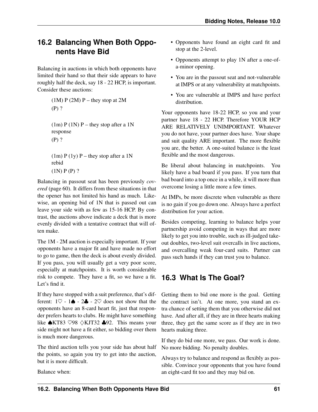## **16.2 Balancing When Both Opponents Have Bid**

Balancing in auctions in which both opponents have limited their hand so that their side appears to have roughly half the deck, say 18 - 22 HCP, is important. Consider these auctions:

> $(1M)$  P  $(2M)$  P – they stop at 2M (P) ?  $(1m)$  P  $(1N)$  P – they stop after a 1N response (P) ?  $(1m) P (1y) P$  – they stop after a 1N rebid (1N) P (P) ?

Balancing in passout seat has been previously *[cov](#page-65-0)[ered](#page-65-0)* (page 60). It differs from these situations in that the opener has not limited his hand as much. Likewise, an opening bid of 1N that is passed out can leave your side with as few as 15-16 HCP. By contrast, the auctions above indicate a deck that is more evenly divided with a tentative contract that will often make.

The 1M - 2M auction is especially important. If your opponents have a major fit and have made no effort to go to game, then the deck is about evenly divided. If you pass, you will usually get a very poor score, especially at matchpoints. It is worth considerable risk to compete. They have a fit, so we have a fit. Let's find it.

If they have stopped with a suit preference, that's different:  $1\heartsuit - 1\spadesuit - 2\clubsuit - 2\heartsuit$  does not show that the opponents have an 8-card heart fit, just that responder prefers hearts to clubs. He might have something like ♠KT83 ♡98 ♢KJT32 ♣92. This means your side might not have a fit either, so bidding over them is much more dangerous.

The third auction tells you your side has about half the points, so again you try to get into the auction, but it is more difficult.

Balance when:

- Opponents have found an eight card fit and stop at the 2-level.
- Opponents attempt to play 1N after a one-ofa-minor opening.
- You are in the passout seat and not-vulnerable at IMPS or at any vulnerability at matchpoints.
- You are vulnerable at IMPS and have perfect distribution.

Your opponents have 18-22 HCP, so you and your partner have 18 - 22 HCP. Therefore YOUR HCP ARE RELATIVELY UNIMPORTANT. Whatever you do not have, your partner does have. Your shape and suit quality ARE important. The more flexible you are, the better. A one-suited balance is the least flexible and the most dangerous.

Be liberal about balancing in matchpoints. You likely have a bad board if you pass. If you turn that bad board into a top once in a while, it will more than overcome losing a little more a few times.

At IMPs, be more discrete when vulnerable as there is no gain if you go down one. Always have a perfect distribution for your action.

Besides competing, learning to balance helps your partnership avoid competing in ways that are more likely to get you into trouble, such as ill-judged takeout doubles, two-level suit overcalls in live auctions, and overcalling weak four-card suits. Partner can pass such hands if they can trust you to balance.

## **16.3 What Is The Goal?**

Getting them to bid one more is the goal. Getting the contract isn't. At one more, you stand an extra chance of setting them that you otherwise did not have. And after all, if they are in three hearts making three, they get the same score as if they are in two hearts making three.

If they do bid one more, we pass. Our work is done. No more bidding. No penalty doubles.

Always try to balance and respond as flexibly as possible. Convince your opponents that you have found an eight-card fit too and they may bid on.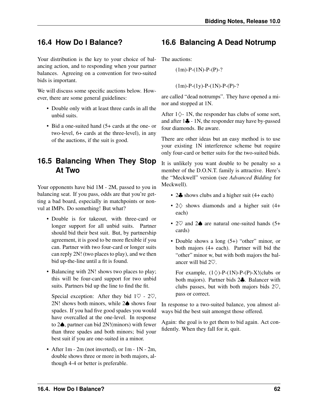## **16.4 How Do I Balance?**

Your distribution is the key to your choice of balancing action, and to responding when your partner balances. Agreeing on a convention for two-suited bids is important.

We will discuss some specific auctions below. However, there are some general guidelines:

- Double only with at least three cards in all the unbid suits.
- Bid a one-suited hand (5+ cards at the one- or two-level, 6+ cards at the three-level), in any of the auctions, if the suit is good.

## **16.5 Balancing When They Stop At Two**

Your opponents have bid 1M - 2M, passed to you in balancing seat. If you pass, odds are that you're getting a bad board, especially in matchpoints or nonvul at IMPs. Do something! But what?

- Double is for takeout, with three-card or longer support for all unbid suits. Partner should bid their best suit. But, by partnership agreement, it is good to be more flexible if you can. Partner with two four-card or longer suits can reply 2N! (two places to play), and we then bid up-the-line until a fit is found.
- Balancing with 2N! shows two places to play; this will be four-card support for two unbid suits. Partners bid up the line to find the fit.

Special exception: After they bid  $1\heartsuit$  -  $2\heartsuit$ , 2N! shows both minors, while 2♠ shows four spades. If you had five good spades you would have overcalled at the one-level. In response to 2♠, partner can bid 2N!(minors) with fewer than three spades and both minors; bid your best suit if you are one-suited in a minor.

• After 1m - 2m (not inverted), or 1m - 1N - 2m, double shows three or more in both majors, although 4-4 or better is preferable.

## **16.6 Balancing A Dead Notrump**

The auctions:

 $(1m)$ -P- $(1N)$ -P- $(P)$ -?

 $(1m)$ -P- $(1y)$ -P- $(1N)$ -P- $(P)$ -?

are called "dead notrumps". They have opened a minor and stopped at 1N.

After  $1\diamondsuit$ - 1N, the responder has clubs of some sort, and after 1♣ - 1N, the responder may have by-passed four diamonds. Be aware.

There are other ideas but an easy method is to use your existing 1N interference scheme but require only four-card or better suits for the two-suited bids.

It is unlikely you want double to be penalty so a member of the D.O.N.T. family is attractive. Here's the "Meckwell" version (see *Advanced Bidding* for Meckwell).

- 2. shows clubs and a higher suit (4+ each)
- 2♢ shows diamonds and a higher suit (4+ each)
- 2♡ and 2♠ are natural one-suited hands (5+ cards)
- Double shows a long  $(5+)$  "other" minor, or both majors (4+ each). Partner will bid the "other" minor w, but with both majors the balancer will bid 2♡.

For example,  $(1\diamondsuit)$ -P-(1N)-P-(P)-X!(clubs or both majors). Partner bids 2♣. Balancer with clubs passes, but with both majors bids  $2\heartsuit$ , pass or correct.

In response to a two-suited balance, you almost always bid the best suit amongst those offered.

Again: the goal is to get them to bid again. Act confidently. When they fall for it, quit.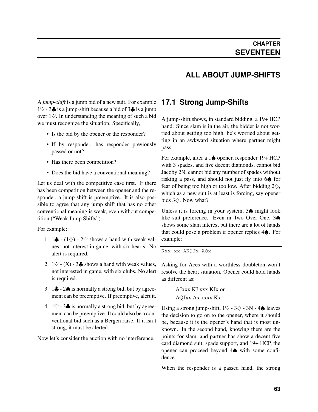#### **ALL ABOUT JUMP-SHIFTS**

A *[jump-shift](#page-81-5)* is a jump bid of a new suit. For example  $1\heartsuit$  - 3 $\clubsuit$  is a jump-shift because a bid of 3 $\clubsuit$  is a jump over 1♡. In understanding the meaning of such a bid we must recognize the situation. Specifically,

- Is the bid by the opener or the responder?
- If by responder, has responder previously passed or not?
- Has there been competition?
- Does the bid have a conventional meaning?

<span id="page-68-0"></span>Let us deal with the competitive case first. If there has been competition between the opener and the responder, a jump shift is preemptive. It is also possible to agree that any jump shift that has no other conventional meaning is weak, even without competition ("Weak Jump Shifts").

For example:

- 1. 1 $\clubsuit$  (1 $\diamondsuit$ ) 2 $\heartsuit$  shows a hand with weak values, not interest in game, with six hearts. No alert is required.
- 2.  $1\heartsuit$  (X) 3. shows a hand with weak values, not interested in game, with six clubs. No alert is required.
- 3.  $1\clubsuit$   $2\spadesuit$  is normally a strong bid, but by agreement can be preemptive. If preemptive, alert it.
- 4.  $1\heartsuit$  3 $\clubsuit$  is normally a strong bid, but by agreement can be preemptive. It could also be a conventional bid such as a Bergen raise. If it isn't strong, it must be alerted.

Now let's consider the auction with no interference.

#### **17.1 Strong Jump-Shifts**

A jump-shift shows, in standard bidding, a 19+ HCP hand. Since slam is in the air, the bidder is not worried about getting too high, he's worried about getting in an awkward situation where partner might pass.

For example, after a 1♠ opener, responder 19+ HCP with 3 spades, and five decent diamonds, cannot bid Jacoby 2N, cannot bid any number of spades without risking a pass, and should not just fly into 6♠ for fear of being too high or too low. After bidding  $2\diamondsuit$ , which as a new suit is at least is forcing, say opener bids 3♢. Now what?

Unless it is forcing in your system, 3♠ might look like suit preference. Even in Two Over One, 3♠ shows some slam interest but there are a lot of hands that could pose a problem if opener replies 4♠. For example:

Kxx xx AKQJx AQx

Asking for Aces with a worthless doubleton won't resolve the heart situation. Opener could hold hands as different as:

> AJxxx KJ xxx KJx or AQJxx Ax xxxx Kx

Using a strong jump-shift,  $1\heartsuit - 3\diamondsuit - 3N - 4\spadesuit$  leaves the decision to go on to the opener, where it should be, because it is the opener's hand that is most unknown. In the second hand, knowing there are the points for slam, and partner has show a decent five card diamond suit, spade support, and 19+ HCP, the opener can proceed beyond 4♠ with some confidence.

When the responder is a passed hand, the strong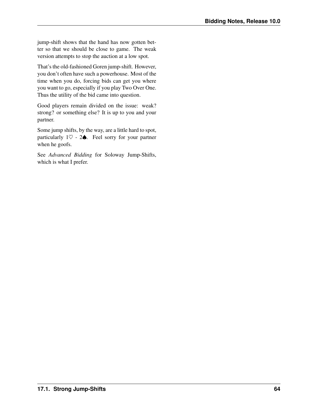jump-shift shows that the hand has now gotten better so that we should be close to game. The weak version attempts to stop the auction at a low spot.

That's the old-fashioned Goren jump-shift. However, you don't often have such a powerhouse. Most of the time when you do, forcing bids can get you where you want to go, especially if you play Two Over One. Thus the utility of the bid came into question.

Good players remain divided on the issue: weak? strong? or something else? It is up to you and your partner.

Some jump shifts, by the way, are a little hard to spot, particularly  $1\heartsuit$  - 2 $\spadesuit$ . Feel sorry for your partner when he goofs.

See *Advanced Bidding* for Soloway Jump-Shifts, which is what I prefer.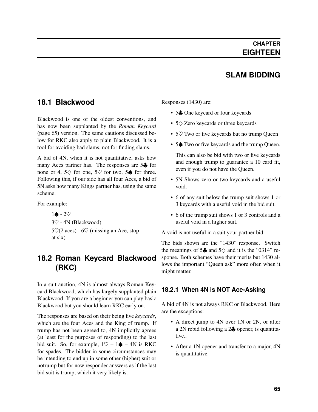## **SLAM BIDDING**

#### **18.1 Blackwood**

Blackwood is one of the oldest conventions, and has now been supplanted by the *[Roman Keycard](#page-70-0)* (page 65) version. The same cautions discussed below for RKC also apply to plain Blackwood. It is a tool for avoiding bad slams, not for finding slams.

A bid of 4N, when it is not quantitative, asks how many Aces partner has. The responses are 5♣ for none or 4,  $5\diamondsuit$  for one,  $5\diamondsuit$  for two,  $5\spadesuit$  for three. Following this, if our side has all four Aces, a bid of 5N asks how many Kings partner has, using the same scheme.

For example:

 $1$ **♦** -  $2$ ♡ 3♡ - 4N (Blackwood)  $5\%$ (2 aces) - 6 $\%$  (missing an Ace, stop at six)

## **18.2 Roman Keycard Blackwood (RKC)**

<span id="page-70-0"></span>In a suit auction, 4N is almost always Roman Keycard Blackwood, which has largely supplanted plain Blackwood. If you are a beginner you can play basic Blackwood but you should learn RKC early on.

The responses are based on their being five *keycards*, which are the four Aces and the King of trump. If trump has not been agreed to, 4N implicitly agrees (at least for the purposes of responding) to the last bid suit. So, for example,  $1\heartsuit - 1\spadesuit - 4N$  is RKC for spades. The bidder in some circumstances may be intending to end up in some other (higher) suit or notrump but for now responder answers as if the last bid suit is trump, which it very likely is.

Responses (1430) are:

- 5. One keycard or four keycards
- 5♢ Zero keycards or three keycards
- 5 $\heartsuit$  Two or five keycards but no trump Queen
- 5 $\spadesuit$  Two or five keycards and the trump Queen.

This can also be bid with two or five keycards and enough trump to guarantee a 10 card fit, even if you do not have the Queen.

- 5N Shows zero or two keycards and a useful void.
- 6 of any suit below the trump suit shows 1 or 3 keycards with a useful void in the bid suit.
- 6 of the trump suit shows 1 or 3 controls and a useful void in a higher suit.

A void is not useful in a suit your partner bid.

The bids shown are the "1430" response. Switch the meanings of 5 $\clubsuit$  and 5 $\diamond$  and it is the "0314" response. Both schemes have their merits but 1430 allows the important "Queen ask" more often when it might matter.

#### **18.2.1 When 4N is NOT Ace-Asking**

A bid of 4N is not always RKC or Blackwood. Here are the exceptions:

- A direct jump to 4N over 1N or 2N, or after a 2N rebid following a 2♣ opener, is quantitative..
- After a 1N opener and transfer to a major, 4N is quantitative.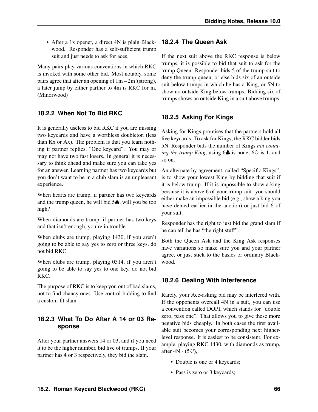• After a 1x opener, a direct 4N is plain Blackwood. Responder has a self-sufficient trump suit and just needs to ask for aces.

Many pairs play various conventions in which RKC is invoked with some other bid. Most notably, some pairs agree that after an opening of  $1m - 2m$ !(strong), a later jump by either partner to 4m is RKC for m. (Minorwood)

#### **18.2.2 When Not To Bid RKC**

It is generally useless to bid RKC if you are missing two keycards and have a worthless doubleton (less than Kx or Ax). The problem is that you learn nothing if partner replies, "One keycard". You may or may not have two fast losers. In general it is necessary to think ahead and make sure you can take yes for an answer. Learning partner has two keycards but you don't want to be in a club slam is an unpleasant experience.

When hearts are trump, if partner has two keycards and the trump queen, he will bid 5♠; will you be too high?

When diamonds are trump, if partner has two keys and that isn't enough, you're in trouble.

When clubs are trump, playing 1430, if you aren't going to be able to say yes to zero or three keys, do not bid RKC.

When clubs are trump, playing 0314, if you aren't going to be able to say yes to one key, do not bid RKC.

The purpose of RKC is to keep you out of bad slams, not to find chancy ones. Use control-bidding to find a custom-fit slam.

#### **18.2.3 What To Do After A 14 or 03 Response**

After your partner answers 14 or 03, and if you need it to be the higher number, bid five of trumps. If your partner has 4 or 3 respectively, they bid the slam.

#### **18.2.4 The Queen Ask**

If the next suit above the RKC response is below trumps, it is possible to bid that suit to ask for the trump Queen. Responder bids 5 of the trump suit to deny the trump queen, or else bids six of an outside suit below trumps in which he has a King, or 5N to show no outside King below trumps. Bidding six of trumps shows an outside King in a suit above trumps.

#### **18.2.5 Asking For Kings**

Asking for Kings promises that the partners hold all five keycards. To ask for Kings, the RKC bidder bids 5N. Responder bids the number of Kings *not counting the trump King*, using  $6\clubsuit$  is none,  $6\diamondsuit$  is 1, and so on.

An alternate by agreement, called "Specific Kings", is to show your lowest King by bidding that suit if it is below trump. If it is impossible to show a king because it is above 6 of your trump suit. you should either make an impossible bid (e.g., show a king you have denied earlier in the auction) or just bid 6 of your suit.

Responder has the right to just bid the grand slam if he can tell he has "the right stuff".

Both the Queen Ask and the King Ask responses have variations so make sure you and your partner agree, or just stick to the basics or ordinary Blackwood.

#### **18.2.6 Dealing With Interference**

Rarely, your Ace-asking bid may be interfered with. If the opponents overcall 4N in a suit, you can use a convention called DOPI, which stands for "double zero, pass one". That allows you to give these more negative bids cheaply. In both cases the first available suit becomes your corresponding next higherlevel response. It is easiest to be consistent. For example, playing RKC 1430, with diamonds as trump, after  $4N - (5\heartsuit)$ ,

- Double is one or 4 keycards;
- Pass is zero or 3 keycards;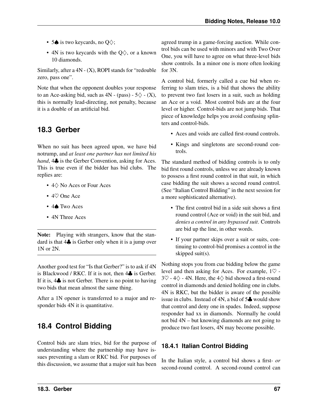- <span id="page-72-1"></span>• 5 $\spadesuit$  is two keycards, no Q $\diamondsuit$ ;
- 4N is two keycards with the  $Q\diamondsuit$ , or a known 10 diamonds.

Similarly, after a  $4N - (X)$ , ROPI stands for "redouble" zero, pass one".

Note that when the opponent doubles your response to an Ace-asking bid, such as  $4N - (pass) - 5\diamondsuit - (X)$ , this is normally lead-directing, not penalty, because it is a double of an artificial bid.

# **18.3 Gerber**

<span id="page-72-0"></span>When no suit has been agreed upon, we have bid notrump, and *at least one partner has not limited his hand*, 4 $\clubsuit$  is the Gerber Convention, asking for Aces. This is true even if the bidder has bid clubs. The replies are:

- 4♢ No Aces or Four Aces
- 4♡ One Ace
- 4♠ Two Aces
- 4N Three Aces

Note: Playing with strangers, know that the standard is that 4♣ is Gerber only when it is a jump over 1N or 2N.

Another good test for "Is that Gerber?" is to ask if 4N is Blackwood / RKC. If it is not, then 4♣ is Gerber. If it is, 4♣ is not Gerber. There is no point to having two bids that mean almost the same thing.

After a 1N opener is transferred to a major and responder bids 4N it is quantitative.

# **18.4 Control Bidding**

Control bids are slam tries, bid for the purpose of understanding where the partnership may have issues preventing a slam or RKC bid. For purposes of this discussion, we assume that a major suit has been

agreed trump in a game-forcing auction. While control bids can be used with minors and with Two Over One, you will have to agree on what three-level bids show controls. In a minor one is more often looking for 3N.

A control bid, formerly called a cue bid when referring to slam tries, is a bid that shows the ability to prevent two fast losers in a suit, such as holding an Ace or a void. Most control bids are at the four level or higher. Control-bids are not jump bids. That piece of knowledge helps you avoid confusing splinters and control-bids.

- Aces and voids are called first-round controls.
- Kings and singletons are second-round controls.

The standard method of bidding controls is to only bid first round controls, unless we are already known to possess a first round control in that suit, in which case bidding the suit shows a second round control. (See "Italian Control Bidding" in the next session for a more sophisticated alternative).

- The first control bid in a side suit shows a first round control (Ace or void) in the suit bid, and *denies a control in any bypassed suit*. Controls are bid up the line, in other words.
- If your partner skips over a suit or suits, continuing to control-bid promises a control in the skipped suit(s).

Nothing stops you from cue bidding below the game level and then asking for Aces. For example, 1♡ -  $3\heartsuit$  - 4 $\diamondsuit$  - 4N. Here, the 4 $\diamondsuit$  bid showed a first-round control in diamonds and denied holding one in clubs. 4N is RKC, but the bidder is aware of the possible issue in clubs. Instead of 4N, a bid of 5♣ would show that control and deny one in spades. Indeed, suppose responder had xx in diamonds. Normally he could not bid 4N – but knowing diamonds are not going to produce two fast losers, 4N may become possible.

#### **18.4.1 Italian Control Bidding**

In the Italian style, a control bid shows a first- *or* second-round control. A second-round control can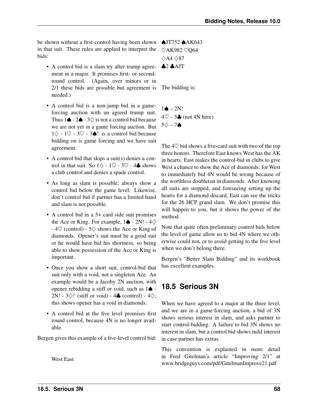<span id="page-73-0"></span>be shown without a first-control having been shown in that suit. These rules are applied to interpret the bids:

- A control bid is a slam try after trump agreement in a major. It promises first- or secondround control. (Again, over minors or in 2/1 these bids are possible but agreement is needed.)
- A control bid is a non-jump bid in a gameforcing auction with an agreed trump suit. Thus  $1\spadesuit - 2\spadesuit - 3\diamondsuit$  is not a control bid because we are not yet in a game forcing auction. But  $1\diamondsuit$  - 1♡ - 3♡ - 3♦! is a control bid because bidding on is game forcing and we have suit agreement.
- A control bid that skips a suit(s) denies a control in that suit. So  $1\diamondsuit - 1\heartsuit - 3\heartsuit - 4\clubsuit$  shows a club control and denies a spade control.
- As long as slam is possible, always show a control bid below the game level. Likewise, don't control bid if partner has a limited hand and slam is not possible.
- A control bid in a 5+ card side suit promises the Ace or King. For example,  $1\spadesuit$  - 2N! - 4 $\diamondsuit$ -  $4\heartsuit$  (control) -  $5\diamondsuit$  shows the Ace or King of diamonds. Opener's suit must be a good suit or he would have bid his shortness, so being able to show possession of the Ace or King is important.
- Once you show a short suit, control-bid that suit only with a void, not a singleton Ace. An example would be a Jacoby 2N auction, with opener rebidding a stiff or void, such as 1♠ - 2N! -  $3\diamondsuit$ ! (stiff or void) -  $4\clubsuit$  (control) -  $4\diamondsuit$ ; this shows opener has a void in diamonds.
- A control bid at the five level promises first round control, because 4N is no longer available.

Bergen gives this example of a five-level control bid:

West East

♠JT752 ♠AK643 ♡AK982 ♡Q64 ♢A4 ♢87  $$2$   $$$  AJT

The bidding is:

 $1\spadesuit - 2N!$  $4\degree$  – 5 $\clubsuit$  (not 4N here)  $5\diamondsuit - 7\spadesuit$ 

The 4♡ bid shows a five-card suit with two of the top three honors. Therefore East knows West has the AK in hearts. East makes the control-bid in clubs to give West a chance to show the Ace of diamonds; for West to immediately bid 4N would be wrong because of the worthless doubleton in diamonds. After knowing all suits are stopped, and foreseeing setting up the hearts for a diamond discard, East can see the tricks for the 26 HCP grand slam. We don't promise this will happen to you, but it shows the power of the method.

Note that quite often preliminary control bids below the level of game allow us to bid 4N where we otherwise could not, or to avoid getting to the five level when we don't belong there.

Bergen's "Better Slam Bidding" and its workbook has excellent examples.

### **18.5 Serious 3N**

When we have agreed to a major at the three level, and we are in a game-forcing auction, a bid of 3N shows serious interest in slam, and asks partner to start control-bidding. A failure to bid 3N shows no interest in slam, but a control bid shows mild interest in case partner has extras.

This convention is explained in more detail in Fred Gitelman's article "Improving 2/1" at www.bridgeguys.com/pdf/GitelmanImprove21.pdf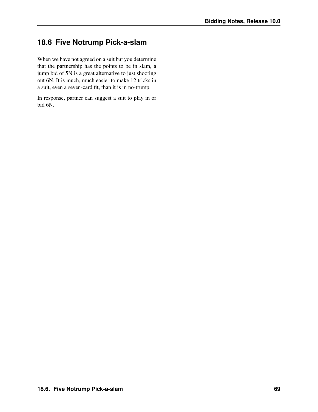### <span id="page-74-0"></span>**18.6 Five Notrump Pick-a-slam**

When we have not agreed on a suit but you determine that the partnership has the points to be in slam, a jump bid of 5N is a great alternative to just shooting out 6N. It is much, much easier to make 12 tricks in a suit, even a seven-card fit, than it is in no-trump.

In response, partner can suggest a suit to play in or bid 6N.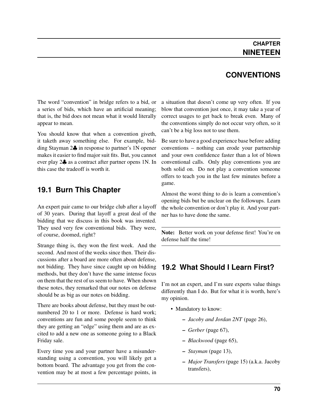### **CONVENTIONS**

<span id="page-75-0"></span>The word "convention" in bridge refers to a bid, or a series of bids, which have an artificial meaning; that is, the bid does not mean what it would literally appear to mean.

You should know that when a convention giveth, it taketh away something else. For example, bidding Stayman 2♣ in response to partner's 1N opener makes it easier to find major suit fits. But, you cannot ever play 2♣ as a contract after partner opens 1N. In this case the tradeoff is worth it.

### **19.1 Burn This Chapter**

An expert pair came to our bridge club after a layoff of 30 years. During that layoff a great deal of the bidding that we discuss in this book was invented. They used very few conventional bids. They were, of course, doomed, right?

Strange thing is, they won the first week. And the second. And most of the weeks since then. Their discussions after a board are more often about defense, not bidding. They have since caught up on bidding methods, but they don't have the same intense focus on them that the rest of us seem to have. When shown these notes, they remarked that our notes on defense should be as big as our notes on bidding.

There are books about defense, but they must be outnumbered 20 to 1 or more. Defense is hard work; conventions are fun and some people seem to think they are getting an "edge" using them and are as excited to add a new one as someone going to a Black Friday sale.

Every time you and your partner have a misunderstanding using a convention, you will likely get a bottom board. The advantage you get from the convention may be at most a few percentage points, in a situation that doesn't come up very often. If you blow that convention just once, it may take a year of correct usages to get back to break even. Many of the conventions simply do not occur very often, so it can't be a big loss not to use them.

Be sure to have a good experience base before adding conventions – nothing can erode your partnership and your own confidence faster than a lot of blown conventional calls. Only play conventions you are both solid on. Do not play a convention someone offers to teach you in the last few minutes before a game.

Almost the worst thing to do is learn a convention's opening bids but be unclear on the followups. Learn the whole convention or don't play it. And your partner has to have done the same.

Note: Better work on your defense first! You're on defense half the time!

### **19.2 What Should I Learn First?**

I'm not an expert, and I'm sure experts value things differently than I do. But for what it is worth, here's my opinion.

- Mandatory to know:
	- *[Jacoby and Jordan 2NT](#page-31-0)* (page 26),
	- *[Gerber](#page-72-0)* (page 67),
	- *[Blackwood](#page-70-0)* (page 65),
	- *[Stayman](#page-18-0)* (page 13),
	- *[Major Transfers](#page-20-0)* (page 15) (a.k.a. Jacoby transfers),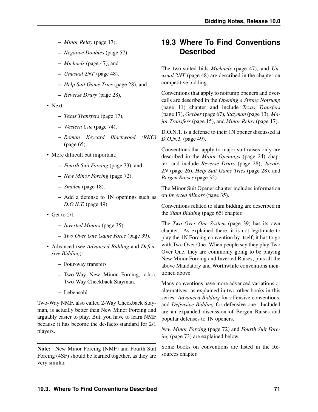- <span id="page-76-0"></span>– *[Minor Relay](#page-22-0)* (page 17),
- *[Negative Doubles](#page-62-0)* (page 57),
- *[Michaels](#page-52-0)* (page 47), and
- *[Unusual 2NT](#page-53-0)* (page 48).
- *[Help Suit Game Tries](#page-33-0)* (page 28), and
- *[Reverse Drury](#page-33-1)* (page 28),
- Next:
	- *[Texas Transfers](#page-22-1)* (page 17),
	- *[Western Cue](#page-79-0)* (page 74),
	- *[Roman Keycard Blackwood \(RKC\)](#page-70-1)* (page 65).
- More difficult but important:
	- *[Fourth Suit Forcing](#page-78-0)* (page 73), and
	- *[New Minor Forcing](#page-77-0)* (page 72).
	- *[Smolen](#page-23-0)* (page 18).
	- Add a defense to 1N openings such as *[D.O.N.T.](#page-54-0)* (page 49)
- Get to  $2/1$ :
	- *[Inverted Minors](#page-40-0)* (page 35).
	- *[Two Over One Game Force](#page-44-0)* (page 39).
- Advanced (see *Advanced Bidding* and *Defensive Bidding*):
	- Four-way transfers
	- Two-Way New Minor Forcing, a.k.a. Two-Way Checkback Stayman.
	- Lebensohl

Two-Way NMF, also called 2-Way Checkback Stayman, is actually better than New Minor Forcing and arguably easier to play. But, you have to learn NMF because it has become the de-facto standard for 2/1 players.

Note: New Minor Forcing (NMF) and Fourth Suit Forcing (4SF) should be learned together, as they are very similar.

# **19.3 Where To Find Conventions Described**

The two-suited bids *[Michaels](#page-52-0)* (page 47), and *[Un](#page-53-0)[usual 2NT](#page-53-0)* (page 48) are described in the chapter on competitive bidding.

Conventions that apply to notrump openers and overcalls are described in the *[Opening a Strong Notrump](#page-16-0)* (page 11) chapter and include *[Texas Transfers](#page-22-1)* (page 17), *[Gerber](#page-72-0)* (page 67), *[Stayman](#page-18-0)* (page 13), *[Ma](#page-20-0)[jor Transfers](#page-20-0)* (page 15), and *[Minor Relay](#page-22-0)* (page 17).

D.O.N.T. is a defense to their 1N opener discussed at *[D.O.N.T.](#page-54-0)* (page 49).

Conventions that apply to major suit raises only are described in the *[Major Openings](#page-29-0)* (page 24) chapter, and include *[Reverse Drury](#page-33-1)* (page 28), *[Jacoby](#page-31-0) [2N](#page-31-0)* (page 26), *[Help Suit Game Tries](#page-33-0)* (page 28), and *[Bergen Raises](#page-37-0)* (page 32).

The Minor Suit Opener chapter includes information on *[Inverted Minors](#page-40-0)* (page 35).

Conventions related to slam bidding are described in the *[Slam Bidding](#page-70-2)* (page 65) chapter.

The *[Two Over One System](#page-44-0)* (page 39) has its own chapter. As explained there, it is not legitimate to play the 1N Forcing convention by itself; it has to go with Two Over One. When people say they play Two Over One, they are commonly going to be playing New Minor Forcing and Inverted Raises, plus all the above Mandatory and Worthwhile conventions mentioned above.

Many conventions have more advanced variations or alternatives, as explained in two other books in this series: *Advanced Bidding* for offensive conventions, and *Defensive Bidding* for defensive one. Included are an expanded discussion of Bergen Raises and popular defenses to 1N openers.

*[New Minor Forcing](#page-77-0)* (page 72) and *[Fourth Suit Forc](#page-78-0)[ing](#page-78-0)* (page 73) are explained below.

Some books on conventions are listed in the Resources chapter.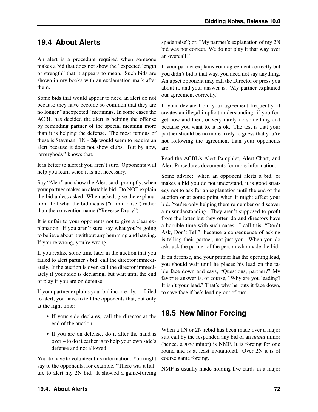### <span id="page-77-1"></span>**19.4 About Alerts**

An alert is a procedure required when someone makes a bid that does not show the "expected length or strength" that it appears to mean. Such bids are shown in my books with an exclamation mark after them.

Some bids that would appear to need an alert do not because they have become so common that they are no longer "unexpected" meanings. In some cases the ACBL has decided the alert is helping the offense by reminding partner of the special meaning more than it is helping the defense. The most famous of these is Stayman:  $1N - 2$ , would seem to require an alert because it does not show clubs. But by now, "everybody" knows that.

It is better to alert if you aren't sure. Opponents will help you learn when it is not necessary.

Say "Alert" and show the Alert card, promptly, when your partner makes an alertable bid. Do NOT explain the bid unless asked. When asked, give the explanation. Tell what the bid means ("a limit raise") rather than the convention name ("Reverse Drury")

It is unfair to your opponents not to give a clear explanation. If you aren't sure, say what you're going to believe about it without any hemming and hawing. If you're wrong, you're wrong.

If you realize some time later in the auction that you failed to alert partner's bid, call the director immediately. If the auction is over, call the director immediately if your side is declaring, but wait until the end of play if you are on defense.

If your partner explains your bid incorrectly, or failed to alert, you have to tell the opponents that, but only at the right time:

- If your side declares, call the director at the end of the auction.
- If you are on defense, do it after the hand is over – to do it earlier is to help your own side's defense and not allowed.

You do have to volunteer this information. You might say to the opponents, for example, "There was a failure to alert my 2N bid. It showed a game-forcing

spade raise"; or, "My partner's explanation of my 2N bid was not correct. We do not play it that way over an overcall."

If your partner explains your agreement correctly but you didn't bid it that way, you need not say anything. An upset opponent may call the Director or press you about it, and your answer is, "My partner explained our agreement correctly."

If your deviate from your agreement frequently, it creates an illegal implicit understanding; if you forget now and then, or very rarely do something odd because you want to, it is ok. The test is that your partner should be no more likely to guess that you're not following the agreement than your opponents are.

Read the ACBL's Alert Pamphlet, Alert Chart, and Alert Procedures documents for more information.

Some advice: when an opponent alerts a bid, or makes a bid you do not understand, it is good strategy not to ask for an explanation until the end of the auction or at some point when it might affect your bid. You're only helping them remember or discover a misunderstanding. They aren't supposed to profit from the latter but they often do and directors have a horrible time with such cases. I call this, "Don't Ask, Don't Tell", because a consequence of asking is telling their partner, not just you. When you do ask, ask the partner of the person who made the bid.

If on defense, and your partner has the opening lead, you should wait until he places his lead on the table face down and says, "Questions, partner?" My favorite answer is, of course, "Why are you leading? It isn't your lead." That's why he puts it face down, to save face if he's leading out of turn.

### **19.5 New Minor Forcing**

<span id="page-77-0"></span>When a 1N or 2N rebid has been made over a major suit call by the responder, any bid of an *unbid* minor (hence, a *new* minor) is NMF. It is forcing for one round and is at least invitational. Over 2N it is of course game forcing.

NMF is usually made holding five cards in a major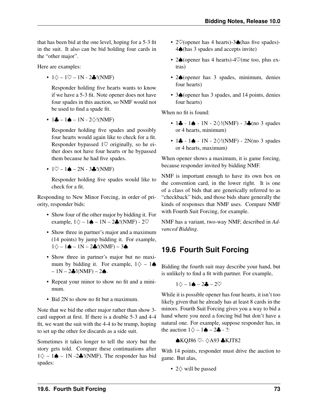<span id="page-78-1"></span>that has been bid at the one level, hoping for a 5-3 fit in the suit. It also can be bid holding four cards in the "other major".

Here are examples:

•  $1\diamond - 1\heartsuit - 1N - 2\clubsuit!$  (NMF)

Responder holding five hearts wants to know if we have a 5-3 fit. Note opener does not have four spades in this auction, so NMF would not be used to find a spade fit.

•  $1\clubsuit - 1\spadesuit - 1N - 2\diamondsuit$ !(NMF)

Responder holding five spades and possibly four hearts would again like to check for a fit. Responder bypassed  $1\heartsuit$  originally, so he either does not have four hearts or he bypassed them because he had five spades.

 $\cdot$  1 $\heartsuit$  – 1 $\triangle$  – 2N - 3.  $\angle$ !(NMF)

Responder holding five spades would like to check for a fit.

Responding to New Minor Forcing, in order of priority, responder bids:

- Show four of the other major by bidding it. For example,  $1\diamondsuit - 1 \spadesuit - 1N - 2 \clubsuit$ !(NMF) - 2 $\heartsuit$
- Show three in partner's major and a maximum (14 points) by jump bidding it. For example,  $1\diamondsuit - 1 \spadesuit - 1N - 2 \clubsuit!(NMF) - 3 \spadesuit$
- Show three in partner's major but no maximum by bidding it. For example,  $1\diamondsuit - 1\spadesuit$  $-1N - 2$  $(NMF) - 2$  $\diamond$ .
- Repeat your minor to show no fit and a minimum.
- Bid 2N to show no fit but a maximum.

Note that we bid the other major rather than show 3 card support at first. If there is a double 5-3 and 4-4 fit, we want the suit with the 4-4 to be trump, hoping to set up the other for discards as a side suit.

Sometimes it takes longer to tell the story but the story gets told. Compare these continuations after  $1\diamondsuit - 1\spadesuit - 1N - 2\clubsuit$ !(NMF). The responder has bid spades:

- 2♡(opener has 4 hearts)-3♠(has five spades)- 4♠(has 3 spades and accepts invite)
- 2♠(opener has 4 hearts)-4♡(me too, plus extras)
- 2♠(opener has 3 spades, minimum, denies four hearts)
- 3♠(opener has 3 spades, and 14 points, denies four hearts)

When no fit is found:

- $1\clubsuit 1\spadesuit 1N 2\diamondsuit!$  (NMF)  $3\clubsuit$  (no 3 spades or 4 hearts, minimum)
- 1 $\clubsuit$  1 $\spadesuit$  1N 2 $\diamondsuit$ !(NMF) 2N(no 3 spades or 4 hearts, maximum)

When opener shows a maximum, it is game forcing, because responder invited by bidding NMF.

NMF is important enough to have its own box on the convention card, in the lower right. It is one of a class of bids that are generically referred to as "checkback" bids, and those bids share generally the kinds of responses that NMF uses. Compare NMF with Fourth Suit Forcing, for example.

NMF has a variant, two-way NMF, described in *Advanced Bidding*.

### **19.6 Fourth Suit Forcing**

<span id="page-78-0"></span>Bidding the fourth suit may describe your hand, but is unlikely to find a fit with partner. For example,

$$
1\diamondsuit-1\spadesuit-2\clubsuit-2\heartsuit
$$

While it is possible opener has four hearts, it isn't too likely given that he already has at least 8 cards in the minors. Fourth Suit Forcing gives you a way to bid a hand where you need a forcing bid but don't have a natural one. For example, suppose responder has, in the auction  $1\diamondsuit - 1 \spadesuit - 2 \clubsuit - ?$ :

♠KQJ86 ♡- ♢A93 ♣KJT82

With 14 points, responder must drive the auction to game. But alas,

• 2♢ will be passed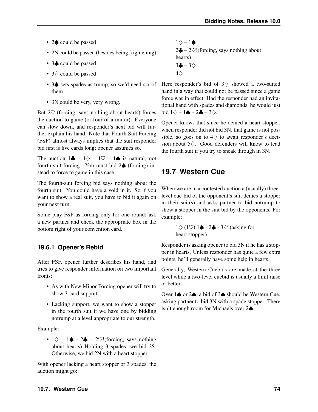- <span id="page-79-1"></span>• 2♠ could be passed
- 2N could be passed (besides being frightening)
- 3. could be passed
- 3♢ could be passed
- them
- 3N could be very, very wrong.

But  $2\heartsuit$ !(forcing, says nothing about hearts) forces the auction to game (or four of a minor). Everyone can slow down, and responder's next bid will further explain his hand. Note that Fourth Suit Forcing (FSF) almost always implies that the suit responder bid first is five cards long; opener assumes so.

The auction  $1\clubsuit - 1\diamondsuit - 1\heartsuit - 1\spadesuit$  is natural, not fourth-suit forcing. You must bid 2♠!(forcing) instead to force to game in this case.

The fourth-suit forcing bid says nothing about the fourth suit. You could have a void in it. So if you want to show a real suit, you have to bid it again on your next turn.

Some play FSF as forcing only for one round; ask a new partner and check the appropriate box in the bottom right of your convention card.

#### **19.6.1 Opener's Rebid**

After FSF, opener further describes his hand, and tries to give responder information on two important fronts:

- As with New Minor Forcing opener will try to show 3-card support.
- Lacking support, we want to show a stopper in the fourth suit if we have one by bidding notrump at a level appropriate to our strength.

Example:

•  $1\diamondsuit - 1\spadesuit - 2\clubsuit - 2\heartsuit!$  (forcing, says nothing about hearts) Holding 3 spades, we bid 2S. Otherwise, we bid 2N with a heart stopper.

With opener lacking a heart stopper or 3 spades, the auction might go:

1♢ – 1♠ 2♣ – 2♡!(forcing, says nothing about hearts) 3♣ – 3♢ 4♢

• 3♠ sets spades as trump, so we'd need six of Here responder's bid of 3♢ showed a two-suited hand in a way that could not be passed since a game force was in effect. Had the responder had an invitational hand with spades and diamonds, he would just bid  $1\diamond - 1 \spadesuit - 2 \clubsuit - 3\diamond$ .

> Opener knows that since he denied a heart stopper, when responder did not bid 3N, that game is not possible, so goes on to  $4\diamondsuit$  to await responder's decision about 5♢. Good defenders will know to lead the fourth suit if you try to sneak through in 3N.

### **19.7 Western Cue**

<span id="page-79-0"></span>When we are in a contested auction a (usually) threelevel cue-bid of the opponent's suit denies a stopper in their suit(s) and asks partner to bid notrump to show a stopper in the suit bid by the opponents. For example:

```
1♢ (1♡) 1♠ - 2♣ - 3♡!(asking for
heart stopper)
```
Responder is asking opener to bid 3N if he has a stopper in hearts. Unless responder has quite a few extra points, he'll generally have some help in hearts.

Generally, Western Cuebids are made at the three level while a two-level cuebid is usually a limit raise or better.

Over 1♠ or 2♠, a bid of 3♠ should be Western Cue, asking partner to bid 3N with a spade stopper. There isn't enough room for Michaels over 2♠.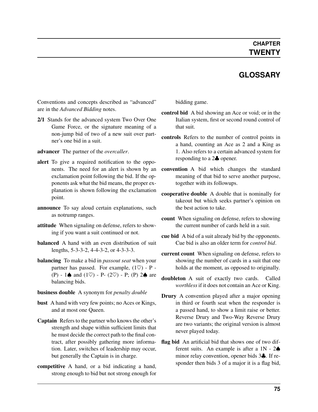### **GLOSSARY**

<span id="page-80-4"></span>Conventions and concepts described as "advanced" are in the *Advanced Bidding* notes.

- 2/1 Stands for the advanced system Two Over One Game Force, or the signature meaning of a non-jump bid of two of a new suit over partner's one bid in a suit.
- <span id="page-80-1"></span>advancer The partner of the *[overcaller](#page-81-0)*.
- alert To give a required notification to the opponents. The need for an alert is shown by an exclamation point following the bid. If the opponents ask what the bid means, the proper explanation is shown following the exclamation point.
- announce To say aloud certain explanations, such as notrump ranges.
- attitude When signaling on defense, refers to showing if you want a suit continued or not.
- **balanced** A hand with an even distribution of suit lengths, 5-3-3-2, 4-4-3-2, or 4-3-3-3.
- <span id="page-80-2"></span>balancing To make a bid in *[passout seat](#page-81-1)* when your partner has passed. For example,  $(1 \heartsuit)$  - P -(P) - 1 $\spadesuit$  and (1 $\heartsuit$ ) - P- (2 $\heartsuit$ ) - P; (P) 2 $\spadesuit$  are balancing bids.

#### business double A synonym for *[penalty double](#page-81-2)*

- <span id="page-80-3"></span>bust A hand with very few points; no Aces or Kings, and at most one Queen.
- Captain Refers to the partner who knows the other's strength and shape within sufficient limits that he must decide the correct path to the final contract, after possibly gathering more information. Later, switches of leadership may occur, but generally the Captain is in charge.
- competitive A hand, or a bid indicating a hand, strong enough to bid but not strong enough for

<span id="page-80-0"></span>bidding game.

- control bid A bid showing an Ace or void; or in the Italian system, first or second round control of that suit.
- controls Refers to the number of control points in a hand, counting an Ace as 2 and a King as 1. Also refers to a certain advanced system for responding to a 2♣ opener.
- convention A bid which changes the standard meaning of that bid to serve another purpose, together with its followups.
- cooperative double A double that is nominally for takeout but which seeks partner's opinion on the best action to take.
- count When signaling on defense, refers to showing the current number of cards held in a suit.
- cue bid A bid of a suit already bid by the opponents. Cue bid is also an older term for *[control bid](#page-80-0)*.
- current count When signaling on defense, refers to showing the number of cards in a suit that one holds at the moment, as opposed to originally.
- doubleton A suit of exactly two cards. Called *worthless* if it does not contain an Ace or King.
- Drury A convention played after a major opening in third or fourth seat when the responder is a passed hand, to show a limit raise or better. Reverse Drury and Two-Way Reverse Drury are two variants; the original version is almost never played today.
- flag bid An artificial bid that shows one of two different suits. An example is after a  $1N - 2\spadesuit$ minor relay convention, opener bids 3♣. If responder then bids 3 of a major it is a flag bid,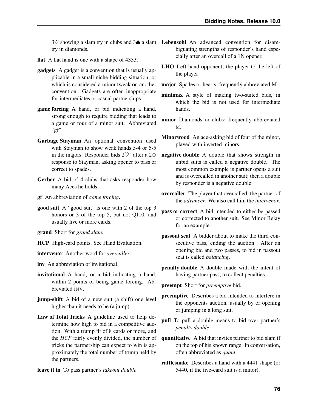try in diamonds.

- flat A flat hand is one with a shape of 4333.
- gadgets A gadget is a convention that is usually applicable in a small niche bidding situation, or which is considered a minor tweak on another convention. Gadgets are often inappropriate for intermediates or casual partnerships.
- <span id="page-81-3"></span>game forcing A hand, or bid indicating a hand, strong enough to require bidding that leads to a game or four of a minor suit. Abbreviated " $gf$ ".
- Garbage Stayman An optional convention used with Stayman to show weak hands 5-4 or 5-5 in the majors. Responder bids 2 $\heartsuit$ ! after a 2 $\diamondsuit$ response to Stayman, asking opener to pass or correct to spades.
- Gerber A bid of 4 clubs that asks responder how many Aces he holds.
- <span id="page-81-0"></span>gf An abbreviation of *[game forcing](#page-81-3)*.
- good suit A "good suit" is one with 2 of the top 3 honors or 3 of the top 5, but not QJ10, and usually five or more cards.
- <span id="page-81-1"></span>grand Short for *grand slam*.
- <span id="page-81-4"></span>HCP High-card points. See Hand Evaluation.
- <span id="page-81-5"></span>intervenor Another word for *[overcaller](#page-81-0)*.

<span id="page-81-2"></span>inv An abbreviation of invitational.

- invitational A hand, or a bid indicating a hand, within 2 points of being game forcing. Abbreviated INV.
- <span id="page-81-6"></span>jump-shift A bid of a new suit (a shift) one level higher than it needs to be (a jump).
- Law of Total Tricks A guideline used to help determine how high to bid in a competitive auction. With a trump fit of 8 cards or more, and the *[HCP](#page-81-4)* fairly evenly divided, the number of tricks the partnership can expect to win is approximately the total number of trump held by the partners.
- leave it in To pass partner's *[takeout double](#page-82-0)*.
- <span id="page-81-8"></span><span id="page-81-7"></span> $3\heartsuit$  showing a slam try in clubs and  $3\spadesuit$  a slam Lebensohl An advanced convention for disambiguating strengths of responder's hand especially after an overcall of a 1N opener.
	- LHO Left hand opponent; the player to the left of the player
	- major Spades or hearts; frequently abbreviated M.
	- minimax A style of making two-suited bids, in which the bid is not used for intermediate hands.
	- minor Diamonds or clubs; frequently abbreviated M.
	- Minorwood An ace-asking bid of four of the minor, played with inverted minors.
	- negative double A double that shows strength in unbid suits is called a negative double. The most common example is partner opens a suit and is overcalled in another suit; then a double by responder is a negative double.
	- overcaller The player that overcalled; the partner of the *[advancer](#page-80-1)*. We also call him the *[intervenor](#page-81-5)*.
	- pass or correct A bid intended to either be passed or corrected to another suit. See Minor Relay for an example.
	- passout seat A bidder about to make the third consecutive pass, ending the auction. After an opening bid and two passes, to bid in passout seat is called *[balancing](#page-80-2)*.
	- penalty double A double made with the intent of having partner pass, to collect penalties.
	- preempt Short for *[preemptive](#page-81-6)* bid.
	- preemptive Describes a bid intended to interfere in the opponents auction, usually by or opening or jumping in a long suit.
	- pull To pull a double means to bid over partner's *[penalty double](#page-81-2)*.
	- quantitative A bid that invites partner to bid slam if on the top of his known range. In conversation, often abbreviated as *quant*.
	- rattlesnake Describes a hand with a 4441 shape (or 5440, if the five-card suit is a minor).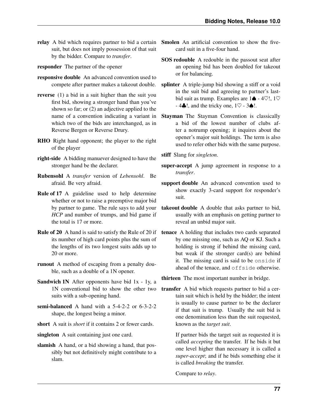suit, but does not imply possession of that suit by the bidder. Compare to *[transfer](#page-82-1)*.

responder The partner of the opener

- responsive double An advanced convention used to
- reverse (1) a bid in a suit higher than the suit you first bid, showing a stronger hand than you've shown so far; or (2) an adjective applied to the name of a convention indicating a variant in which two of the bids are interchanged, as in Reverse Bergen or Reverse Drury.
- RHO Right hand opponent; the player to the right of the player
- right-side A bidding manuever designed to have the stronger hand be the declarer.
- Rubensohl A *[transfer](#page-82-1)* version of *[Lebensohl](#page-81-7)*. Be afraid. Be very afraid.
- Rule of 17 A guideline used to help determine whether or not to raise a preemptive major bid by partner to game. The rule says to add your *[HCP](#page-81-4)* and number of trumps, and bid game if the total is 17 or more.
- Rule of 20 A hand is said to satisfy the Rule of 20 if its number of high card points plus the sum of the lengths of its two longest suits adds up to 20 or more.
- runout A method of escaping from a penalty double, such as a double of a 1N opener.
- Sandwich 1N After opponents have bid 1x 1y, a 1N conventional bid to show the other two suits with a sub-opening hand.
- semi-balanced A hand with a 5-4-2-2 or 6-3-2-2 shape, the longest being a minor.
- short A suit is *short* if it contains 2 or fewer cards.

<span id="page-82-2"></span>singleton A suit containing just one card.

slamish A hand, or a bid showing a hand, that possibly but not definitively might contribute to a slam.

- <span id="page-82-4"></span><span id="page-82-3"></span>relay A bid which requires partner to bid a certain Smolen An artificial convention to show the fivecard suit in a five-four hand.
	- SOS redouble A redouble in the passout seat after an opening bid has been doubled for takeout or for balancing.
	- compete after partner makes a takeout double. splinter A triple-jump bid showing a stiff or a void in the suit bid and agreeing to partner's lastbid suit as trump. Examples are  $1\spadesuit$  - 4 $\heartsuit$ !, 1 $\heartsuit$  $-4$ . 4.  $\ldots$  and the tricky one,  $1\heartsuit - 3\spadesuit$ !.
		- Stayman The Stayman Convention is classically a bid of the lowest number of clubs after a notrump opening; it inquires about the opener's major suit holdings. The term is also used to refer other bids with the same purpose.

stiff Slang for *[singleton](#page-82-2)*.

- super-accept A jump agreement in response to a *[transfer](#page-82-1)*.
- support double An advanced convention used to show exactly 3-card support for responder's suit.
- <span id="page-82-0"></span>takeout double A double that asks partner to bid, usually with an emphasis on getting partner to reveal an unbid major suit.
- tenace A holding that includes two cards separated by one missing one, such as AQ or KJ. Such a holding is strong if behind the missing card, but weak if the stronger card(s) are behind it. The missing card is said to be onside if ahead of the tenace, and offside otherwise.

thirteen The most important number in bridge.

<span id="page-82-1"></span>transfer A bid which requests partner to bid a certain suit which is held by the bidder; the intent is usually to cause partner to be the declarer if that suit is trump. Usually the suit bid is one denomination less than the suit requested, known as the *target suit*.

> If partner bids the target suit as requested it is called *accepting* the transfer. If he bids it but one level higher than necessary it is called a *super-accept*; and if he bids something else it is called *breaking* the transfer.

Compare to *[relay](#page-82-3)*.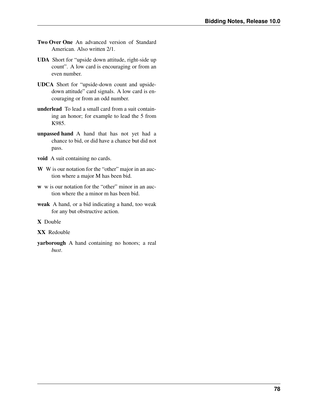- <span id="page-83-0"></span>Two Over One An advanced version of Standard American. Also written 2/1.
- UDA Short for "upside down attitude, right-side up count". A low card is encouraging or from an even number.
- UDCA Short for "upside-down count and upsidedown attitude" card signals. A low card is encouraging or from an odd number.
- underlead To lead a small card from a suit containing an honor; for example to lead the 5 from K985.
- unpassed hand A hand that has not yet had a chance to bid, or did have a chance but did not pass.
- void A suit containing no cards.
- W W is our notation for the "other" major in an auction where a major M has been bid.
- w w is our notation for the "other" minor in an auction where the a minor m has been bid.
- weak A hand, or a bid indicating a hand, too weak for any but obstructive action.

X Double

- XX Redouble
- yarborough A hand containing no honors; a real *[bust](#page-80-3)*.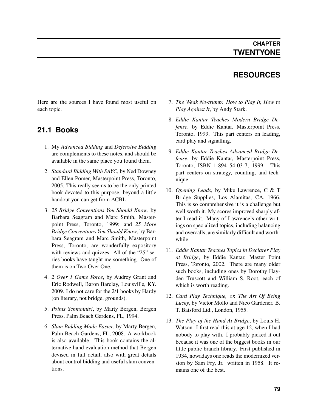### **RESOURCES**

Here are the sources I have found most useful on each topic.

### **21.1 Books**

- 1. My *Advanced Bidding* and *Defensive Bidding* are complements to these notes, and should be available in the same place you found them.
- 2. *Standard Bidding With SAYC*, by Ned Downey and Ellen Pomer, Masterpoint Press, Toronto, 2005. This really seems to be the only printed book devoted to this purpose, beyond a little handout you can get from ACBL.
- 3. *25 Bridge Conventions You Should Know*, by Barbara Seagram and Marc Smith, Masterpoint Press, Toronto, 1999; and *25 More Bridge Conventions You Should Know*, by Barbara Seagram and Marc Smith, Masterpoint Press, Toronto, are wonderfully expository with reviews and quizzes. All of the "25" series books have taught me something. One of them is on Two Over One.
- 4. *2 Over 1 Game Force*, by Audrey Grant and Eric Rodwell, Baron Barclay, Louisville, KY. 2009. I do not care for the 2/1 books by Hardy (on literary, not bridge, grounds).
- 5. *Points Schmoints!*, by Marty Bergen, Bergen Press, Palm Beach Gardens, FL, 1994.
- 6. *Slam Bidding Made Easier*, by Marty Bergen, Palm Beach Gardens, FL, 2008. A workbook is also available. This book contains the alternative hand evaluation method that Bergen devised in full detail, also with great details about control bidding and useful slam conventions.
- 7. *The Weak No-trump: How to Play It, How to Play Against It*, by Andy Stark.
- 8. *Eddie Kantar Teaches Modern Bridge Defense*, by Eddie Kantar, Masterpoint Press, Toronto, 1999. This part centers on leading, card play and signalling.
- 9. *Eddie Kantar Teaches Advanced Bridge Defense*, by Eddie Kantar, Masterpoint Press, Toronto, ISBN 1-894154-03-7, 1999. This part centers on strategy, counting, and technique.
- 10. *Opening Leads*, by Mike Lawrence, C & T Bridge Supplies, Los Alamitas, CA, 1966. This is so comprehensive it is a challenge but well worth it. My scores improved sharply after I read it. Many of Lawrence's other writings on specialized topics, including balancing and overcalls, are similarly difficult and worthwhile.
- 11. *Eddie Kantar Teaches Topics in Declarer Play at Bridge*, by Eddie Kantar, Master Point Press, Toronto, 2002. There are many older such books, including ones by Dorothy Hayden Truscott and William S. Root, each of which is worth reading.
- 12. *Card Play Technique, or, The Art Of Being Lucky*, by Victor Mollo and Nico Gardener. B. T. Batsford Ltd., London, 1955.
- 13. *The Play of the Hand At Bridge*, by Louis H. Watson. I first read this at age 12, when I had nobody to play with. I probably picked it out because it was one of the biggest books in our little public branch library. First published in 1934, nowadays one reads the modernized version by Sam Fry, Jr. written in 1958. It remains one of the best.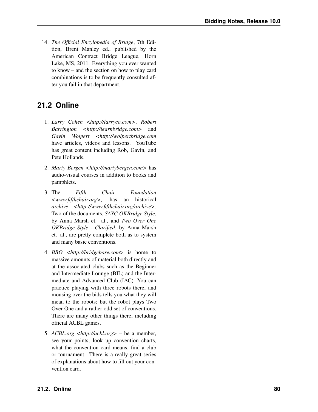14. *The Official Encylopedia of Bridge*, 7th Edition, Brent Manley ed., published by the American Contract Bridge League, Horn Lake, MS, 2011. Everything you ever wanted to know – and the section on how to play card combinations is to be frequently consulted after you fail in that department.

### **21.2 Online**

- 1. *Larry Cohen <http://larryco.com>*, *Robert Barrington <http://learnbridge.com>* and *Gavin Wolpert <http://wolpertbridge.com* have articles, videos and lessons. YouTube has great content including Rob, Gavin, and Pete Hollands.
- 2. *Marty Bergen <http://martybergen.com>* has audio-visual courses in addition to books and pamphlets.
- 3. The *Fifth Chair Foundation <www.fifthchair.org>*, has an historical *archive <http://www.fifthchair.org/archive>*. Two of the documents, *SAYC OKBridge Style*, by Anna Marsh et. al., and *Two Over One OKBridge Style - Clarified*, by Anna Marsh et. al., are pretty complete both as to system and many basic conventions.
- 4. *BBO <http://bridgebase.com>* is home to massive amounts of material both directly and at the associated clubs such as the Beginner and Intermediate Lounge (BIL) and the Intermediate and Advanced Club (IAC). You can practice playing with three robots there, and mousing over the bids tells you what they will mean to the robots; but the robot plays Two Over One and a rather odd set of conventions. There are many other things there, including official ACBL games.
- 5. *ACBL.org <http://acbl.org>* be a member, see your points, look up convention charts, what the convention card means, find a club or tournament. There is a really great series of explanations about how to fill out your convention card.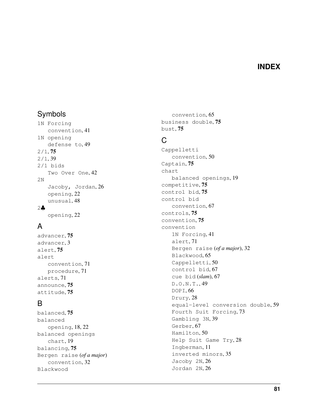#### **INDEX**

### Symbols

1N Forcing convention, [41](#page-46-0) 1N opening defense to, [49](#page-54-1) 2/1, [75](#page-80-4) 2/1, [39](#page-44-1) 2/1 bids Two Over One, [42](#page-47-0) 2N Jacoby, Jordan, [26](#page-31-1) opening, [22](#page-27-0) unusual, [48](#page-53-1) 2♣ opening, [22](#page-27-0)

### A

advancer, [75](#page-80-4) advancer, [3](#page-8-0) alert, [75](#page-80-4) alert convention, [71](#page-76-0) procedure, [71](#page-76-0) alerts, [71](#page-76-0) announce, [75](#page-80-4) attitude, [75](#page-80-4)

### B

balanced, [75](#page-80-4) balanced opening, [18,](#page-23-1) [22](#page-27-0) balanced openings chart, [19](#page-24-0) balancing, [75](#page-80-4) Bergen raise (*of a major*) convention, [32](#page-37-1) Blackwood

convention, [65](#page-70-3) business double, [75](#page-80-4) bust, [75](#page-80-4)

### C

Cappelletti convention, [50](#page-55-0) Captain, [75](#page-80-4) chart balanced openings, [19](#page-24-0) competitive, [75](#page-80-4) control bid, [75](#page-80-4) control bid convention, [67](#page-72-1) controls, [75](#page-80-4) convention, [75](#page-80-4) convention 1N Forcing, [41](#page-46-0) alert, [71](#page-76-0) Bergen raise (*of a major*), [32](#page-37-1) Blackwood, [65](#page-70-3) Cappelletti, [50](#page-55-0) control bid, [67](#page-72-1) cue bid (*slam*), [67](#page-72-1) D.O.N.T., [49](#page-54-1) DOPI, [66](#page-71-0) Drury, [28](#page-33-2) equal-level conversion double, [59](#page-64-0) Fourth Suit Forcing, [73](#page-78-1) Gambling 3N, [39](#page-44-1) Gerber, [67](#page-72-1) Hamilton, [50](#page-55-0) Help Suit Game Try, [28](#page-33-2) Ingberman, [11](#page-16-1) inverted minors, [35](#page-40-1) Jacoby 2N, [26](#page-31-1) Jordan 2N, [26](#page-31-1)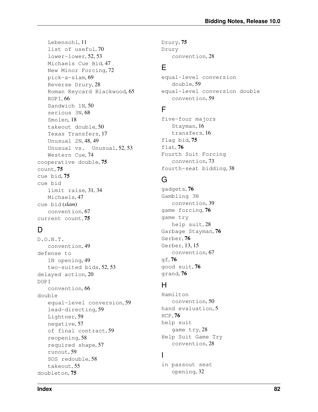Lebensohl, [11](#page-16-1) list of useful, [70](#page-75-0) lower-lower, [52,](#page-57-0) [53](#page-58-0) Michaels Cue Bid, [47](#page-52-1) New Minor Forcing, [72](#page-77-1) pick-a-slam, [69](#page-74-0) Reverse Drury, [28](#page-33-2) Roman Keycard Blackwood, [65](#page-70-3) ROPI, [66](#page-71-0) Sandwich 1N, [50](#page-55-0) serious 3N, [68](#page-73-0) Smolen, [18](#page-23-1) takeout double, [50](#page-55-0) Texas Transfers, [17](#page-22-2) Unusual 2N, [48,](#page-53-1) [49](#page-54-1) Unusual vs. Unusual, [52,](#page-57-0) [53](#page-58-0) Western Cue, [74](#page-79-1) cooperative double, [75](#page-80-4) count, [75](#page-80-4) cue bid, [75](#page-80-4) cue bid limit raise, [31,](#page-36-0) [34](#page-39-0) Michaels, [47](#page-52-1) cue bid (*slam*) convention, [67](#page-72-1) current count, [75](#page-80-4)

# D

D.O.N.T. convention, [49](#page-54-1) defense to 1N opening, [49](#page-54-1) two-suited bids, [52,](#page-57-0) [53](#page-58-0) delayed action, [20](#page-25-0) DOPI convention, [66](#page-71-0) double equal-level conversion, [59](#page-64-0) lead-directing, [59](#page-64-0) Lightner, [59](#page-64-0) negative, [57](#page-62-1) of final contract, [59](#page-64-0) reopening, [58](#page-63-0) required shape, [57](#page-62-1) runout, [59](#page-64-0) SOS redouble, [58](#page-63-0) takeout, [55](#page-60-0) doubleton, [75](#page-80-4)

Drury, [75](#page-80-4) Drury convention, [28](#page-33-2)

#### E

equal-level conversion double, [59](#page-64-0) equal-level conversion double convention, [59](#page-64-0)

### F

five-four majors Stayman, [16](#page-21-0) transfers, [16](#page-21-0) flag bid, [75](#page-80-4) flat, [76](#page-81-8) Fourth Suit Forcing convention, [73](#page-78-1) fourth-seat bidding, [38](#page-43-0)

# G

gadgets, [76](#page-81-8) Gambling 3N convention, [39](#page-44-1) game forcing, [76](#page-81-8) game try help suit, [28](#page-33-2) Garbage Stayman, [76](#page-81-8) Gerber, [76](#page-81-8) Gerber, [13,](#page-18-1) [15](#page-20-1) convention, [67](#page-72-1) qf,  $76$ good suit, [76](#page-81-8) grand, [76](#page-81-8)

### H

Hamilton convention, [50](#page-55-0) hand evaluation, [5](#page-10-0) HCP, [76](#page-81-8) help suit game try, [28](#page-33-2) Help Suit Game Try convention, [28](#page-33-2)

### I

in passout seat opening, [32](#page-37-1)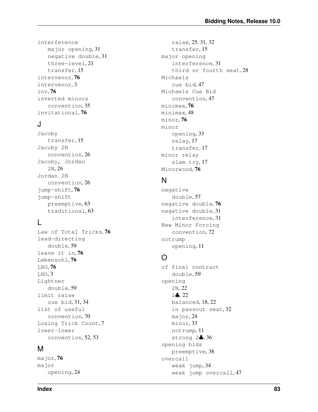interference major opening, [31](#page-36-0) negative double, [31](#page-36-0) three-level, [21](#page-26-0) transfer, [15](#page-20-1) intervenor, [76](#page-81-8) intervenor, [3](#page-8-0) inv, [76](#page-81-8) inverted minors convention, [35](#page-40-1) invitational, [76](#page-81-8)

#### J

Jacoby transfer, [15](#page-20-1) Jacoby 2N convention, [26](#page-31-1) Jacoby, Jordan 2N, [26](#page-31-1) Jordan 2N convention, [26](#page-31-1) jump-shift, [76](#page-81-8) jump-shift preemptive, [63](#page-68-0) traditional, [63](#page-68-0)

### L

Law of Total Tricks, [76](#page-81-8) lead-directing double, [59](#page-64-0) leave it in, [76](#page-81-8) Lebensohl, [76](#page-81-8) LHO, [76](#page-81-8) LHO, [3](#page-8-0) Lightner double, [59](#page-64-0) limit raise cue bid, [31,](#page-36-0) [34](#page-39-0) list of useful convention, [70](#page-75-0) Losing Trick Count, [7](#page-12-0) lower-lower convention, [52,](#page-57-0) [53](#page-58-0)

#### M

major, [76](#page-81-8) major opening, [24](#page-29-1)

raise, [25,](#page-30-0) [31,](#page-36-0) [32](#page-37-1) transfer, [15](#page-20-1) major opening interference, [31](#page-36-0) third or fourth seat, [28](#page-33-2) Michaels cue bid, [47](#page-52-1) Michaels Cue Bid convention, [47](#page-52-1) minimax, [76](#page-81-8) minimax, [48](#page-53-1) minor, [76](#page-81-8) minor opening, [33](#page-38-0) relay, [17](#page-22-2) transfer, [17](#page-22-2) minor relay slam try, [17](#page-22-2) Minorwood, [76](#page-81-8)

#### N

negative double, [57](#page-62-1) negative double, [76](#page-81-8) negative double, [31](#page-36-0) interference, [31](#page-36-0) New Minor Forcing convention, [72](#page-77-1) notrump opening, [11](#page-16-1)

# $\Omega$

of final contract double, [59](#page-64-0) opening 2N, [22](#page-27-0) 2♣, [22](#page-27-0) balanced, [18,](#page-23-1) [22](#page-27-0) in passout seat, [32](#page-37-1) major, [24](#page-29-1) minor, [33](#page-38-0) notrump, [11](#page-16-1) strong 2♣, [36](#page-41-0) opening bids preemptive, [38](#page-43-0) overcall weak jump, [34](#page-39-0) weak jump overcall, [47](#page-52-1)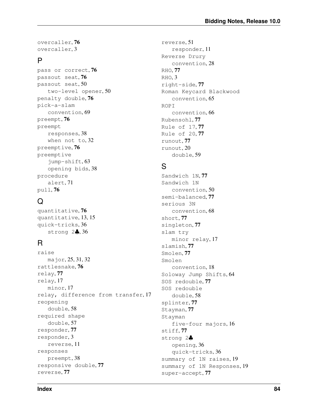overcaller, [76](#page-81-8) overcaller, [3](#page-8-0)

#### P

pass or correct, [76](#page-81-8) passout seat, [76](#page-81-8) passout seat, [50](#page-55-0) two-level opener, [50](#page-55-0) penalty double, [76](#page-81-8) pick-a-slam convention, [69](#page-74-0) preempt, [76](#page-81-8) preempt responses, [38](#page-43-0) when not to, [32](#page-37-1) preemptive, [76](#page-81-8) preemptive jump-shift, [63](#page-68-0) opening bids, [38](#page-43-0) procedure alert, [71](#page-76-0) pull, [76](#page-81-8)

# $\Omega$

quantitative, [76](#page-81-8) quantitative, [13,](#page-18-1) [15](#page-20-1) quick-tricks, [36](#page-41-0) strong 2♣, [36](#page-41-0)

### R

raise major, [25,](#page-30-0) [31,](#page-36-0) [32](#page-37-1) rattlesnake, [76](#page-81-8) relay, [77](#page-82-4) relay, [17](#page-22-2) minor, [17](#page-22-2) relay, difference from transfer, [17](#page-22-2) reopening double, [58](#page-63-0) required shape double, [57](#page-62-1) responder, [77](#page-82-4) responder, [3](#page-8-0) reverse, [11](#page-16-1) responses preempt, [38](#page-43-0) responsive double, [77](#page-82-4) reverse, [77](#page-82-4)

reverse, [51](#page-56-0) responder, [11](#page-16-1) Reverse Drury convention, [28](#page-33-2) RHO, [77](#page-82-4) RHO, [3](#page-8-0) right-side, [77](#page-82-4) Roman Keycard Blackwood convention, [65](#page-70-3) ROPI convention, [66](#page-71-0) Rubensohl, [77](#page-82-4) Rule of 17, [77](#page-82-4) Rule of 20, [77](#page-82-4) runout, [77](#page-82-4) runout, [20](#page-25-0) double, [59](#page-64-0)

### S

Sandwich 1N, [77](#page-82-4) Sandwich 1N convention, [50](#page-55-0) semi-balanced, [77](#page-82-4) serious 3N convention, [68](#page-73-0) short, [77](#page-82-4) singleton, [77](#page-82-4) slam try minor relay, [17](#page-22-2) slamish, [77](#page-82-4) Smolen, [77](#page-82-4) Smolen convention, [18](#page-23-1) Soloway Jump Shifts, [64](#page-69-0) SOS redouble, [77](#page-82-4) SOS redouble double, [58](#page-63-0) splinter, [77](#page-82-4) Stayman, [77](#page-82-4) Stayman five-four majors, [16](#page-21-0) stiff, [77](#page-82-4) strong 2♣ opening, [36](#page-41-0) quick-tricks, [36](#page-41-0) summary of 1N raises, [19](#page-24-0) summary of 1N Responses, [19](#page-24-0) super-accept, [77](#page-82-4)